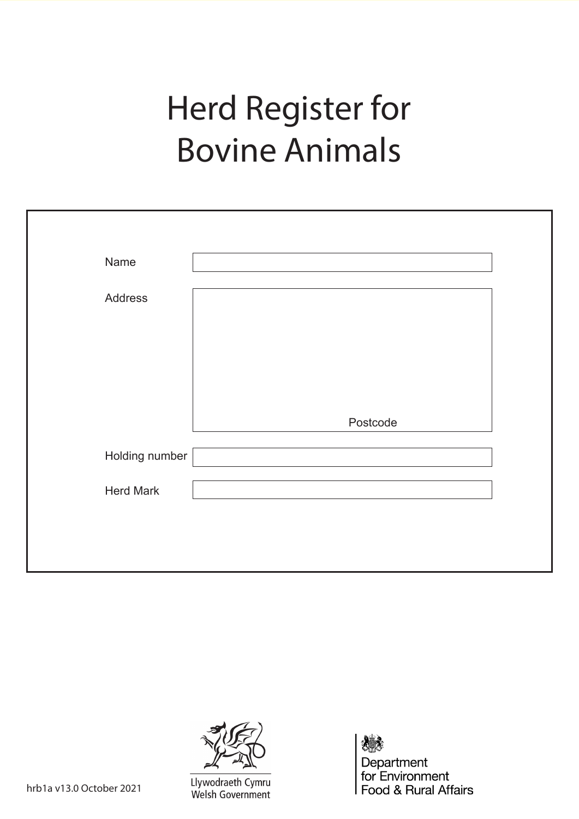# Herd Register for Bovine Animals

| Name             |          |  |
|------------------|----------|--|
| Address          |          |  |
|                  |          |  |
|                  |          |  |
|                  |          |  |
|                  | Postcode |  |
| Holding number   |          |  |
| <b>Herd Mark</b> |          |  |
|                  |          |  |
|                  |          |  |



Llywodraeth Cymru Welsh Government

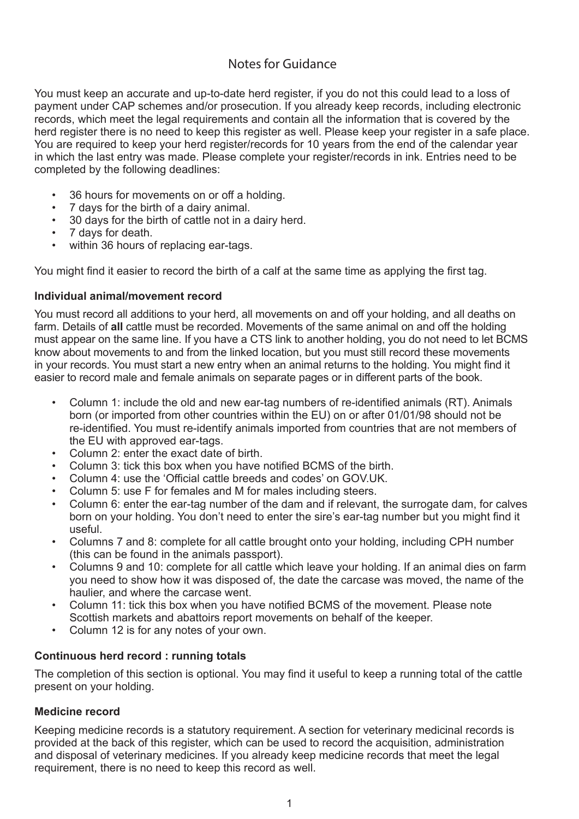#### Notes for Guidance

You must keep an accurate and up-to-date herd register, if you do not this could lead to a loss of payment under CAP schemes and/or prosecution. If you already keep records, including electronic records, which meet the legal requirements and contain all the information that is covered by the herd register there is no need to keep this register as well. Please keep your register in a safe place. You are required to keep your herd register/records for 10 years from the end of the calendar year in which the last entry was made. Please complete your register/records in ink. Entries need to be completed by the following deadlines:

- 36 hours for movements on or off a holding.
- 7 days for the birth of a dairy animal.
- 30 days for the birth of cattle not in a dairy herd.
- 7 days for death.
- within 36 hours of replacing ear-tags.

You might find it easier to record the birth of a calf at the same time as applying the first tag.

#### **Individual animal/movement record**

You must record all additions to your herd, all movements on and off your holding, and all deaths on farm. Details of **all** cattle must be recorded. Movements of the same animal on and off the holding must appear on the same line. If you have a CTS link to another holding, you do not need to let BCMS know about movements to and from the linked location, but you must still record these movements in your records. You must start a new entry when an animal returns to the holding. You might find it easier to record male and female animals on separate pages or in different parts of the book.

- Column 1: include the old and new ear-tag numbers of re-identified animals (RT). Animals born (or imported from other countries within the EU) on or after 01/01/98 should not be re-identified. You must re-identify animals imported from countries that are not members of the EU with approved ear-tags.
- Column 2: enter the exact date of birth.
- Column 3: tick this box when you have notified BCMS of the birth.
- Column 4: use the 'Official cattle breeds and codes' on GOV.UK.
- Column 5: use F for females and M for males including steers.
- Column 6: enter the ear-tag number of the dam and if relevant, the surrogate dam, for calves born on your holding. You don't need to enter the sire's ear-tag number but you might find it useful.
- Columns 7 and 8: complete for all cattle brought onto your holding, including CPH number (this can be found in the animals passport).
- Columns 9 and 10: complete for all cattle which leave your holding. If an animal dies on farm you need to show how it was disposed of, the date the carcase was moved, the name of the haulier, and where the carcase went.
- Column 11: tick this box when you have notified BCMS of the movement. Please note Scottish markets and abattoirs report movements on behalf of the keeper.
- Column 12 is for any notes of your own.

#### **Continuous herd record : running totals**

The completion of this section is optional. You may find it useful to keep a running total of the cattle present on your holding.

#### **Medicine record**

Keeping medicine records is a statutory requirement. A section for veterinary medicinal records is provided at the back of this register, which can be used to record the acquisition, administration and disposal of veterinary medicines. If you already keep medicine records that meet the legal requirement, there is no need to keep this record as well.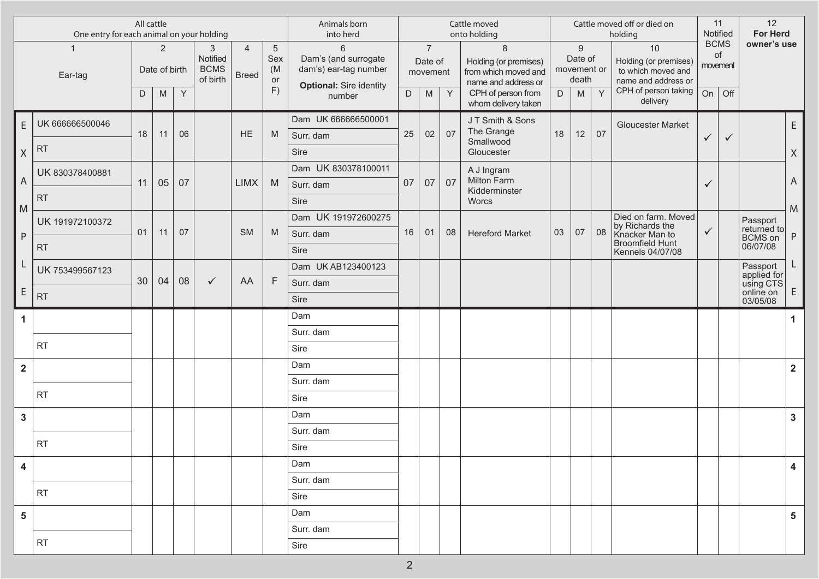| 2<br>3<br>Notified<br><b>BCMS</b><br>Date of birth<br>of birth<br>Y<br>M<br>06<br>11 | $\overline{4}$<br>$\sqrt{5}$<br>Sex<br>(M)<br><b>Breed</b><br>or<br>F)<br><b>HE</b><br>M |      | 6<br>Dam's (and surrogate<br>dam's) ear-tag number<br><b>Optional:</b> Sire identity<br>$\mathsf D$<br>number | $\overline{7}$<br>Date of<br>movement<br>M |    | $\,8\,$<br>Holding (or premises)<br>from which moved and         | movement or | $\boldsymbol{9}$<br>Date of |    | holding                                                     |                               | Notified              | <b>For Herd</b>            |                                                     |
|--------------------------------------------------------------------------------------|------------------------------------------------------------------------------------------|------|---------------------------------------------------------------------------------------------------------------|--------------------------------------------|----|------------------------------------------------------------------|-------------|-----------------------------|----|-------------------------------------------------------------|-------------------------------|-----------------------|----------------------------|-----------------------------------------------------|
|                                                                                      |                                                                                          |      |                                                                                                               |                                            |    |                                                                  |             | death                       |    | 10<br>Holding (or premises)<br>to which moved and           | <b>BCMS</b><br>of<br>movement |                       | owner's use                |                                                     |
|                                                                                      |                                                                                          |      |                                                                                                               |                                            | Y  | name and address or<br>CPH of person from<br>whom delivery taken | D           | M                           | Y  | name and address or<br>CPH of person taking [<br>delivery   | On                            | $\overline{\big)$ Off |                            |                                                     |
|                                                                                      |                                                                                          |      | Dam UK 666666500001                                                                                           |                                            |    | JT Smith & Sons                                                  |             |                             |    | <b>Gloucester Market</b>                                    |                               |                       |                            | E.                                                  |
|                                                                                      |                                                                                          |      | 25<br>Surr. dam                                                                                               | 02                                         | 07 | The Grange<br>Smallwood                                          | 18          | 12                          | 07 |                                                             | $\checkmark$                  | $\checkmark$          |                            |                                                     |
|                                                                                      |                                                                                          | Sire |                                                                                                               |                                            |    | Gloucester                                                       |             |                             |    |                                                             |                               |                       |                            | $\mathsf{X}% _{0}^{\prime}=\mathsf{X}_{0}^{\prime}$ |
|                                                                                      |                                                                                          |      | Dam UK 830378100011                                                                                           |                                            |    | A J Ingram                                                       |             |                             |    |                                                             |                               |                       |                            |                                                     |
| 05<br>07                                                                             | <b>LIMX</b><br>M                                                                         |      | 07<br>Surr. dam                                                                                               | 07                                         | 07 | Milton Farm<br>Kidderminster                                     |             |                             |    |                                                             | $\checkmark$                  |                       |                            | $\mathsf A$                                         |
|                                                                                      |                                                                                          | Sire |                                                                                                               |                                            |    | Worcs                                                            |             |                             |    |                                                             |                               |                       |                            | ${\sf M}$                                           |
|                                                                                      |                                                                                          |      | Dam UK 191972600275                                                                                           |                                            |    |                                                                  |             |                             |    | Died on farm. Moved                                         |                               |                       | Passport<br>returned to    |                                                     |
| 07<br>11                                                                             | <b>SM</b><br>M                                                                           |      | 16<br>Surr. dam                                                                                               | 01                                         | 08 | <b>Hereford Market</b>                                           | 03          | 07                          | 08 | by Richards the<br>Knacker Man to<br><b>Broomfield Hunt</b> | $\checkmark$                  |                       | <b>BCMS</b> on<br>06/07/08 | $\sf P$                                             |
|                                                                                      |                                                                                          | Sire |                                                                                                               |                                            |    |                                                                  |             |                             |    | Kennels 04/07/08                                            |                               |                       |                            |                                                     |
|                                                                                      |                                                                                          |      | Dam UK AB123400123                                                                                            |                                            |    |                                                                  |             |                             |    |                                                             |                               |                       | Passport<br>applied for    | L                                                   |
| 04<br>08<br>$\checkmark$                                                             | AA<br>$\mathsf{F}$                                                                       |      | Surr. dam                                                                                                     |                                            |    |                                                                  |             |                             |    |                                                             |                               |                       | using CTS<br>online on     | E                                                   |
|                                                                                      |                                                                                          | Sire |                                                                                                               |                                            |    |                                                                  |             |                             |    |                                                             |                               |                       | 03/05/08                   |                                                     |
|                                                                                      |                                                                                          | Dam  |                                                                                                               |                                            |    |                                                                  |             |                             |    |                                                             |                               |                       |                            | 1                                                   |
|                                                                                      |                                                                                          |      | Surr. dam                                                                                                     |                                            |    |                                                                  |             |                             |    |                                                             |                               |                       |                            |                                                     |
|                                                                                      |                                                                                          |      |                                                                                                               |                                            |    |                                                                  |             |                             |    |                                                             |                               |                       |                            |                                                     |
|                                                                                      |                                                                                          | Sire |                                                                                                               |                                            |    |                                                                  |             |                             |    |                                                             |                               |                       |                            |                                                     |
|                                                                                      |                                                                                          | Dam  |                                                                                                               |                                            |    |                                                                  |             |                             |    |                                                             |                               |                       |                            | $\overline{\mathbf{2}}$                             |
|                                                                                      |                                                                                          |      | Surr. dam                                                                                                     |                                            |    |                                                                  |             |                             |    |                                                             |                               |                       |                            |                                                     |
|                                                                                      |                                                                                          | Sire |                                                                                                               |                                            |    |                                                                  |             |                             |    |                                                             |                               |                       |                            |                                                     |
|                                                                                      |                                                                                          | Dam  |                                                                                                               |                                            |    |                                                                  |             |                             |    |                                                             |                               |                       |                            | $\mathbf{3}$                                        |
|                                                                                      |                                                                                          |      | Surr. dam                                                                                                     |                                            |    |                                                                  |             |                             |    |                                                             |                               |                       |                            |                                                     |
|                                                                                      |                                                                                          | Sire |                                                                                                               |                                            |    |                                                                  |             |                             |    |                                                             |                               |                       |                            |                                                     |
|                                                                                      |                                                                                          | Dam  |                                                                                                               |                                            |    |                                                                  |             |                             |    |                                                             |                               |                       |                            | 4                                                   |
|                                                                                      |                                                                                          | Sire | Surr. dam                                                                                                     |                                            |    |                                                                  |             |                             |    |                                                             |                               |                       |                            |                                                     |
|                                                                                      |                                                                                          | Dam  |                                                                                                               |                                            |    |                                                                  |             |                             |    |                                                             |                               |                       |                            |                                                     |
|                                                                                      |                                                                                          |      | Surr. dam                                                                                                     |                                            |    |                                                                  |             |                             |    |                                                             |                               |                       |                            | 5                                                   |
|                                                                                      |                                                                                          |      |                                                                                                               |                                            |    |                                                                  |             |                             |    |                                                             |                               |                       |                            |                                                     |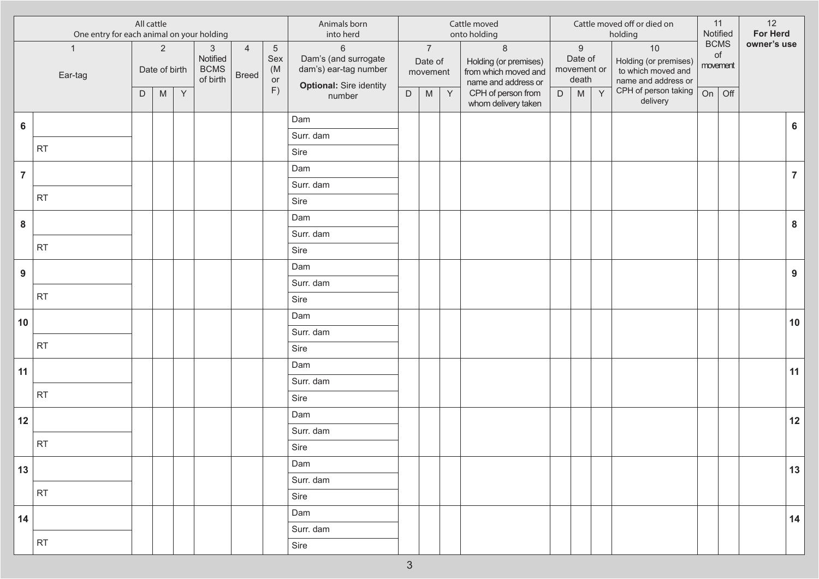|                |                         | All cattle<br>One entry for each animal on your holding<br>$\overline{2}$ |                                                                                                            |              |                                                   |                                |                                    | Animals born<br>into herd                                                                  |             |                                                                                                            |             | Cattle moved<br>onto holding                                                    |             |                                                     |   | Cattle moved off or died on<br>holding                                     |    | 11<br>Notified                | 12<br>For Herd |                  |
|----------------|-------------------------|---------------------------------------------------------------------------|------------------------------------------------------------------------------------------------------------|--------------|---------------------------------------------------|--------------------------------|------------------------------------|--------------------------------------------------------------------------------------------|-------------|------------------------------------------------------------------------------------------------------------|-------------|---------------------------------------------------------------------------------|-------------|-----------------------------------------------------|---|----------------------------------------------------------------------------|----|-------------------------------|----------------|------------------|
|                | $\mathbf{1}$<br>Ear-tag |                                                                           | Date of birth                                                                                              |              | $\sqrt{3}$<br>Notified<br><b>BCMS</b><br>of birth | $\overline{4}$<br><b>Breed</b> | $\overline{5}$<br>Sex<br>(M)<br>or | $\,6\,$<br>Dam's (and surrogate<br>dam's) ear-tag number<br><b>Optional: Sire identity</b> |             | $\overline{7}$<br>Date of<br>movement                                                                      |             | $\,8\,$<br>Holding (or premises)<br>from which moved and<br>name and address or |             | $\boldsymbol{9}$<br>Date of<br>movement or<br>death |   | $10$<br>Holding (or premises)<br>to which moved and<br>name and address or |    | <b>BCMS</b><br>of<br>movement | owner's use    |                  |
|                |                         | D                                                                         | $\mathsf{M}% _{T}=\mathsf{M}_{T}\!\left( a,b\right) ,\ \mathsf{M}_{T}=\mathsf{M}_{T}\!\left( a,b\right) ,$ | $\mathsf{Y}$ |                                                   |                                | F)                                 | number                                                                                     | $\mathsf D$ | $\mathsf{M}% _{T}=\mathsf{M}_{T}\!\left( a,b\right) ,\ \mathsf{M}_{T}=\mathsf{M}_{T}\!\left( a,b\right) ,$ | $\mathsf Y$ | CPH of person from<br>whom delivery taken                                       | $\mathsf D$ | M                                                   | Y | CPH of person taking<br>delivery                                           | On | Off                           |                |                  |
| 6              |                         |                                                                           |                                                                                                            |              |                                                   |                                |                                    | Dam                                                                                        |             |                                                                                                            |             |                                                                                 |             |                                                     |   |                                                                            |    |                               |                | $6\phantom{a}$   |
|                |                         |                                                                           |                                                                                                            |              |                                                   |                                |                                    | Surr. dam                                                                                  |             |                                                                                                            |             |                                                                                 |             |                                                     |   |                                                                            |    |                               |                |                  |
|                | RT                      |                                                                           |                                                                                                            |              |                                                   |                                |                                    | Sire                                                                                       |             |                                                                                                            |             |                                                                                 |             |                                                     |   |                                                                            |    |                               |                |                  |
| $\overline{7}$ |                         |                                                                           |                                                                                                            |              |                                                   |                                |                                    | Dam                                                                                        |             |                                                                                                            |             |                                                                                 |             |                                                     |   |                                                                            |    |                               |                | $\overline{7}$   |
|                |                         |                                                                           |                                                                                                            |              |                                                   |                                |                                    | Surr. dam                                                                                  |             |                                                                                                            |             |                                                                                 |             |                                                     |   |                                                                            |    |                               |                |                  |
|                | RT                      |                                                                           |                                                                                                            |              |                                                   |                                |                                    | Sire                                                                                       |             |                                                                                                            |             |                                                                                 |             |                                                     |   |                                                                            |    |                               |                |                  |
| ${\bf 8}$      |                         |                                                                           |                                                                                                            |              |                                                   |                                |                                    | Dam                                                                                        |             |                                                                                                            |             |                                                                                 |             |                                                     |   |                                                                            |    |                               |                | $\boldsymbol{8}$ |
|                |                         |                                                                           |                                                                                                            |              |                                                   |                                |                                    | Surr. dam                                                                                  |             |                                                                                                            |             |                                                                                 |             |                                                     |   |                                                                            |    |                               |                |                  |
|                | RT                      |                                                                           |                                                                                                            |              |                                                   |                                |                                    | Sire                                                                                       |             |                                                                                                            |             |                                                                                 |             |                                                     |   |                                                                            |    |                               |                |                  |
| 9              |                         |                                                                           |                                                                                                            |              |                                                   |                                |                                    | Dam                                                                                        |             |                                                                                                            |             |                                                                                 |             |                                                     |   |                                                                            |    |                               |                | 9                |
|                |                         |                                                                           |                                                                                                            |              |                                                   |                                |                                    | Surr. dam                                                                                  |             |                                                                                                            |             |                                                                                 |             |                                                     |   |                                                                            |    |                               |                |                  |
|                | RT                      |                                                                           |                                                                                                            |              |                                                   |                                |                                    | Sire                                                                                       |             |                                                                                                            |             |                                                                                 |             |                                                     |   |                                                                            |    |                               |                |                  |
| 10             |                         |                                                                           |                                                                                                            |              |                                                   |                                |                                    | Dam                                                                                        |             |                                                                                                            |             |                                                                                 |             |                                                     |   |                                                                            |    |                               |                | 10               |
|                |                         |                                                                           |                                                                                                            |              |                                                   |                                |                                    | Surr. dam                                                                                  |             |                                                                                                            |             |                                                                                 |             |                                                     |   |                                                                            |    |                               |                |                  |
|                | RT                      |                                                                           |                                                                                                            |              |                                                   |                                |                                    | Sire                                                                                       |             |                                                                                                            |             |                                                                                 |             |                                                     |   |                                                                            |    |                               |                |                  |
| 11             |                         |                                                                           |                                                                                                            |              |                                                   |                                |                                    | Dam                                                                                        |             |                                                                                                            |             |                                                                                 |             |                                                     |   |                                                                            |    |                               |                | 11               |
|                |                         |                                                                           |                                                                                                            |              |                                                   |                                |                                    | Surr. dam                                                                                  |             |                                                                                                            |             |                                                                                 |             |                                                     |   |                                                                            |    |                               |                |                  |
|                | <b>RT</b>               |                                                                           |                                                                                                            |              |                                                   |                                |                                    | Sire                                                                                       |             |                                                                                                            |             |                                                                                 |             |                                                     |   |                                                                            |    |                               |                |                  |
| 12             |                         |                                                                           |                                                                                                            |              |                                                   |                                |                                    | Dam                                                                                        |             |                                                                                                            |             |                                                                                 |             |                                                     |   |                                                                            |    |                               |                | $12$             |
|                |                         |                                                                           |                                                                                                            |              |                                                   |                                |                                    | Surr. dam                                                                                  |             |                                                                                                            |             |                                                                                 |             |                                                     |   |                                                                            |    |                               |                |                  |
|                | <b>RT</b>               |                                                                           |                                                                                                            |              |                                                   |                                |                                    | Sire                                                                                       |             |                                                                                                            |             |                                                                                 |             |                                                     |   |                                                                            |    |                               |                |                  |
| 13             |                         |                                                                           |                                                                                                            |              |                                                   |                                |                                    | Dam                                                                                        |             |                                                                                                            |             |                                                                                 |             |                                                     |   |                                                                            |    |                               |                | 13               |
|                |                         |                                                                           |                                                                                                            |              |                                                   |                                |                                    | Surr. dam                                                                                  |             |                                                                                                            |             |                                                                                 |             |                                                     |   |                                                                            |    |                               |                |                  |
|                | RT                      |                                                                           |                                                                                                            |              |                                                   |                                |                                    | Sire                                                                                       |             |                                                                                                            |             |                                                                                 |             |                                                     |   |                                                                            |    |                               |                |                  |
| 14             |                         |                                                                           |                                                                                                            |              |                                                   |                                |                                    | Dam                                                                                        |             |                                                                                                            |             |                                                                                 |             |                                                     |   |                                                                            |    |                               |                | 14               |
|                |                         |                                                                           |                                                                                                            |              |                                                   |                                |                                    | Surr. dam                                                                                  |             |                                                                                                            |             |                                                                                 |             |                                                     |   |                                                                            |    |                               |                |                  |
|                | RT                      |                                                                           |                                                                                                            |              |                                                   |                                |                                    | Sire                                                                                       |             |                                                                                                            |             |                                                                                 |             |                                                     |   |                                                                            |    |                               |                |                  |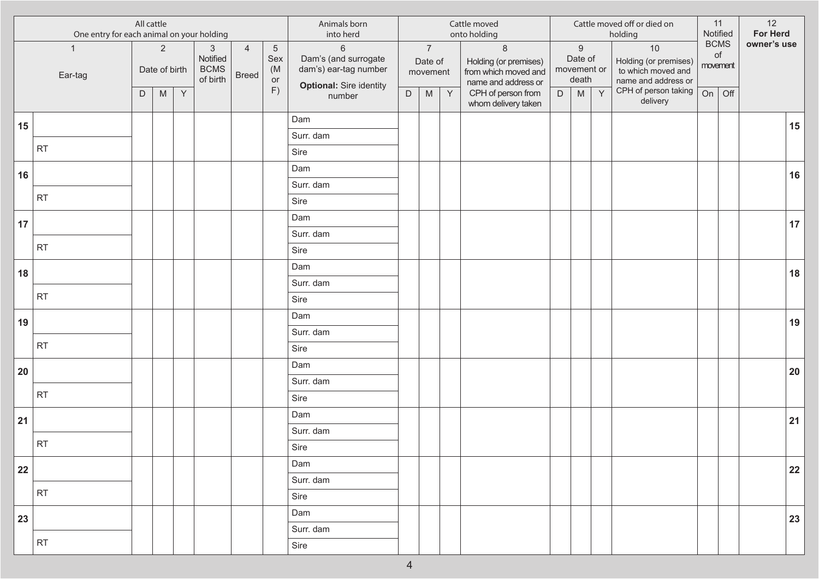|    | One entry for each animal on your holding | All cattle |                                                                                                            |              |                                                   |                                |                                    | Animals born<br>into herd                                                                  |             |                                                                                                            |             | Cattle moved<br>onto holding                                                    |             |                                                     |   | Cattle moved off or died on<br>holding                                   |    | 11<br>Notified                | 12<br>For Herd |        |
|----|-------------------------------------------|------------|------------------------------------------------------------------------------------------------------------|--------------|---------------------------------------------------|--------------------------------|------------------------------------|--------------------------------------------------------------------------------------------|-------------|------------------------------------------------------------------------------------------------------------|-------------|---------------------------------------------------------------------------------|-------------|-----------------------------------------------------|---|--------------------------------------------------------------------------|----|-------------------------------|----------------|--------|
|    | $\mathbf{1}$<br>Ear-tag                   |            | $\overline{2}$<br>Date of birth                                                                            |              | $\sqrt{3}$<br>Notified<br><b>BCMS</b><br>of birth | $\overline{4}$<br><b>Breed</b> | $\overline{5}$<br>Sex<br>(M)<br>or | $\,6\,$<br>Dam's (and surrogate<br>dam's) ear-tag number<br><b>Optional: Sire identity</b> |             | $\overline{7}$<br>Date of<br>movement                                                                      |             | $\,8\,$<br>Holding (or premises)<br>from which moved and<br>name and address or |             | $\boldsymbol{9}$<br>Date of<br>movement or<br>death |   | 10<br>Holding (or premises)<br>to which moved and<br>name and address or |    | <b>BCMS</b><br>of<br>movement | owner's use    |        |
|    |                                           | D          | $\mathsf{M}% _{T}=\mathsf{M}_{T}\!\left( a,b\right) ,\ \mathsf{M}_{T}=\mathsf{M}_{T}\!\left( a,b\right) ,$ | $\mathsf{Y}$ |                                                   |                                | F)                                 | number                                                                                     | $\mathsf D$ | $\mathsf{M}% _{T}=\mathsf{M}_{T}\!\left( a,b\right) ,\ \mathsf{M}_{T}=\mathsf{M}_{T}\!\left( a,b\right) ,$ | $\mathsf Y$ | CPH of person from<br>whom delivery taken                                       | $\mathsf D$ | M                                                   | Y | CPH of person taking<br>delivery                                         | On | Off                           |                |        |
| 15 |                                           |            |                                                                                                            |              |                                                   |                                |                                    | Dam                                                                                        |             |                                                                                                            |             |                                                                                 |             |                                                     |   |                                                                          |    |                               |                | 15     |
|    |                                           |            |                                                                                                            |              |                                                   |                                |                                    | Surr. dam                                                                                  |             |                                                                                                            |             |                                                                                 |             |                                                     |   |                                                                          |    |                               |                |        |
|    | RT                                        |            |                                                                                                            |              |                                                   |                                |                                    | Sire                                                                                       |             |                                                                                                            |             |                                                                                 |             |                                                     |   |                                                                          |    |                               |                |        |
| 16 |                                           |            |                                                                                                            |              |                                                   |                                |                                    | Dam                                                                                        |             |                                                                                                            |             |                                                                                 |             |                                                     |   |                                                                          |    |                               |                | 16     |
|    |                                           |            |                                                                                                            |              |                                                   |                                |                                    | Surr. dam                                                                                  |             |                                                                                                            |             |                                                                                 |             |                                                     |   |                                                                          |    |                               |                |        |
|    | RT                                        |            |                                                                                                            |              |                                                   |                                |                                    | Sire                                                                                       |             |                                                                                                            |             |                                                                                 |             |                                                     |   |                                                                          |    |                               |                |        |
| 17 |                                           |            |                                                                                                            |              |                                                   |                                |                                    | Dam                                                                                        |             |                                                                                                            |             |                                                                                 |             |                                                     |   |                                                                          |    |                               |                | 17     |
|    |                                           |            |                                                                                                            |              |                                                   |                                |                                    | Surr. dam                                                                                  |             |                                                                                                            |             |                                                                                 |             |                                                     |   |                                                                          |    |                               |                |        |
|    | RT                                        |            |                                                                                                            |              |                                                   |                                |                                    | Sire                                                                                       |             |                                                                                                            |             |                                                                                 |             |                                                     |   |                                                                          |    |                               |                |        |
| 18 |                                           |            |                                                                                                            |              |                                                   |                                |                                    | Dam                                                                                        |             |                                                                                                            |             |                                                                                 |             |                                                     |   |                                                                          |    |                               |                | 18     |
|    |                                           |            |                                                                                                            |              |                                                   |                                |                                    | Surr. dam                                                                                  |             |                                                                                                            |             |                                                                                 |             |                                                     |   |                                                                          |    |                               |                |        |
|    | RT                                        |            |                                                                                                            |              |                                                   |                                |                                    | Sire                                                                                       |             |                                                                                                            |             |                                                                                 |             |                                                     |   |                                                                          |    |                               |                |        |
| 19 |                                           |            |                                                                                                            |              |                                                   |                                |                                    | Dam                                                                                        |             |                                                                                                            |             |                                                                                 |             |                                                     |   |                                                                          |    |                               |                | 19     |
|    |                                           |            |                                                                                                            |              |                                                   |                                |                                    | Surr. dam                                                                                  |             |                                                                                                            |             |                                                                                 |             |                                                     |   |                                                                          |    |                               |                |        |
|    | RT                                        |            |                                                                                                            |              |                                                   |                                |                                    | Sire                                                                                       |             |                                                                                                            |             |                                                                                 |             |                                                     |   |                                                                          |    |                               |                |        |
| 20 |                                           |            |                                                                                                            |              |                                                   |                                |                                    | Dam                                                                                        |             |                                                                                                            |             |                                                                                 |             |                                                     |   |                                                                          |    |                               |                | $20\,$ |
|    |                                           |            |                                                                                                            |              |                                                   |                                |                                    | Surr. dam                                                                                  |             |                                                                                                            |             |                                                                                 |             |                                                     |   |                                                                          |    |                               |                |        |
|    | <b>RT</b>                                 |            |                                                                                                            |              |                                                   |                                |                                    | Sire                                                                                       |             |                                                                                                            |             |                                                                                 |             |                                                     |   |                                                                          |    |                               |                |        |
| 21 |                                           |            |                                                                                                            |              |                                                   |                                |                                    | Dam                                                                                        |             |                                                                                                            |             |                                                                                 |             |                                                     |   |                                                                          |    |                               |                | 21     |
|    |                                           |            |                                                                                                            |              |                                                   |                                |                                    | Surr. dam                                                                                  |             |                                                                                                            |             |                                                                                 |             |                                                     |   |                                                                          |    |                               |                |        |
|    | <b>RT</b>                                 |            |                                                                                                            |              |                                                   |                                |                                    | Sire                                                                                       |             |                                                                                                            |             |                                                                                 |             |                                                     |   |                                                                          |    |                               |                |        |
| 22 |                                           |            |                                                                                                            |              |                                                   |                                |                                    | Dam                                                                                        |             |                                                                                                            |             |                                                                                 |             |                                                     |   |                                                                          |    |                               |                | 22     |
|    | RT                                        |            |                                                                                                            |              |                                                   |                                |                                    | Surr. dam                                                                                  |             |                                                                                                            |             |                                                                                 |             |                                                     |   |                                                                          |    |                               |                |        |
|    |                                           |            |                                                                                                            |              |                                                   |                                |                                    | Sire                                                                                       |             |                                                                                                            |             |                                                                                 |             |                                                     |   |                                                                          |    |                               |                |        |
| 23 |                                           |            |                                                                                                            |              |                                                   |                                |                                    | Dam                                                                                        |             |                                                                                                            |             |                                                                                 |             |                                                     |   |                                                                          |    |                               |                | 23     |
|    |                                           |            |                                                                                                            |              |                                                   |                                |                                    | Surr. dam                                                                                  |             |                                                                                                            |             |                                                                                 |             |                                                     |   |                                                                          |    |                               |                |        |
|    | RT                                        |            |                                                                                                            |              |                                                   |                                |                                    | Sire                                                                                       |             |                                                                                                            |             |                                                                                 |             |                                                     |   |                                                                          |    |                               |                |        |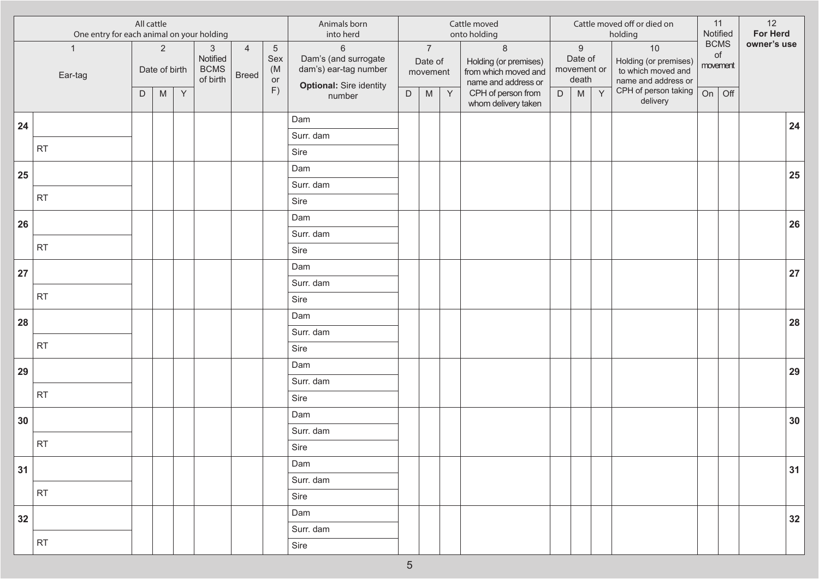|        | One entry for each animal on your holding | All cattle |                                 |              |                                                     |                                |                                          | Animals born<br>into herd                                                                |             |                                       |              | Cattle moved<br>onto holding                                                     |             |                                                     |   | Cattle moved off or died on<br>holding                                                           |    | 11<br>Notified                | 12<br><b>For Herd</b> |                 |
|--------|-------------------------------------------|------------|---------------------------------|--------------|-----------------------------------------------------|--------------------------------|------------------------------------------|------------------------------------------------------------------------------------------|-------------|---------------------------------------|--------------|----------------------------------------------------------------------------------|-------------|-----------------------------------------------------|---|--------------------------------------------------------------------------------------------------|----|-------------------------------|-----------------------|-----------------|
|        | $\mathbf{1}$<br>Ear-tag                   |            | $\overline{2}$<br>Date of birth |              | $\mathbf{3}$<br>Notified<br><b>BCMS</b><br>of birth | $\overline{4}$<br><b>Breed</b> | $\overline{5}$<br>Sex<br>(M)<br>or<br>F) | $6\,$<br>Dam's (and surrogate<br>dam's) ear-tag number<br><b>Optional: Sire identity</b> |             | $\overline{7}$<br>Date of<br>movement |              | $\delta$<br>Holding (or premises)<br>from which moved and<br>name and address or |             | $\boldsymbol{9}$<br>Date of<br>movement or<br>death |   | 10<br>Holding (or premises)<br>to which moved and<br>name and address or<br>CPH of person taking |    | <b>BCMS</b><br>of<br>movement | owner's use           |                 |
|        |                                           | D          | M                               | $\mathsf{Y}$ |                                                     |                                |                                          | number                                                                                   | $\mathsf D$ | M                                     | $\mathsf{Y}$ | CPH of person from<br>whom delivery taken                                        | $\mathsf D$ | M                                                   | Y | delivery                                                                                         | On | Off                           |                       |                 |
| 24     |                                           |            |                                 |              |                                                     |                                |                                          | Dam                                                                                      |             |                                       |              |                                                                                  |             |                                                     |   |                                                                                                  |    |                               |                       | 24              |
|        |                                           |            |                                 |              |                                                     |                                |                                          | Surr. dam                                                                                |             |                                       |              |                                                                                  |             |                                                     |   |                                                                                                  |    |                               |                       |                 |
|        | <b>RT</b>                                 |            |                                 |              |                                                     |                                |                                          | Sire                                                                                     |             |                                       |              |                                                                                  |             |                                                     |   |                                                                                                  |    |                               |                       |                 |
| 25     |                                           |            |                                 |              |                                                     |                                |                                          | Dam                                                                                      |             |                                       |              |                                                                                  |             |                                                     |   |                                                                                                  |    |                               |                       | 25              |
|        |                                           |            |                                 |              |                                                     |                                |                                          | Surr. dam                                                                                |             |                                       |              |                                                                                  |             |                                                     |   |                                                                                                  |    |                               |                       |                 |
|        | RT                                        |            |                                 |              |                                                     |                                |                                          | Sire                                                                                     |             |                                       |              |                                                                                  |             |                                                     |   |                                                                                                  |    |                               |                       |                 |
| 26     |                                           |            |                                 |              |                                                     |                                |                                          | Dam                                                                                      |             |                                       |              |                                                                                  |             |                                                     |   |                                                                                                  |    |                               |                       | 26              |
|        |                                           |            |                                 |              |                                                     |                                |                                          | Surr. dam                                                                                |             |                                       |              |                                                                                  |             |                                                     |   |                                                                                                  |    |                               |                       |                 |
|        | RT                                        |            |                                 |              |                                                     |                                |                                          | Sire                                                                                     |             |                                       |              |                                                                                  |             |                                                     |   |                                                                                                  |    |                               |                       |                 |
| 27     |                                           |            |                                 |              |                                                     |                                |                                          | Dam                                                                                      |             |                                       |              |                                                                                  |             |                                                     |   |                                                                                                  |    |                               |                       | 27              |
|        |                                           |            |                                 |              |                                                     |                                |                                          | Surr. dam                                                                                |             |                                       |              |                                                                                  |             |                                                     |   |                                                                                                  |    |                               |                       |                 |
|        | <b>RT</b>                                 |            |                                 |              |                                                     |                                |                                          | Sire                                                                                     |             |                                       |              |                                                                                  |             |                                                     |   |                                                                                                  |    |                               |                       |                 |
| 28     |                                           |            |                                 |              |                                                     |                                |                                          | Dam                                                                                      |             |                                       |              |                                                                                  |             |                                                     |   |                                                                                                  |    |                               |                       | 28              |
|        |                                           |            |                                 |              |                                                     |                                |                                          | Surr. dam                                                                                |             |                                       |              |                                                                                  |             |                                                     |   |                                                                                                  |    |                               |                       |                 |
|        | RT                                        |            |                                 |              |                                                     |                                |                                          | Sire                                                                                     |             |                                       |              |                                                                                  |             |                                                     |   |                                                                                                  |    |                               |                       |                 |
| 29     |                                           |            |                                 |              |                                                     |                                |                                          | Dam                                                                                      |             |                                       |              |                                                                                  |             |                                                     |   |                                                                                                  |    |                               |                       | 29              |
|        |                                           |            |                                 |              |                                                     |                                |                                          | Surr. dam                                                                                |             |                                       |              |                                                                                  |             |                                                     |   |                                                                                                  |    |                               |                       |                 |
|        | <b>RT</b>                                 |            |                                 |              |                                                     |                                |                                          | Sire                                                                                     |             |                                       |              |                                                                                  |             |                                                     |   |                                                                                                  |    |                               |                       |                 |
| $30\,$ |                                           |            |                                 |              |                                                     |                                |                                          | Dam                                                                                      |             |                                       |              |                                                                                  |             |                                                     |   |                                                                                                  |    |                               |                       | 30 <sup>°</sup> |
|        |                                           |            |                                 |              |                                                     |                                |                                          | Surr. dam                                                                                |             |                                       |              |                                                                                  |             |                                                     |   |                                                                                                  |    |                               |                       |                 |
|        | <b>RT</b>                                 |            |                                 |              |                                                     |                                |                                          | Sire                                                                                     |             |                                       |              |                                                                                  |             |                                                     |   |                                                                                                  |    |                               |                       |                 |
| 31     |                                           |            |                                 |              |                                                     |                                |                                          | Dam                                                                                      |             |                                       |              |                                                                                  |             |                                                     |   |                                                                                                  |    |                               |                       | 31              |
|        |                                           |            |                                 |              |                                                     |                                |                                          | Surr. dam                                                                                |             |                                       |              |                                                                                  |             |                                                     |   |                                                                                                  |    |                               |                       |                 |
|        | RT                                        |            |                                 |              |                                                     |                                |                                          | Sire                                                                                     |             |                                       |              |                                                                                  |             |                                                     |   |                                                                                                  |    |                               |                       |                 |
| 32     |                                           |            |                                 |              |                                                     |                                |                                          | Dam                                                                                      |             |                                       |              |                                                                                  |             |                                                     |   |                                                                                                  |    |                               |                       | 32              |
|        |                                           |            |                                 |              |                                                     |                                |                                          | Surr. dam                                                                                |             |                                       |              |                                                                                  |             |                                                     |   |                                                                                                  |    |                               |                       |                 |
|        | RT                                        |            |                                 |              |                                                     |                                |                                          | Sire                                                                                     |             |                                       |              |                                                                                  |             |                                                     |   |                                                                                                  |    |                               |                       |                 |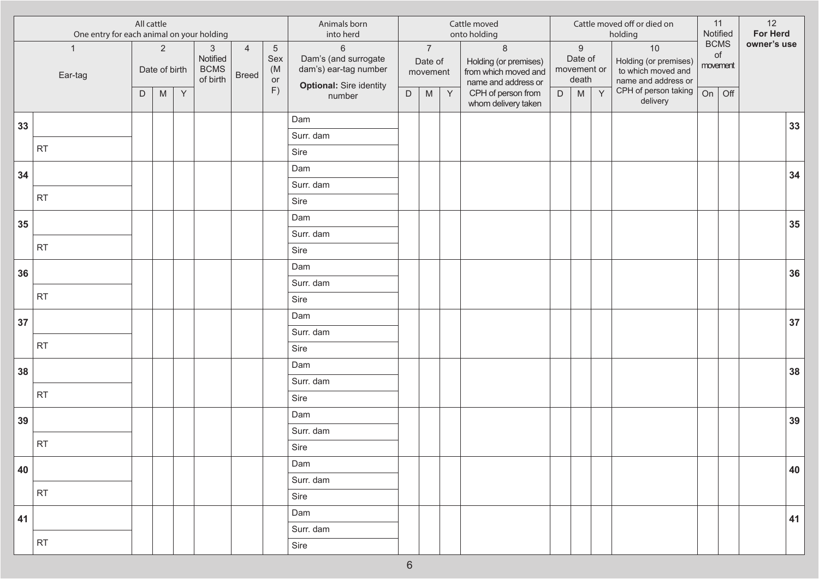|    | One entry for each animal on your holding | All cattle |                                 |   |                                                   |                                |                                    | Animals born<br>into herd                                                                  |             |                                                                                                            |             | Cattle moved<br>onto holding                                                    |             |                                                     |   | Cattle moved off or died on<br>holding                                   |    | 11<br>Notified                | 12<br>For Herd |                 |
|----|-------------------------------------------|------------|---------------------------------|---|---------------------------------------------------|--------------------------------|------------------------------------|--------------------------------------------------------------------------------------------|-------------|------------------------------------------------------------------------------------------------------------|-------------|---------------------------------------------------------------------------------|-------------|-----------------------------------------------------|---|--------------------------------------------------------------------------|----|-------------------------------|----------------|-----------------|
|    | $\mathbf{1}$<br>Ear-tag                   |            | $\overline{2}$<br>Date of birth |   | $\sqrt{3}$<br>Notified<br><b>BCMS</b><br>of birth | $\overline{4}$<br><b>Breed</b> | $\overline{5}$<br>Sex<br>(M)<br>or | $\,6\,$<br>Dam's (and surrogate<br>dam's) ear-tag number<br><b>Optional: Sire identity</b> |             | $\overline{7}$<br>Date of<br>movement                                                                      |             | $\,8\,$<br>Holding (or premises)<br>from which moved and<br>name and address or |             | $\boldsymbol{9}$<br>Date of<br>movement or<br>death |   | 10<br>Holding (or premises)<br>to which moved and<br>name and address or |    | <b>BCMS</b><br>of<br>movement | owner's use    |                 |
|    |                                           | D          | M                               | Y |                                                   |                                | F)                                 | number                                                                                     | $\mathsf D$ | $\mathsf{M}% _{T}=\mathsf{M}_{T}\!\left( a,b\right) ,\ \mathsf{M}_{T}=\mathsf{M}_{T}\!\left( a,b\right) ,$ | $\mathsf Y$ | CPH of person from<br>whom delivery taken                                       | $\mathsf D$ | M                                                   | Y | CPH of person taking<br>delivery                                         | On | Off                           |                |                 |
| 33 |                                           |            |                                 |   |                                                   |                                |                                    | Dam                                                                                        |             |                                                                                                            |             |                                                                                 |             |                                                     |   |                                                                          |    |                               |                | 33              |
|    |                                           |            |                                 |   |                                                   |                                |                                    | Surr. dam                                                                                  |             |                                                                                                            |             |                                                                                 |             |                                                     |   |                                                                          |    |                               |                |                 |
|    | RT                                        |            |                                 |   |                                                   |                                |                                    | Sire                                                                                       |             |                                                                                                            |             |                                                                                 |             |                                                     |   |                                                                          |    |                               |                |                 |
| 34 |                                           |            |                                 |   |                                                   |                                |                                    | Dam                                                                                        |             |                                                                                                            |             |                                                                                 |             |                                                     |   |                                                                          |    |                               |                | 34              |
|    |                                           |            |                                 |   |                                                   |                                |                                    | Surr. dam                                                                                  |             |                                                                                                            |             |                                                                                 |             |                                                     |   |                                                                          |    |                               |                |                 |
|    | RT                                        |            |                                 |   |                                                   |                                |                                    | Sire                                                                                       |             |                                                                                                            |             |                                                                                 |             |                                                     |   |                                                                          |    |                               |                |                 |
| 35 |                                           |            |                                 |   |                                                   |                                |                                    | Dam                                                                                        |             |                                                                                                            |             |                                                                                 |             |                                                     |   |                                                                          |    |                               |                | $35\phantom{a}$ |
|    |                                           |            |                                 |   |                                                   |                                |                                    | Surr. dam                                                                                  |             |                                                                                                            |             |                                                                                 |             |                                                     |   |                                                                          |    |                               |                |                 |
|    | RT                                        |            |                                 |   |                                                   |                                |                                    | Sire                                                                                       |             |                                                                                                            |             |                                                                                 |             |                                                     |   |                                                                          |    |                               |                |                 |
| 36 |                                           |            |                                 |   |                                                   |                                |                                    | Dam                                                                                        |             |                                                                                                            |             |                                                                                 |             |                                                     |   |                                                                          |    |                               |                | 36              |
|    |                                           |            |                                 |   |                                                   |                                |                                    | Surr. dam                                                                                  |             |                                                                                                            |             |                                                                                 |             |                                                     |   |                                                                          |    |                               |                |                 |
|    | RT                                        |            |                                 |   |                                                   |                                |                                    | Sire                                                                                       |             |                                                                                                            |             |                                                                                 |             |                                                     |   |                                                                          |    |                               |                |                 |
| 37 |                                           |            |                                 |   |                                                   |                                |                                    | Dam                                                                                        |             |                                                                                                            |             |                                                                                 |             |                                                     |   |                                                                          |    |                               |                | 37              |
|    | RT                                        |            |                                 |   |                                                   |                                |                                    | Surr. dam                                                                                  |             |                                                                                                            |             |                                                                                 |             |                                                     |   |                                                                          |    |                               |                |                 |
|    |                                           |            |                                 |   |                                                   |                                |                                    | Sire                                                                                       |             |                                                                                                            |             |                                                                                 |             |                                                     |   |                                                                          |    |                               |                |                 |
| 38 |                                           |            |                                 |   |                                                   |                                |                                    | Dam                                                                                        |             |                                                                                                            |             |                                                                                 |             |                                                     |   |                                                                          |    |                               |                | 38              |
|    | <b>RT</b>                                 |            |                                 |   |                                                   |                                |                                    | Surr. dam                                                                                  |             |                                                                                                            |             |                                                                                 |             |                                                     |   |                                                                          |    |                               |                |                 |
|    |                                           |            |                                 |   |                                                   |                                |                                    | Sire                                                                                       |             |                                                                                                            |             |                                                                                 |             |                                                     |   |                                                                          |    |                               |                |                 |
| 39 |                                           |            |                                 |   |                                                   |                                |                                    | Dam                                                                                        |             |                                                                                                            |             |                                                                                 |             |                                                     |   |                                                                          |    |                               |                | 39              |
|    | <b>RT</b>                                 |            |                                 |   |                                                   |                                |                                    | Surr. dam                                                                                  |             |                                                                                                            |             |                                                                                 |             |                                                     |   |                                                                          |    |                               |                |                 |
|    |                                           |            |                                 |   |                                                   |                                |                                    | Sire                                                                                       |             |                                                                                                            |             |                                                                                 |             |                                                     |   |                                                                          |    |                               |                |                 |
| 40 |                                           |            |                                 |   |                                                   |                                |                                    | Dam                                                                                        |             |                                                                                                            |             |                                                                                 |             |                                                     |   |                                                                          |    |                               |                | 40              |
|    | RT                                        |            |                                 |   |                                                   |                                |                                    | Surr. dam                                                                                  |             |                                                                                                            |             |                                                                                 |             |                                                     |   |                                                                          |    |                               |                |                 |
|    |                                           |            |                                 |   |                                                   |                                |                                    | Sire                                                                                       |             |                                                                                                            |             |                                                                                 |             |                                                     |   |                                                                          |    |                               |                |                 |
| 41 |                                           |            |                                 |   |                                                   |                                |                                    | Dam                                                                                        |             |                                                                                                            |             |                                                                                 |             |                                                     |   |                                                                          |    |                               |                | 41              |
|    | RT                                        |            |                                 |   |                                                   |                                |                                    | Surr. dam                                                                                  |             |                                                                                                            |             |                                                                                 |             |                                                     |   |                                                                          |    |                               |                |                 |
|    |                                           |            |                                 |   |                                                   |                                |                                    | Sire                                                                                       |             |                                                                                                            |             |                                                                                 |             |                                                     |   |                                                                          |    |                               |                |                 |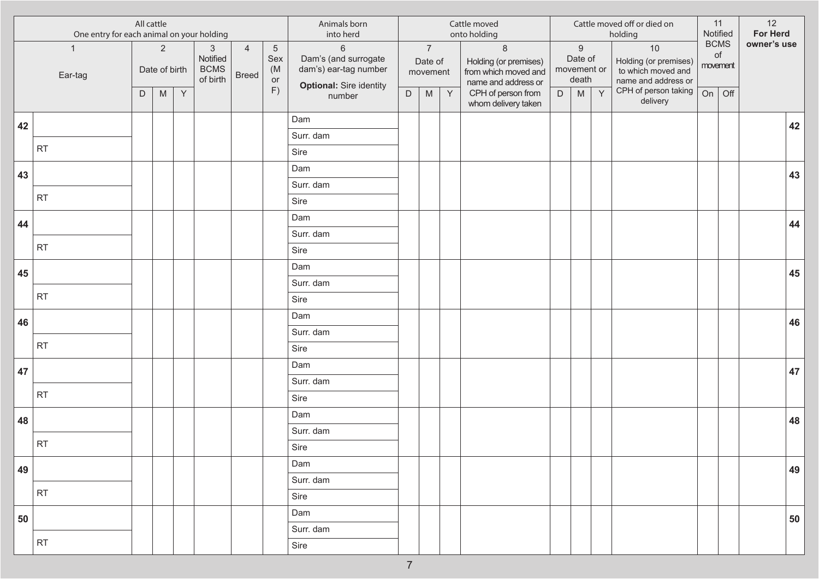|    | One entry for each animal on your holding | All cattle |                                                                                                            |             |                                                     |                                |                                    | Animals born<br>into herd                                                                  |             |                                                                                                            |              | Cattle moved<br>onto holding                                                    |             |                                                                                                            |   | Cattle moved off or died on<br>holding                                     |    | 11<br>Notified                | 12<br>For Herd |    |
|----|-------------------------------------------|------------|------------------------------------------------------------------------------------------------------------|-------------|-----------------------------------------------------|--------------------------------|------------------------------------|--------------------------------------------------------------------------------------------|-------------|------------------------------------------------------------------------------------------------------------|--------------|---------------------------------------------------------------------------------|-------------|------------------------------------------------------------------------------------------------------------|---|----------------------------------------------------------------------------|----|-------------------------------|----------------|----|
|    | $\mathbf{1}$<br>Ear-tag                   |            | $\overline{2}$<br>Date of birth                                                                            |             | $\mathbf{3}$<br>Notified<br><b>BCMS</b><br>of birth | $\overline{4}$<br><b>Breed</b> | $\overline{5}$<br>Sex<br>(M)<br>or | $\,6\,$<br>Dam's (and surrogate<br>dam's) ear-tag number<br><b>Optional: Sire identity</b> |             | $\overline{7}$<br>Date of<br>movement                                                                      |              | $\,8\,$<br>Holding (or premises)<br>from which moved and<br>name and address or |             | $\boldsymbol{9}$<br>Date of<br>movement or<br>death                                                        |   | $10$<br>Holding (or premises)<br>to which moved and<br>name and address or |    | <b>BCMS</b><br>of<br>movement | owner's use    |    |
|    |                                           | D          | $\mathsf{M}% _{T}=\mathsf{M}_{T}\!\left( a,b\right) ,\ \mathsf{M}_{T}=\mathsf{M}_{T}\!\left( a,b\right) ,$ | $\mathsf Y$ |                                                     |                                | F)                                 | number                                                                                     | $\mathsf D$ | $\mathsf{M}% _{T}=\mathsf{M}_{T}\!\left( a,b\right) ,\ \mathsf{M}_{T}=\mathsf{M}_{T}\!\left( a,b\right) ,$ | $\mathsf{Y}$ | CPH of person from<br>whom delivery taken                                       | $\mathsf D$ | $\mathsf{M}% _{T}=\mathsf{M}_{T}\!\left( a,b\right) ,\ \mathsf{M}_{T}=\mathsf{M}_{T}\!\left( a,b\right) ,$ | Y | CPH of person taking<br>delivery                                           | On | Off                           |                |    |
| 42 |                                           |            |                                                                                                            |             |                                                     |                                |                                    | Dam                                                                                        |             |                                                                                                            |              |                                                                                 |             |                                                                                                            |   |                                                                            |    |                               |                | 42 |
|    |                                           |            |                                                                                                            |             |                                                     |                                |                                    | Surr. dam                                                                                  |             |                                                                                                            |              |                                                                                 |             |                                                                                                            |   |                                                                            |    |                               |                |    |
|    | <b>RT</b>                                 |            |                                                                                                            |             |                                                     |                                |                                    | Sire                                                                                       |             |                                                                                                            |              |                                                                                 |             |                                                                                                            |   |                                                                            |    |                               |                |    |
| 43 |                                           |            |                                                                                                            |             |                                                     |                                |                                    | Dam                                                                                        |             |                                                                                                            |              |                                                                                 |             |                                                                                                            |   |                                                                            |    |                               |                | 43 |
|    |                                           |            |                                                                                                            |             |                                                     |                                |                                    | Surr. dam                                                                                  |             |                                                                                                            |              |                                                                                 |             |                                                                                                            |   |                                                                            |    |                               |                |    |
|    | <b>RT</b>                                 |            |                                                                                                            |             |                                                     |                                |                                    | Sire                                                                                       |             |                                                                                                            |              |                                                                                 |             |                                                                                                            |   |                                                                            |    |                               |                |    |
| 44 |                                           |            |                                                                                                            |             |                                                     |                                |                                    | Dam                                                                                        |             |                                                                                                            |              |                                                                                 |             |                                                                                                            |   |                                                                            |    |                               |                | 44 |
|    |                                           |            |                                                                                                            |             |                                                     |                                |                                    | Surr. dam                                                                                  |             |                                                                                                            |              |                                                                                 |             |                                                                                                            |   |                                                                            |    |                               |                |    |
|    | <b>RT</b>                                 |            |                                                                                                            |             |                                                     |                                |                                    | Sire                                                                                       |             |                                                                                                            |              |                                                                                 |             |                                                                                                            |   |                                                                            |    |                               |                |    |
| 45 |                                           |            |                                                                                                            |             |                                                     |                                |                                    | Dam                                                                                        |             |                                                                                                            |              |                                                                                 |             |                                                                                                            |   |                                                                            |    |                               |                | 45 |
|    |                                           |            |                                                                                                            |             |                                                     |                                |                                    | Surr. dam                                                                                  |             |                                                                                                            |              |                                                                                 |             |                                                                                                            |   |                                                                            |    |                               |                |    |
|    | <b>RT</b>                                 |            |                                                                                                            |             |                                                     |                                |                                    | Sire                                                                                       |             |                                                                                                            |              |                                                                                 |             |                                                                                                            |   |                                                                            |    |                               |                |    |
| 46 |                                           |            |                                                                                                            |             |                                                     |                                |                                    | Dam                                                                                        |             |                                                                                                            |              |                                                                                 |             |                                                                                                            |   |                                                                            |    |                               |                | 46 |
|    |                                           |            |                                                                                                            |             |                                                     |                                |                                    | Surr. dam                                                                                  |             |                                                                                                            |              |                                                                                 |             |                                                                                                            |   |                                                                            |    |                               |                |    |
|    | <b>RT</b>                                 |            |                                                                                                            |             |                                                     |                                |                                    | Sire                                                                                       |             |                                                                                                            |              |                                                                                 |             |                                                                                                            |   |                                                                            |    |                               |                |    |
| 47 |                                           |            |                                                                                                            |             |                                                     |                                |                                    | Dam                                                                                        |             |                                                                                                            |              |                                                                                 |             |                                                                                                            |   |                                                                            |    |                               |                | 47 |
|    |                                           |            |                                                                                                            |             |                                                     |                                |                                    | Surr. dam                                                                                  |             |                                                                                                            |              |                                                                                 |             |                                                                                                            |   |                                                                            |    |                               |                |    |
|    | <b>RT</b>                                 |            |                                                                                                            |             |                                                     |                                |                                    | Sire                                                                                       |             |                                                                                                            |              |                                                                                 |             |                                                                                                            |   |                                                                            |    |                               |                |    |
| 48 |                                           |            |                                                                                                            |             |                                                     |                                |                                    | Dam                                                                                        |             |                                                                                                            |              |                                                                                 |             |                                                                                                            |   |                                                                            |    |                               |                | 48 |
|    | <b>RT</b>                                 |            |                                                                                                            |             |                                                     |                                |                                    | Surr. dam                                                                                  |             |                                                                                                            |              |                                                                                 |             |                                                                                                            |   |                                                                            |    |                               |                |    |
|    |                                           |            |                                                                                                            |             |                                                     |                                |                                    | Sire                                                                                       |             |                                                                                                            |              |                                                                                 |             |                                                                                                            |   |                                                                            |    |                               |                |    |
| 49 |                                           |            |                                                                                                            |             |                                                     |                                |                                    | Dam                                                                                        |             |                                                                                                            |              |                                                                                 |             |                                                                                                            |   |                                                                            |    |                               |                | 49 |
|    | <b>RT</b>                                 |            |                                                                                                            |             |                                                     |                                |                                    | Surr. dam                                                                                  |             |                                                                                                            |              |                                                                                 |             |                                                                                                            |   |                                                                            |    |                               |                |    |
|    |                                           |            |                                                                                                            |             |                                                     |                                |                                    | Sire                                                                                       |             |                                                                                                            |              |                                                                                 |             |                                                                                                            |   |                                                                            |    |                               |                |    |
| 50 |                                           |            |                                                                                                            |             |                                                     |                                |                                    | Dam                                                                                        |             |                                                                                                            |              |                                                                                 |             |                                                                                                            |   |                                                                            |    |                               |                | 50 |
|    | <b>RT</b>                                 |            |                                                                                                            |             |                                                     |                                |                                    | Surr. dam                                                                                  |             |                                                                                                            |              |                                                                                 |             |                                                                                                            |   |                                                                            |    |                               |                |    |
|    |                                           |            |                                                                                                            |             |                                                     |                                |                                    | Sire                                                                                       |             |                                                                                                            |              |                                                                                 |             |                                                                                                            |   |                                                                            |    |                               |                |    |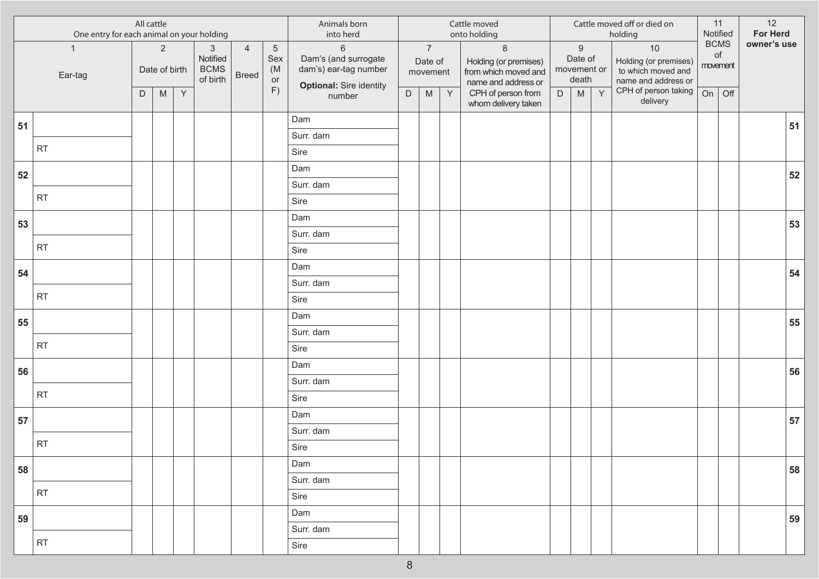|    | One entry for each animal on your holding | All cattle |                                                                                                            |             |                                                       |                                |                                    | Animals born<br>into herd                                                                  |             |                                                                                                            |              | Cattle moved<br>onto holding                                                    |             |                                                     |   | Cattle moved off or died on<br>holding                                     | Notified | 11                            | 12<br>For Herd |    |
|----|-------------------------------------------|------------|------------------------------------------------------------------------------------------------------------|-------------|-------------------------------------------------------|--------------------------------|------------------------------------|--------------------------------------------------------------------------------------------|-------------|------------------------------------------------------------------------------------------------------------|--------------|---------------------------------------------------------------------------------|-------------|-----------------------------------------------------|---|----------------------------------------------------------------------------|----------|-------------------------------|----------------|----|
|    | $\mathbf{1}$<br>Ear-tag                   |            | $\overline{2}$<br>Date of birth                                                                            |             | $\mathfrak{S}$<br>Notified<br><b>BCMS</b><br>of birth | $\overline{4}$<br><b>Breed</b> | $\overline{5}$<br>Sex<br>(M)<br>or | $\,6\,$<br>Dam's (and surrogate<br>dam's) ear-tag number<br><b>Optional: Sire identity</b> |             | $\overline{7}$<br>Date of<br>movement                                                                      |              | $\,8\,$<br>Holding (or premises)<br>from which moved and<br>name and address or |             | $\boldsymbol{9}$<br>Date of<br>movement or<br>death |   | $10$<br>Holding (or premises)<br>to which moved and<br>name and address or |          | <b>BCMS</b><br>of<br>movement | owner's use    |    |
|    |                                           | D          | $\mathsf{M}% _{T}=\mathsf{M}_{T}\!\left( a,b\right) ,\ \mathsf{M}_{T}=\mathsf{M}_{T}\!\left( a,b\right) ,$ | $\mathsf Y$ |                                                       |                                | F)                                 | number                                                                                     | $\mathsf D$ | $\mathsf{M}% _{T}=\mathsf{M}_{T}\!\left( a,b\right) ,\ \mathsf{M}_{T}=\mathsf{M}_{T}\!\left( a,b\right) ,$ | $\mathsf{Y}$ | CPH of person from<br>whom delivery taken                                       | $\mathsf D$ | M                                                   | Y | CPH of person taking<br>delivery                                           | On       | Off                           |                |    |
| 51 |                                           |            |                                                                                                            |             |                                                       |                                |                                    | Dam                                                                                        |             |                                                                                                            |              |                                                                                 |             |                                                     |   |                                                                            |          |                               |                | 51 |
|    |                                           |            |                                                                                                            |             |                                                       |                                |                                    | Surr. dam                                                                                  |             |                                                                                                            |              |                                                                                 |             |                                                     |   |                                                                            |          |                               |                |    |
|    | <b>RT</b>                                 |            |                                                                                                            |             |                                                       |                                |                                    | Sire                                                                                       |             |                                                                                                            |              |                                                                                 |             |                                                     |   |                                                                            |          |                               |                |    |
| 52 |                                           |            |                                                                                                            |             |                                                       |                                |                                    | Dam                                                                                        |             |                                                                                                            |              |                                                                                 |             |                                                     |   |                                                                            |          |                               |                | 52 |
|    |                                           |            |                                                                                                            |             |                                                       |                                |                                    | Surr. dam                                                                                  |             |                                                                                                            |              |                                                                                 |             |                                                     |   |                                                                            |          |                               |                |    |
|    | <b>RT</b>                                 |            |                                                                                                            |             |                                                       |                                |                                    | Sire                                                                                       |             |                                                                                                            |              |                                                                                 |             |                                                     |   |                                                                            |          |                               |                |    |
| 53 |                                           |            |                                                                                                            |             |                                                       |                                |                                    | Dam                                                                                        |             |                                                                                                            |              |                                                                                 |             |                                                     |   |                                                                            |          |                               |                | 53 |
|    |                                           |            |                                                                                                            |             |                                                       |                                |                                    | Surr. dam                                                                                  |             |                                                                                                            |              |                                                                                 |             |                                                     |   |                                                                            |          |                               |                |    |
|    | <b>RT</b>                                 |            |                                                                                                            |             |                                                       |                                |                                    | Sire                                                                                       |             |                                                                                                            |              |                                                                                 |             |                                                     |   |                                                                            |          |                               |                |    |
| 54 |                                           |            |                                                                                                            |             |                                                       |                                |                                    | Dam                                                                                        |             |                                                                                                            |              |                                                                                 |             |                                                     |   |                                                                            |          |                               |                | 54 |
|    |                                           |            |                                                                                                            |             |                                                       |                                |                                    | Surr. dam                                                                                  |             |                                                                                                            |              |                                                                                 |             |                                                     |   |                                                                            |          |                               |                |    |
|    | <b>RT</b>                                 |            |                                                                                                            |             |                                                       |                                |                                    | Sire                                                                                       |             |                                                                                                            |              |                                                                                 |             |                                                     |   |                                                                            |          |                               |                |    |
| 55 |                                           |            |                                                                                                            |             |                                                       |                                |                                    | Dam                                                                                        |             |                                                                                                            |              |                                                                                 |             |                                                     |   |                                                                            |          |                               |                | 55 |
|    |                                           |            |                                                                                                            |             |                                                       |                                |                                    | Surr. dam                                                                                  |             |                                                                                                            |              |                                                                                 |             |                                                     |   |                                                                            |          |                               |                |    |
|    | <b>RT</b>                                 |            |                                                                                                            |             |                                                       |                                |                                    | Sire                                                                                       |             |                                                                                                            |              |                                                                                 |             |                                                     |   |                                                                            |          |                               |                |    |
| 56 |                                           |            |                                                                                                            |             |                                                       |                                |                                    | Dam                                                                                        |             |                                                                                                            |              |                                                                                 |             |                                                     |   |                                                                            |          |                               |                | 56 |
|    | <b>RT</b>                                 |            |                                                                                                            |             |                                                       |                                |                                    | Surr. dam                                                                                  |             |                                                                                                            |              |                                                                                 |             |                                                     |   |                                                                            |          |                               |                |    |
|    |                                           |            |                                                                                                            |             |                                                       |                                |                                    | Sire                                                                                       |             |                                                                                                            |              |                                                                                 |             |                                                     |   |                                                                            |          |                               |                |    |
| 57 |                                           |            |                                                                                                            |             |                                                       |                                |                                    | Dam                                                                                        |             |                                                                                                            |              |                                                                                 |             |                                                     |   |                                                                            |          |                               |                | 57 |
|    | <b>RT</b>                                 |            |                                                                                                            |             |                                                       |                                |                                    | Surr. dam                                                                                  |             |                                                                                                            |              |                                                                                 |             |                                                     |   |                                                                            |          |                               |                |    |
|    |                                           |            |                                                                                                            |             |                                                       |                                |                                    | Sire                                                                                       |             |                                                                                                            |              |                                                                                 |             |                                                     |   |                                                                            |          |                               |                |    |
| 58 |                                           |            |                                                                                                            |             |                                                       |                                |                                    | Dam                                                                                        |             |                                                                                                            |              |                                                                                 |             |                                                     |   |                                                                            |          |                               |                | 58 |
|    | <b>RT</b>                                 |            |                                                                                                            |             |                                                       |                                |                                    | Surr. dam                                                                                  |             |                                                                                                            |              |                                                                                 |             |                                                     |   |                                                                            |          |                               |                |    |
|    |                                           |            |                                                                                                            |             |                                                       |                                |                                    | Sire                                                                                       |             |                                                                                                            |              |                                                                                 |             |                                                     |   |                                                                            |          |                               |                |    |
| 59 |                                           |            |                                                                                                            |             |                                                       |                                |                                    | Dam                                                                                        |             |                                                                                                            |              |                                                                                 |             |                                                     |   |                                                                            |          |                               |                | 59 |
|    | <b>RT</b>                                 |            |                                                                                                            |             |                                                       |                                |                                    | Surr. dam                                                                                  |             |                                                                                                            |              |                                                                                 |             |                                                     |   |                                                                            |          |                               |                |    |
|    |                                           |            |                                                                                                            |             |                                                       |                                |                                    | Sire                                                                                       |             |                                                                                                            |              |                                                                                 |             |                                                     |   |                                                                            |          |                               |                |    |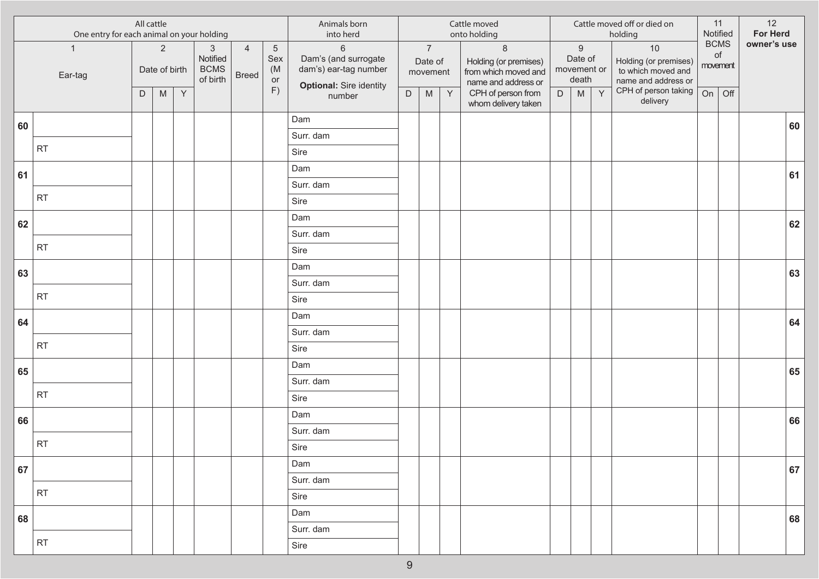|    | One entry for each animal on your holding | All cattle |                                                                                                            |             |                                                     |                                |                                    | Animals born<br>into herd                                                                  |             |                                       |              | Cattle moved<br>onto holding                                                    |             |                                                                                                            |   | Cattle moved off or died on<br>holding                                     |    | 11<br>Notified                | 12<br>For Herd |    |
|----|-------------------------------------------|------------|------------------------------------------------------------------------------------------------------------|-------------|-----------------------------------------------------|--------------------------------|------------------------------------|--------------------------------------------------------------------------------------------|-------------|---------------------------------------|--------------|---------------------------------------------------------------------------------|-------------|------------------------------------------------------------------------------------------------------------|---|----------------------------------------------------------------------------|----|-------------------------------|----------------|----|
|    | $\mathbf{1}$<br>Ear-tag                   |            | $\overline{2}$<br>Date of birth                                                                            |             | $\mathbf{3}$<br>Notified<br><b>BCMS</b><br>of birth | $\overline{4}$<br><b>Breed</b> | $\overline{5}$<br>Sex<br>(M)<br>or | $\,6\,$<br>Dam's (and surrogate<br>dam's) ear-tag number<br><b>Optional: Sire identity</b> |             | $\overline{7}$<br>Date of<br>movement |              | $\,8\,$<br>Holding (or premises)<br>from which moved and<br>name and address or |             | $\boldsymbol{9}$<br>Date of<br>movement or<br>death                                                        |   | $10$<br>Holding (or premises)<br>to which moved and<br>name and address or |    | <b>BCMS</b><br>of<br>movement | owner's use    |    |
|    |                                           | D          | $\mathsf{M}% _{T}=\mathsf{M}_{T}\!\left( a,b\right) ,\ \mathsf{M}_{T}=\mathsf{M}_{T}\!\left( a,b\right) ,$ | $\mathsf Y$ |                                                     |                                | F)                                 | number                                                                                     | $\mathsf D$ | ${\sf M}$                             | $\mathsf{Y}$ | CPH of person from<br>whom delivery taken                                       | $\mathsf D$ | $\mathsf{M}% _{T}=\mathsf{M}_{T}\!\left( a,b\right) ,\ \mathsf{M}_{T}=\mathsf{M}_{T}\!\left( a,b\right) ,$ | Y | CPH of person taking<br>delivery                                           | On | Off                           |                |    |
| 60 |                                           |            |                                                                                                            |             |                                                     |                                |                                    | Dam                                                                                        |             |                                       |              |                                                                                 |             |                                                                                                            |   |                                                                            |    |                               |                | 60 |
|    |                                           |            |                                                                                                            |             |                                                     |                                |                                    | Surr. dam                                                                                  |             |                                       |              |                                                                                 |             |                                                                                                            |   |                                                                            |    |                               |                |    |
|    | <b>RT</b>                                 |            |                                                                                                            |             |                                                     |                                |                                    | Sire                                                                                       |             |                                       |              |                                                                                 |             |                                                                                                            |   |                                                                            |    |                               |                |    |
| 61 |                                           |            |                                                                                                            |             |                                                     |                                |                                    | Dam                                                                                        |             |                                       |              |                                                                                 |             |                                                                                                            |   |                                                                            |    |                               |                | 61 |
|    |                                           |            |                                                                                                            |             |                                                     |                                |                                    | Surr. dam                                                                                  |             |                                       |              |                                                                                 |             |                                                                                                            |   |                                                                            |    |                               |                |    |
|    | <b>RT</b>                                 |            |                                                                                                            |             |                                                     |                                |                                    | Sire                                                                                       |             |                                       |              |                                                                                 |             |                                                                                                            |   |                                                                            |    |                               |                |    |
| 62 |                                           |            |                                                                                                            |             |                                                     |                                |                                    | Dam                                                                                        |             |                                       |              |                                                                                 |             |                                                                                                            |   |                                                                            |    |                               |                | 62 |
|    | <b>RT</b>                                 |            |                                                                                                            |             |                                                     |                                |                                    | Surr. dam                                                                                  |             |                                       |              |                                                                                 |             |                                                                                                            |   |                                                                            |    |                               |                |    |
|    |                                           |            |                                                                                                            |             |                                                     |                                |                                    | Sire                                                                                       |             |                                       |              |                                                                                 |             |                                                                                                            |   |                                                                            |    |                               |                |    |
| 63 |                                           |            |                                                                                                            |             |                                                     |                                |                                    | Dam                                                                                        |             |                                       |              |                                                                                 |             |                                                                                                            |   |                                                                            |    |                               |                | 63 |
|    | <b>RT</b>                                 |            |                                                                                                            |             |                                                     |                                |                                    | Surr. dam                                                                                  |             |                                       |              |                                                                                 |             |                                                                                                            |   |                                                                            |    |                               |                |    |
|    |                                           |            |                                                                                                            |             |                                                     |                                |                                    | Sire                                                                                       |             |                                       |              |                                                                                 |             |                                                                                                            |   |                                                                            |    |                               |                |    |
| 64 |                                           |            |                                                                                                            |             |                                                     |                                |                                    | Dam                                                                                        |             |                                       |              |                                                                                 |             |                                                                                                            |   |                                                                            |    |                               |                | 64 |
|    | <b>RT</b>                                 |            |                                                                                                            |             |                                                     |                                |                                    | Surr. dam                                                                                  |             |                                       |              |                                                                                 |             |                                                                                                            |   |                                                                            |    |                               |                |    |
|    |                                           |            |                                                                                                            |             |                                                     |                                |                                    | Sire                                                                                       |             |                                       |              |                                                                                 |             |                                                                                                            |   |                                                                            |    |                               |                |    |
| 65 |                                           |            |                                                                                                            |             |                                                     |                                |                                    | Dam                                                                                        |             |                                       |              |                                                                                 |             |                                                                                                            |   |                                                                            |    |                               |                | 65 |
|    | <b>RT</b>                                 |            |                                                                                                            |             |                                                     |                                |                                    | Surr. dam                                                                                  |             |                                       |              |                                                                                 |             |                                                                                                            |   |                                                                            |    |                               |                |    |
|    |                                           |            |                                                                                                            |             |                                                     |                                |                                    | Sire                                                                                       |             |                                       |              |                                                                                 |             |                                                                                                            |   |                                                                            |    |                               |                |    |
| 66 |                                           |            |                                                                                                            |             |                                                     |                                |                                    | Dam                                                                                        |             |                                       |              |                                                                                 |             |                                                                                                            |   |                                                                            |    |                               |                | 66 |
|    | <b>RT</b>                                 |            |                                                                                                            |             |                                                     |                                |                                    | Surr. dam<br>Sire                                                                          |             |                                       |              |                                                                                 |             |                                                                                                            |   |                                                                            |    |                               |                |    |
|    |                                           |            |                                                                                                            |             |                                                     |                                |                                    | Dam                                                                                        |             |                                       |              |                                                                                 |             |                                                                                                            |   |                                                                            |    |                               |                |    |
| 67 |                                           |            |                                                                                                            |             |                                                     |                                |                                    | Surr. dam                                                                                  |             |                                       |              |                                                                                 |             |                                                                                                            |   |                                                                            |    |                               |                | 67 |
|    | <b>RT</b>                                 |            |                                                                                                            |             |                                                     |                                |                                    | Sire                                                                                       |             |                                       |              |                                                                                 |             |                                                                                                            |   |                                                                            |    |                               |                |    |
|    |                                           |            |                                                                                                            |             |                                                     |                                |                                    | Dam                                                                                        |             |                                       |              |                                                                                 |             |                                                                                                            |   |                                                                            |    |                               |                |    |
| 68 |                                           |            |                                                                                                            |             |                                                     |                                |                                    | Surr. dam                                                                                  |             |                                       |              |                                                                                 |             |                                                                                                            |   |                                                                            |    |                               |                | 68 |
|    | <b>RT</b>                                 |            |                                                                                                            |             |                                                     |                                |                                    | Sire                                                                                       |             |                                       |              |                                                                                 |             |                                                                                                            |   |                                                                            |    |                               |                |    |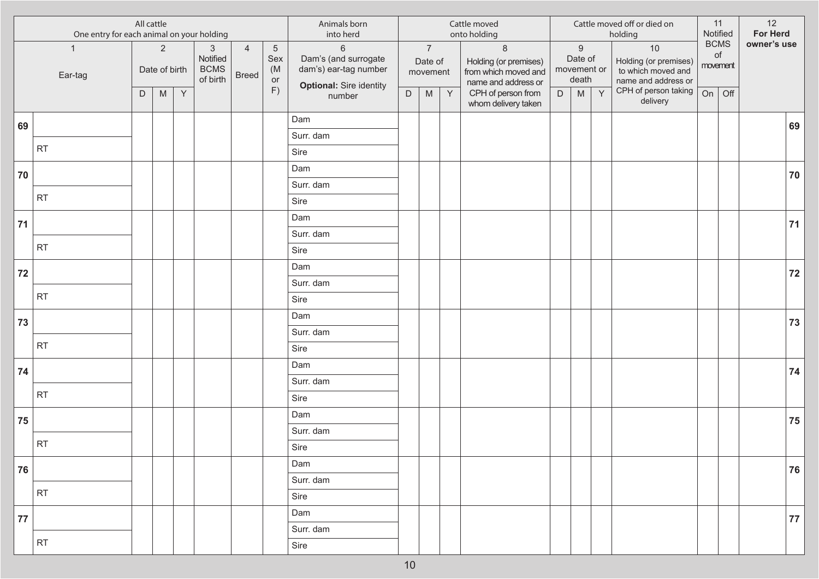|    | One entry for each animal on your holding | All cattle |                                                                                                            |   |                                                     |                                |                                    | Animals born<br>into herd                                                                  |             |                                       |              | Cattle moved<br>onto holding                                                    |             |                                                     |   | Cattle moved off or died on<br>holding                                   |    | 11<br>Notified                | 12<br><b>For Herd</b> |    |
|----|-------------------------------------------|------------|------------------------------------------------------------------------------------------------------------|---|-----------------------------------------------------|--------------------------------|------------------------------------|--------------------------------------------------------------------------------------------|-------------|---------------------------------------|--------------|---------------------------------------------------------------------------------|-------------|-----------------------------------------------------|---|--------------------------------------------------------------------------|----|-------------------------------|-----------------------|----|
|    | $\overline{1}$<br>Ear-tag                 |            | $\overline{2}$<br>Date of birth                                                                            |   | $\mathbf{3}$<br>Notified<br><b>BCMS</b><br>of birth | $\overline{4}$<br><b>Breed</b> | $\overline{5}$<br>Sex<br>(M)<br>or | $\,6\,$<br>Dam's (and surrogate<br>dam's) ear-tag number<br><b>Optional: Sire identity</b> |             | $\overline{7}$<br>Date of<br>movement |              | $\,8\,$<br>Holding (or premises)<br>from which moved and<br>name and address or |             | $\boldsymbol{9}$<br>Date of<br>movement or<br>death |   | 10<br>Holding (or premises)<br>to which moved and<br>name and address or |    | <b>BCMS</b><br>of<br>movement | owner's use           |    |
|    |                                           | D          | $\mathsf{M}% _{T}=\mathsf{M}_{T}\!\left( a,b\right) ,\ \mathsf{M}_{T}=\mathsf{M}_{T}\!\left( a,b\right) ,$ | Y |                                                     |                                | F)                                 | number                                                                                     | $\mathsf D$ | ${\sf M}$                             | $\mathsf{Y}$ | CPH of person from<br>whom delivery taken                                       | $\mathsf D$ | M                                                   | Y | CPH of person taking<br>delivery                                         | On | Off                           |                       |    |
| 69 |                                           |            |                                                                                                            |   |                                                     |                                |                                    | Dam                                                                                        |             |                                       |              |                                                                                 |             |                                                     |   |                                                                          |    |                               |                       | 69 |
|    |                                           |            |                                                                                                            |   |                                                     |                                |                                    | Surr. dam                                                                                  |             |                                       |              |                                                                                 |             |                                                     |   |                                                                          |    |                               |                       |    |
|    | <b>RT</b>                                 |            |                                                                                                            |   |                                                     |                                |                                    | Sire                                                                                       |             |                                       |              |                                                                                 |             |                                                     |   |                                                                          |    |                               |                       |    |
| 70 |                                           |            |                                                                                                            |   |                                                     |                                |                                    | Dam                                                                                        |             |                                       |              |                                                                                 |             |                                                     |   |                                                                          |    |                               |                       | 70 |
|    |                                           |            |                                                                                                            |   |                                                     |                                |                                    | Surr. dam                                                                                  |             |                                       |              |                                                                                 |             |                                                     |   |                                                                          |    |                               |                       |    |
|    | <b>RT</b>                                 |            |                                                                                                            |   |                                                     |                                |                                    | Sire                                                                                       |             |                                       |              |                                                                                 |             |                                                     |   |                                                                          |    |                               |                       |    |
| 71 |                                           |            |                                                                                                            |   |                                                     |                                |                                    | Dam                                                                                        |             |                                       |              |                                                                                 |             |                                                     |   |                                                                          |    |                               |                       | 71 |
|    |                                           |            |                                                                                                            |   |                                                     |                                |                                    | Surr. dam                                                                                  |             |                                       |              |                                                                                 |             |                                                     |   |                                                                          |    |                               |                       |    |
|    | <b>RT</b>                                 |            |                                                                                                            |   |                                                     |                                |                                    | Sire                                                                                       |             |                                       |              |                                                                                 |             |                                                     |   |                                                                          |    |                               |                       |    |
| 72 |                                           |            |                                                                                                            |   |                                                     |                                |                                    | Dam                                                                                        |             |                                       |              |                                                                                 |             |                                                     |   |                                                                          |    |                               |                       | 72 |
|    |                                           |            |                                                                                                            |   |                                                     |                                |                                    | Surr. dam                                                                                  |             |                                       |              |                                                                                 |             |                                                     |   |                                                                          |    |                               |                       |    |
|    | <b>RT</b>                                 |            |                                                                                                            |   |                                                     |                                |                                    | Sire                                                                                       |             |                                       |              |                                                                                 |             |                                                     |   |                                                                          |    |                               |                       |    |
| 73 |                                           |            |                                                                                                            |   |                                                     |                                |                                    | Dam                                                                                        |             |                                       |              |                                                                                 |             |                                                     |   |                                                                          |    |                               |                       | 73 |
|    |                                           |            |                                                                                                            |   |                                                     |                                |                                    | Surr. dam                                                                                  |             |                                       |              |                                                                                 |             |                                                     |   |                                                                          |    |                               |                       |    |
|    | <b>RT</b>                                 |            |                                                                                                            |   |                                                     |                                |                                    | Sire                                                                                       |             |                                       |              |                                                                                 |             |                                                     |   |                                                                          |    |                               |                       |    |
| 74 |                                           |            |                                                                                                            |   |                                                     |                                |                                    | Dam                                                                                        |             |                                       |              |                                                                                 |             |                                                     |   |                                                                          |    |                               |                       | 74 |
|    |                                           |            |                                                                                                            |   |                                                     |                                |                                    | Surr. dam                                                                                  |             |                                       |              |                                                                                 |             |                                                     |   |                                                                          |    |                               |                       |    |
|    | <b>RT</b>                                 |            |                                                                                                            |   |                                                     |                                |                                    | Sire                                                                                       |             |                                       |              |                                                                                 |             |                                                     |   |                                                                          |    |                               |                       |    |
| 75 |                                           |            |                                                                                                            |   |                                                     |                                |                                    | Dam                                                                                        |             |                                       |              |                                                                                 |             |                                                     |   |                                                                          |    |                               |                       | 75 |
|    | <b>RT</b>                                 |            |                                                                                                            |   |                                                     |                                |                                    | Surr. dam                                                                                  |             |                                       |              |                                                                                 |             |                                                     |   |                                                                          |    |                               |                       |    |
|    |                                           |            |                                                                                                            |   |                                                     |                                |                                    | Sire                                                                                       |             |                                       |              |                                                                                 |             |                                                     |   |                                                                          |    |                               |                       |    |
| 76 |                                           |            |                                                                                                            |   |                                                     |                                |                                    | Dam                                                                                        |             |                                       |              |                                                                                 |             |                                                     |   |                                                                          |    |                               |                       | 76 |
|    | <b>RT</b>                                 |            |                                                                                                            |   |                                                     |                                |                                    | Surr. dam                                                                                  |             |                                       |              |                                                                                 |             |                                                     |   |                                                                          |    |                               |                       |    |
|    |                                           |            |                                                                                                            |   |                                                     |                                |                                    | Sire                                                                                       |             |                                       |              |                                                                                 |             |                                                     |   |                                                                          |    |                               |                       |    |
| 77 |                                           |            |                                                                                                            |   |                                                     |                                |                                    | Dam                                                                                        |             |                                       |              |                                                                                 |             |                                                     |   |                                                                          |    |                               |                       | 77 |
|    | RT                                        |            |                                                                                                            |   |                                                     |                                |                                    | Surr. dam                                                                                  |             |                                       |              |                                                                                 |             |                                                     |   |                                                                          |    |                               |                       |    |
|    |                                           |            |                                                                                                            |   |                                                     |                                |                                    | Sire                                                                                       |             |                                       |              |                                                                                 |             |                                                     |   |                                                                          |    |                               |                       |    |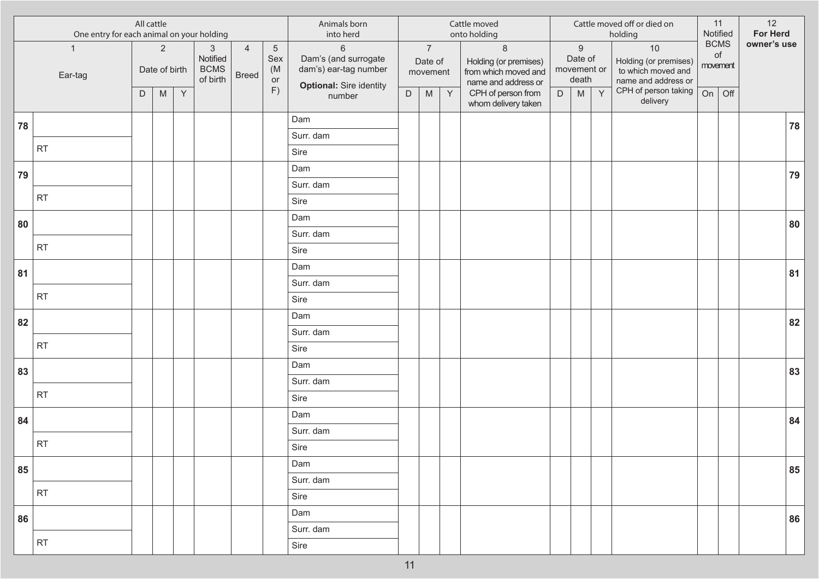|    | One entry for each animal on your holding | All cattle |                                 |              |                                                     |                                |                                    | Animals born<br>into herd                                                                |             |                                       |              | Cattle moved<br>onto holding                                                     |             |                                                     |   | Cattle moved off or died on<br>holding                                   |    | 11<br>Notified                | 12<br><b>For Herd</b> |    |
|----|-------------------------------------------|------------|---------------------------------|--------------|-----------------------------------------------------|--------------------------------|------------------------------------|------------------------------------------------------------------------------------------|-------------|---------------------------------------|--------------|----------------------------------------------------------------------------------|-------------|-----------------------------------------------------|---|--------------------------------------------------------------------------|----|-------------------------------|-----------------------|----|
|    | $\mathbf{1}$<br>Ear-tag                   |            | $\overline{2}$<br>Date of birth |              | $\mathbf{3}$<br>Notified<br><b>BCMS</b><br>of birth | $\overline{4}$<br><b>Breed</b> | $\overline{5}$<br>Sex<br>(M)<br>or | $6\,$<br>Dam's (and surrogate<br>dam's) ear-tag number<br><b>Optional: Sire identity</b> |             | $\overline{7}$<br>Date of<br>movement |              | $\delta$<br>Holding (or premises)<br>from which moved and<br>name and address or |             | $\boldsymbol{9}$<br>Date of<br>movement or<br>death |   | 10<br>Holding (or premises)<br>to which moved and<br>name and address or |    | <b>BCMS</b><br>of<br>movement | owner's use           |    |
|    |                                           | D          | M                               | $\mathsf{Y}$ |                                                     |                                | F)                                 | number                                                                                   | $\mathsf D$ | M                                     | $\mathsf{Y}$ | CPH of person from<br>whom delivery taken                                        | $\mathsf D$ | M                                                   | Y | CPH of person taking<br>delivery                                         | On | Off                           |                       |    |
| 78 |                                           |            |                                 |              |                                                     |                                |                                    | Dam                                                                                      |             |                                       |              |                                                                                  |             |                                                     |   |                                                                          |    |                               |                       | 78 |
|    |                                           |            |                                 |              |                                                     |                                |                                    | Surr. dam                                                                                |             |                                       |              |                                                                                  |             |                                                     |   |                                                                          |    |                               |                       |    |
|    | <b>RT</b>                                 |            |                                 |              |                                                     |                                |                                    | Sire                                                                                     |             |                                       |              |                                                                                  |             |                                                     |   |                                                                          |    |                               |                       |    |
| 79 |                                           |            |                                 |              |                                                     |                                |                                    | Dam                                                                                      |             |                                       |              |                                                                                  |             |                                                     |   |                                                                          |    |                               |                       | 79 |
|    |                                           |            |                                 |              |                                                     |                                |                                    | Surr. dam                                                                                |             |                                       |              |                                                                                  |             |                                                     |   |                                                                          |    |                               |                       |    |
|    | RT                                        |            |                                 |              |                                                     |                                |                                    | Sire                                                                                     |             |                                       |              |                                                                                  |             |                                                     |   |                                                                          |    |                               |                       |    |
| 80 |                                           |            |                                 |              |                                                     |                                |                                    | Dam                                                                                      |             |                                       |              |                                                                                  |             |                                                     |   |                                                                          |    |                               |                       | 80 |
|    |                                           |            |                                 |              |                                                     |                                |                                    | Surr. dam                                                                                |             |                                       |              |                                                                                  |             |                                                     |   |                                                                          |    |                               |                       |    |
|    | RT                                        |            |                                 |              |                                                     |                                |                                    | Sire                                                                                     |             |                                       |              |                                                                                  |             |                                                     |   |                                                                          |    |                               |                       |    |
| 81 |                                           |            |                                 |              |                                                     |                                |                                    | Dam                                                                                      |             |                                       |              |                                                                                  |             |                                                     |   |                                                                          |    |                               |                       | 81 |
|    | <b>RT</b>                                 |            |                                 |              |                                                     |                                |                                    | Surr. dam                                                                                |             |                                       |              |                                                                                  |             |                                                     |   |                                                                          |    |                               |                       |    |
|    |                                           |            |                                 |              |                                                     |                                |                                    | Sire                                                                                     |             |                                       |              |                                                                                  |             |                                                     |   |                                                                          |    |                               |                       |    |
| 82 |                                           |            |                                 |              |                                                     |                                |                                    | Dam                                                                                      |             |                                       |              |                                                                                  |             |                                                     |   |                                                                          |    |                               |                       | 82 |
|    | RT                                        |            |                                 |              |                                                     |                                |                                    | Surr. dam                                                                                |             |                                       |              |                                                                                  |             |                                                     |   |                                                                          |    |                               |                       |    |
|    |                                           |            |                                 |              |                                                     |                                |                                    | Sire                                                                                     |             |                                       |              |                                                                                  |             |                                                     |   |                                                                          |    |                               |                       |    |
| 83 |                                           |            |                                 |              |                                                     |                                |                                    | Dam                                                                                      |             |                                       |              |                                                                                  |             |                                                     |   |                                                                          |    |                               |                       | 83 |
|    | <b>RT</b>                                 |            |                                 |              |                                                     |                                |                                    | Surr. dam                                                                                |             |                                       |              |                                                                                  |             |                                                     |   |                                                                          |    |                               |                       |    |
|    |                                           |            |                                 |              |                                                     |                                |                                    | Sire                                                                                     |             |                                       |              |                                                                                  |             |                                                     |   |                                                                          |    |                               |                       |    |
| 84 |                                           |            |                                 |              |                                                     |                                |                                    | Dam                                                                                      |             |                                       |              |                                                                                  |             |                                                     |   |                                                                          |    |                               |                       | 84 |
|    | <b>RT</b>                                 |            |                                 |              |                                                     |                                |                                    | Surr. dam                                                                                |             |                                       |              |                                                                                  |             |                                                     |   |                                                                          |    |                               |                       |    |
|    |                                           |            |                                 |              |                                                     |                                |                                    | Sire                                                                                     |             |                                       |              |                                                                                  |             |                                                     |   |                                                                          |    |                               |                       |    |
| 85 |                                           |            |                                 |              |                                                     |                                |                                    | Dam                                                                                      |             |                                       |              |                                                                                  |             |                                                     |   |                                                                          |    |                               |                       | 85 |
|    | RT                                        |            |                                 |              |                                                     |                                |                                    | Surr. dam                                                                                |             |                                       |              |                                                                                  |             |                                                     |   |                                                                          |    |                               |                       |    |
|    |                                           |            |                                 |              |                                                     |                                |                                    | Sire                                                                                     |             |                                       |              |                                                                                  |             |                                                     |   |                                                                          |    |                               |                       |    |
| 86 |                                           |            |                                 |              |                                                     |                                |                                    | Dam                                                                                      |             |                                       |              |                                                                                  |             |                                                     |   |                                                                          |    |                               |                       | 86 |
|    | RT                                        |            |                                 |              |                                                     |                                |                                    | Surr. dam                                                                                |             |                                       |              |                                                                                  |             |                                                     |   |                                                                          |    |                               |                       |    |
|    |                                           |            |                                 |              |                                                     |                                |                                    | Sire                                                                                     |             |                                       |              |                                                                                  |             |                                                     |   |                                                                          |    |                               |                       |    |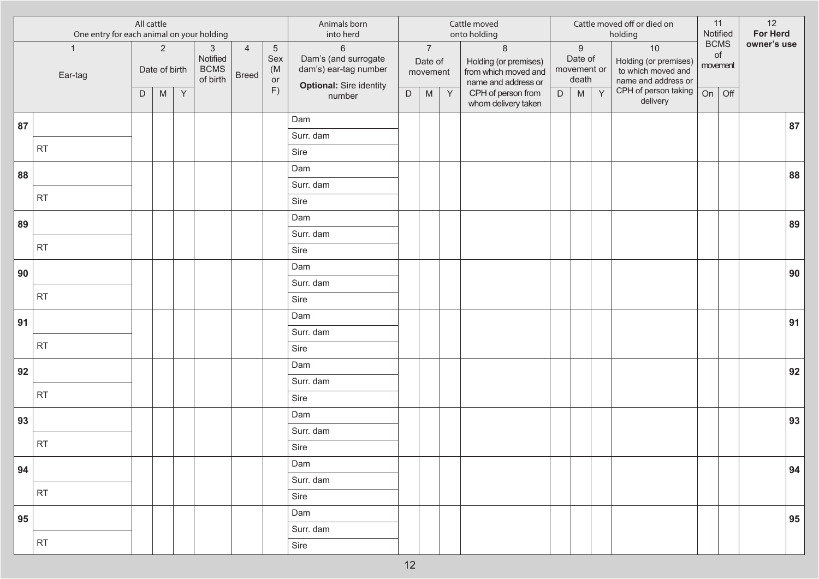|    | One entry for each animal on your holding | All cattle |                                 |   |                                                     |                                |                                    | Animals born<br>into herd                                                                  |             |                                       |              | Cattle moved<br>onto holding                                                    |             |                                                     |   | Cattle moved off or died on<br>holding                                   | 11<br>Notified |                | 12<br>For Herd |    |
|----|-------------------------------------------|------------|---------------------------------|---|-----------------------------------------------------|--------------------------------|------------------------------------|--------------------------------------------------------------------------------------------|-------------|---------------------------------------|--------------|---------------------------------------------------------------------------------|-------------|-----------------------------------------------------|---|--------------------------------------------------------------------------|----------------|----------------|----------------|----|
|    | $\overline{1}$<br>Ear-tag                 |            | $\overline{2}$<br>Date of birth |   | $\mathbf{3}$<br>Notified<br><b>BCMS</b><br>of birth | $\overline{4}$<br><b>Breed</b> | $\overline{5}$<br>Sex<br>(M)<br>or | $\,6\,$<br>Dam's (and surrogate<br>dam's) ear-tag number<br><b>Optional: Sire identity</b> |             | $\overline{7}$<br>Date of<br>movement |              | $\,8\,$<br>Holding (or premises)<br>from which moved and<br>name and address or |             | $\boldsymbol{9}$<br>Date of<br>movement or<br>death |   | 10<br>Holding (or premises)<br>to which moved and<br>name and address or | <b>BCMS</b>    | of<br>movement | owner's use    |    |
|    |                                           | D          | ${\sf M}$                       | Y |                                                     |                                | F)                                 | number                                                                                     | $\mathsf D$ | $\mathsf{M}% _{H}=\mathsf{M}_{H}$     | $\mathsf{Y}$ | CPH of person from<br>whom delivery taken                                       | $\mathsf D$ | M                                                   | Y | CPH of person taking<br>delivery                                         | On             | Off            |                |    |
| 87 |                                           |            |                                 |   |                                                     |                                |                                    | Dam                                                                                        |             |                                       |              |                                                                                 |             |                                                     |   |                                                                          |                |                |                | 87 |
|    |                                           |            |                                 |   |                                                     |                                |                                    | Surr. dam                                                                                  |             |                                       |              |                                                                                 |             |                                                     |   |                                                                          |                |                |                |    |
|    | <b>RT</b>                                 |            |                                 |   |                                                     |                                |                                    | Sire                                                                                       |             |                                       |              |                                                                                 |             |                                                     |   |                                                                          |                |                |                |    |
| 88 |                                           |            |                                 |   |                                                     |                                |                                    | Dam                                                                                        |             |                                       |              |                                                                                 |             |                                                     |   |                                                                          |                |                |                | 88 |
|    |                                           |            |                                 |   |                                                     |                                |                                    | Surr. dam                                                                                  |             |                                       |              |                                                                                 |             |                                                     |   |                                                                          |                |                |                |    |
|    | <b>RT</b>                                 |            |                                 |   |                                                     |                                |                                    | Sire                                                                                       |             |                                       |              |                                                                                 |             |                                                     |   |                                                                          |                |                |                |    |
| 89 |                                           |            |                                 |   |                                                     |                                |                                    | Dam                                                                                        |             |                                       |              |                                                                                 |             |                                                     |   |                                                                          |                |                |                | 89 |
|    |                                           |            |                                 |   |                                                     |                                |                                    | Surr. dam                                                                                  |             |                                       |              |                                                                                 |             |                                                     |   |                                                                          |                |                |                |    |
|    | <b>RT</b>                                 |            |                                 |   |                                                     |                                |                                    | Sire                                                                                       |             |                                       |              |                                                                                 |             |                                                     |   |                                                                          |                |                |                |    |
| 90 |                                           |            |                                 |   |                                                     |                                |                                    | Dam                                                                                        |             |                                       |              |                                                                                 |             |                                                     |   |                                                                          |                |                |                | 90 |
|    | <b>RT</b>                                 |            |                                 |   |                                                     |                                |                                    | Surr. dam                                                                                  |             |                                       |              |                                                                                 |             |                                                     |   |                                                                          |                |                |                |    |
|    |                                           |            |                                 |   |                                                     |                                |                                    | Sire                                                                                       |             |                                       |              |                                                                                 |             |                                                     |   |                                                                          |                |                |                |    |
| 91 |                                           |            |                                 |   |                                                     |                                |                                    | Dam                                                                                        |             |                                       |              |                                                                                 |             |                                                     |   |                                                                          |                |                |                | 91 |
|    | <b>RT</b>                                 |            |                                 |   |                                                     |                                |                                    | Surr. dam                                                                                  |             |                                       |              |                                                                                 |             |                                                     |   |                                                                          |                |                |                |    |
|    |                                           |            |                                 |   |                                                     |                                |                                    | Sire                                                                                       |             |                                       |              |                                                                                 |             |                                                     |   |                                                                          |                |                |                |    |
| 92 |                                           |            |                                 |   |                                                     |                                |                                    | Dam                                                                                        |             |                                       |              |                                                                                 |             |                                                     |   |                                                                          |                |                |                | 92 |
|    | <b>RT</b>                                 |            |                                 |   |                                                     |                                |                                    | Surr. dam                                                                                  |             |                                       |              |                                                                                 |             |                                                     |   |                                                                          |                |                |                |    |
|    |                                           |            |                                 |   |                                                     |                                |                                    | Sire                                                                                       |             |                                       |              |                                                                                 |             |                                                     |   |                                                                          |                |                |                |    |
| 93 |                                           |            |                                 |   |                                                     |                                |                                    | Dam                                                                                        |             |                                       |              |                                                                                 |             |                                                     |   |                                                                          |                |                |                | 93 |
|    | <b>RT</b>                                 |            |                                 |   |                                                     |                                |                                    | Surr. dam                                                                                  |             |                                       |              |                                                                                 |             |                                                     |   |                                                                          |                |                |                |    |
|    |                                           |            |                                 |   |                                                     |                                |                                    | Sire                                                                                       |             |                                       |              |                                                                                 |             |                                                     |   |                                                                          |                |                |                |    |
| 94 |                                           |            |                                 |   |                                                     |                                |                                    | Dam                                                                                        |             |                                       |              |                                                                                 |             |                                                     |   |                                                                          |                |                |                | 94 |
|    | <b>RT</b>                                 |            |                                 |   |                                                     |                                |                                    | Surr. dam                                                                                  |             |                                       |              |                                                                                 |             |                                                     |   |                                                                          |                |                |                |    |
|    |                                           |            |                                 |   |                                                     |                                |                                    | Sire                                                                                       |             |                                       |              |                                                                                 |             |                                                     |   |                                                                          |                |                |                |    |
| 95 |                                           |            |                                 |   |                                                     |                                |                                    | Dam                                                                                        |             |                                       |              |                                                                                 |             |                                                     |   |                                                                          |                |                |                | 95 |
|    | RT                                        |            |                                 |   |                                                     |                                |                                    | Surr. dam                                                                                  |             |                                       |              |                                                                                 |             |                                                     |   |                                                                          |                |                |                |    |
|    |                                           |            |                                 |   |                                                     |                                |                                    | Sire                                                                                       |             |                                       |              |                                                                                 |             |                                                     |   |                                                                          |                |                |                |    |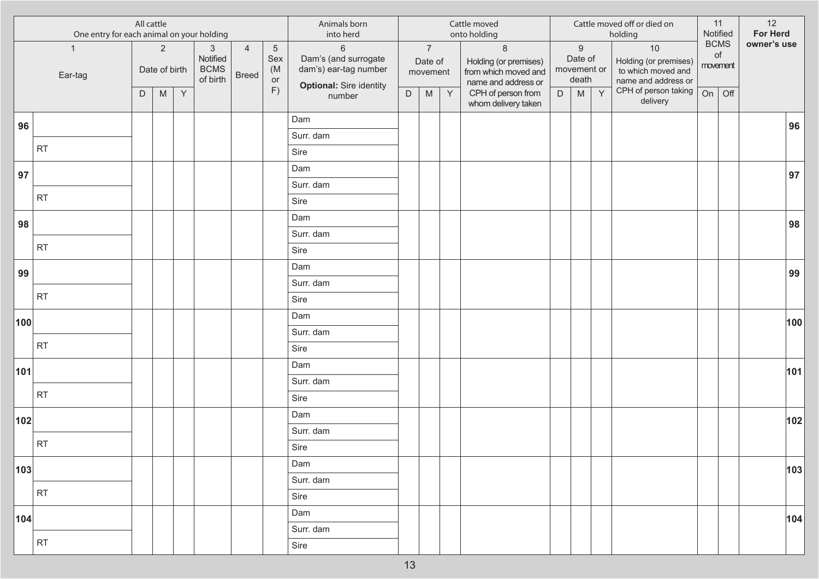| All cattle<br>One entry for each animal on your holding |                         |   |                                      |              |                                                     |                                | Animals born<br>into herd                |                                                                                          |             |                                            | Cattle moved<br>onto holding |                                                                                                        |   |                                                          | Cattle moved off or died on<br>holding |                                                                                                  | 11<br>Notified | 12<br><b>For Herd</b>                |             |     |
|---------------------------------------------------------|-------------------------|---|--------------------------------------|--------------|-----------------------------------------------------|--------------------------------|------------------------------------------|------------------------------------------------------------------------------------------|-------------|--------------------------------------------|------------------------------|--------------------------------------------------------------------------------------------------------|---|----------------------------------------------------------|----------------------------------------|--------------------------------------------------------------------------------------------------|----------------|--------------------------------------|-------------|-----|
|                                                         | $\mathbf{1}$<br>Ear-tag | D | $\overline{2}$<br>Date of birth<br>M | $\mathsf{Y}$ | $\mathbf{3}$<br>Notified<br><b>BCMS</b><br>of birth | $\overline{4}$<br><b>Breed</b> | $\overline{5}$<br>Sex<br>(M)<br>or<br>F) | $6\,$<br>Dam's (and surrogate<br>dam's) ear-tag number<br><b>Optional: Sire identity</b> | $\mathsf D$ | $\overline{7}$<br>Date of<br>movement<br>M | $\mathsf{Y}$                 | $\delta$<br>Holding (or premises)<br>from which moved and<br>name and address or<br>CPH of person from | D | $\boldsymbol{9}$<br>Date of<br>movement or<br>death<br>M | Y                                      | 10<br>Holding (or premises)<br>to which moved and<br>name and address or<br>CPH of person taking | On             | <b>BCMS</b><br>of<br>movement<br>Off | owner's use |     |
|                                                         |                         |   |                                      |              |                                                     |                                |                                          | number                                                                                   |             |                                            |                              | whom delivery taken                                                                                    |   |                                                          |                                        | delivery                                                                                         |                |                                      |             |     |
| 96                                                      |                         |   |                                      |              |                                                     |                                |                                          | Dam                                                                                      |             |                                            |                              |                                                                                                        |   |                                                          |                                        |                                                                                                  |                |                                      |             | 96  |
|                                                         | <b>RT</b>               |   |                                      |              |                                                     |                                |                                          | Surr. dam                                                                                |             |                                            |                              |                                                                                                        |   |                                                          |                                        |                                                                                                  |                |                                      |             |     |
|                                                         |                         |   |                                      |              |                                                     |                                |                                          | Sire                                                                                     |             |                                            |                              |                                                                                                        |   |                                                          |                                        |                                                                                                  |                |                                      |             |     |
| 97                                                      |                         |   |                                      |              |                                                     |                                |                                          | Dam                                                                                      |             |                                            |                              |                                                                                                        |   |                                                          |                                        |                                                                                                  |                |                                      |             | 97  |
|                                                         | RT                      |   |                                      |              |                                                     |                                |                                          | Surr. dam                                                                                |             |                                            |                              |                                                                                                        |   |                                                          |                                        |                                                                                                  |                |                                      |             |     |
|                                                         |                         |   |                                      |              |                                                     |                                |                                          | Sire                                                                                     |             |                                            |                              |                                                                                                        |   |                                                          |                                        |                                                                                                  |                |                                      |             |     |
| 98                                                      |                         |   |                                      |              |                                                     |                                |                                          | Dam                                                                                      |             |                                            |                              |                                                                                                        |   |                                                          |                                        |                                                                                                  |                |                                      |             | 98  |
|                                                         | RT                      |   |                                      |              |                                                     |                                |                                          | Surr. dam                                                                                |             |                                            |                              |                                                                                                        |   |                                                          |                                        |                                                                                                  |                |                                      |             |     |
|                                                         |                         |   |                                      |              |                                                     |                                |                                          | Sire                                                                                     |             |                                            |                              |                                                                                                        |   |                                                          |                                        |                                                                                                  |                |                                      |             |     |
| 99                                                      |                         |   |                                      |              |                                                     |                                |                                          | Dam                                                                                      |             |                                            |                              |                                                                                                        |   |                                                          |                                        |                                                                                                  |                |                                      |             | 99  |
|                                                         | <b>RT</b>               |   |                                      |              |                                                     |                                |                                          | Surr. dam                                                                                |             |                                            |                              |                                                                                                        |   |                                                          |                                        |                                                                                                  |                |                                      |             |     |
|                                                         |                         |   |                                      |              |                                                     |                                |                                          | Sire                                                                                     |             |                                            |                              |                                                                                                        |   |                                                          |                                        |                                                                                                  |                |                                      |             |     |
| 100                                                     |                         |   |                                      |              |                                                     |                                |                                          | Dam                                                                                      |             |                                            |                              |                                                                                                        |   |                                                          |                                        |                                                                                                  |                |                                      |             | 100 |
|                                                         | RT                      |   |                                      |              |                                                     |                                |                                          | Surr. dam                                                                                |             |                                            |                              |                                                                                                        |   |                                                          |                                        |                                                                                                  |                |                                      |             |     |
|                                                         |                         |   |                                      |              |                                                     |                                |                                          | Sire                                                                                     |             |                                            |                              |                                                                                                        |   |                                                          |                                        |                                                                                                  |                |                                      |             |     |
| 101                                                     |                         |   |                                      |              |                                                     |                                |                                          | Dam<br>Surr. dam                                                                         |             |                                            |                              |                                                                                                        |   |                                                          |                                        |                                                                                                  |                |                                      |             | 101 |
|                                                         | <b>RT</b>               |   |                                      |              |                                                     |                                |                                          | Sire                                                                                     |             |                                            |                              |                                                                                                        |   |                                                          |                                        |                                                                                                  |                |                                      |             |     |
|                                                         |                         |   |                                      |              |                                                     |                                |                                          | Dam                                                                                      |             |                                            |                              |                                                                                                        |   |                                                          |                                        |                                                                                                  |                |                                      |             |     |
| 102                                                     |                         |   |                                      |              |                                                     |                                |                                          | Surr. dam                                                                                |             |                                            |                              |                                                                                                        |   |                                                          |                                        |                                                                                                  |                |                                      |             | 102 |
|                                                         | RT                      |   |                                      |              |                                                     |                                |                                          | Sire                                                                                     |             |                                            |                              |                                                                                                        |   |                                                          |                                        |                                                                                                  |                |                                      |             |     |
|                                                         |                         |   |                                      |              |                                                     |                                |                                          | Dam                                                                                      |             |                                            |                              |                                                                                                        |   |                                                          |                                        |                                                                                                  |                |                                      |             |     |
| 103                                                     |                         |   |                                      |              |                                                     |                                |                                          | Surr. dam                                                                                |             |                                            |                              |                                                                                                        |   |                                                          |                                        |                                                                                                  |                |                                      |             | 103 |
|                                                         | RT                      |   |                                      |              |                                                     |                                |                                          | Sire                                                                                     |             |                                            |                              |                                                                                                        |   |                                                          |                                        |                                                                                                  |                |                                      |             |     |
|                                                         |                         |   |                                      |              |                                                     |                                |                                          | Dam                                                                                      |             |                                            |                              |                                                                                                        |   |                                                          |                                        |                                                                                                  |                |                                      |             |     |
| 104                                                     |                         |   |                                      |              |                                                     |                                |                                          | Surr. dam                                                                                |             |                                            |                              |                                                                                                        |   |                                                          |                                        |                                                                                                  |                |                                      |             | 104 |
|                                                         | RT                      |   |                                      |              |                                                     |                                |                                          | Sire                                                                                     |             |                                            |                              |                                                                                                        |   |                                                          |                                        |                                                                                                  |                |                                      |             |     |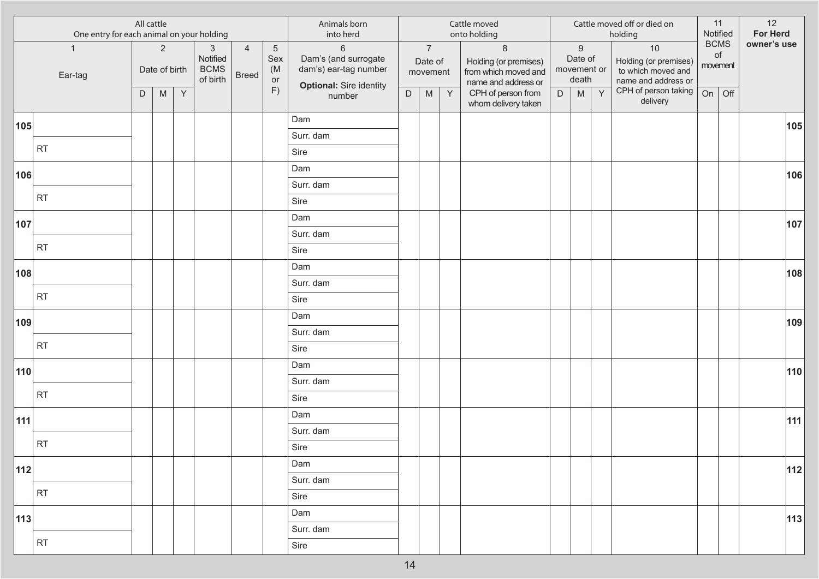|     | All cattle<br>One entry for each animal on your holding |   |                                 |              |                                                     |                                | Animals born<br>into herd      |                                                                                                   |             |                                       | Cattle moved<br>onto holding |                                                                                 |   |                                                     | Cattle moved off or died on<br>holding |                                                                            | 11<br>Notified | 12<br>For Herd    |             |
|-----|---------------------------------------------------------|---|---------------------------------|--------------|-----------------------------------------------------|--------------------------------|--------------------------------|---------------------------------------------------------------------------------------------------|-------------|---------------------------------------|------------------------------|---------------------------------------------------------------------------------|---|-----------------------------------------------------|----------------------------------------|----------------------------------------------------------------------------|----------------|-------------------|-------------|
|     | $\mathbf{1}$<br>Ear-tag                                 |   | $\overline{2}$<br>Date of birth |              | $\mathbf{3}$<br>Notified<br><b>BCMS</b><br>of birth | $\overline{4}$<br><b>Breed</b> | $\sqrt{5}$<br>Sex<br>(M)<br>or | $6\phantom{a}$<br>Dam's (and surrogate<br>dam's) ear-tag number<br><b>Optional: Sire identity</b> |             | $\overline{7}$<br>Date of<br>movement |                              | $\,8\,$<br>Holding (or premises)<br>from which moved and<br>name and address or |   | $\boldsymbol{9}$<br>Date of<br>movement or<br>death |                                        | $10$<br>Holding (or premises)<br>to which moved and<br>name and address or | movement       | <b>BCMS</b><br>of | owner's use |
|     |                                                         | D | M                               | $\mathsf{Y}$ |                                                     |                                | F)                             | number                                                                                            | $\mathsf D$ | ${\sf M}$                             | $\mathsf{Y}$                 | CPH of person from<br>whom delivery taken                                       | D | ${\sf M}$                                           | Y                                      | CPH of person taking<br>delivery                                           | On             | Off               |             |
| 105 |                                                         |   |                                 |              |                                                     |                                |                                | Dam                                                                                               |             |                                       |                              |                                                                                 |   |                                                     |                                        |                                                                            |                |                   | 105         |
|     |                                                         |   |                                 |              |                                                     |                                |                                | Surr. dam                                                                                         |             |                                       |                              |                                                                                 |   |                                                     |                                        |                                                                            |                |                   |             |
|     | <b>RT</b>                                               |   |                                 |              |                                                     |                                |                                | Sire                                                                                              |             |                                       |                              |                                                                                 |   |                                                     |                                        |                                                                            |                |                   |             |
| 106 |                                                         |   |                                 |              |                                                     |                                |                                | Dam                                                                                               |             |                                       |                              |                                                                                 |   |                                                     |                                        |                                                                            |                |                   | 106         |
|     |                                                         |   |                                 |              |                                                     |                                |                                | Surr. dam                                                                                         |             |                                       |                              |                                                                                 |   |                                                     |                                        |                                                                            |                |                   |             |
|     | RT                                                      |   |                                 |              |                                                     |                                |                                | Sire                                                                                              |             |                                       |                              |                                                                                 |   |                                                     |                                        |                                                                            |                |                   |             |
| 107 |                                                         |   |                                 |              |                                                     |                                |                                | Dam                                                                                               |             |                                       |                              |                                                                                 |   |                                                     |                                        |                                                                            |                |                   | 107         |
|     |                                                         |   |                                 |              |                                                     |                                |                                | Surr. dam                                                                                         |             |                                       |                              |                                                                                 |   |                                                     |                                        |                                                                            |                |                   |             |
|     | RT                                                      |   |                                 |              |                                                     |                                |                                | Sire                                                                                              |             |                                       |                              |                                                                                 |   |                                                     |                                        |                                                                            |                |                   |             |
| 108 |                                                         |   |                                 |              |                                                     |                                |                                | Dam                                                                                               |             |                                       |                              |                                                                                 |   |                                                     |                                        |                                                                            |                |                   | 108         |
|     |                                                         |   |                                 |              |                                                     |                                |                                | Surr. dam                                                                                         |             |                                       |                              |                                                                                 |   |                                                     |                                        |                                                                            |                |                   |             |
|     | <b>RT</b>                                               |   |                                 |              |                                                     |                                |                                | Sire                                                                                              |             |                                       |                              |                                                                                 |   |                                                     |                                        |                                                                            |                |                   |             |
| 109 |                                                         |   |                                 |              |                                                     |                                |                                | Dam                                                                                               |             |                                       |                              |                                                                                 |   |                                                     |                                        |                                                                            |                |                   | 109         |
|     |                                                         |   |                                 |              |                                                     |                                |                                | Surr. dam                                                                                         |             |                                       |                              |                                                                                 |   |                                                     |                                        |                                                                            |                |                   |             |
|     | RT                                                      |   |                                 |              |                                                     |                                |                                | Sire                                                                                              |             |                                       |                              |                                                                                 |   |                                                     |                                        |                                                                            |                |                   |             |
| 110 |                                                         |   |                                 |              |                                                     |                                |                                | Dam                                                                                               |             |                                       |                              |                                                                                 |   |                                                     |                                        |                                                                            |                |                   | 110         |
|     |                                                         |   |                                 |              |                                                     |                                |                                | Surr. dam                                                                                         |             |                                       |                              |                                                                                 |   |                                                     |                                        |                                                                            |                |                   |             |
|     | <b>RT</b>                                               |   |                                 |              |                                                     |                                |                                | Sire                                                                                              |             |                                       |                              |                                                                                 |   |                                                     |                                        |                                                                            |                |                   |             |
| 111 |                                                         |   |                                 |              |                                                     |                                |                                | Dam                                                                                               |             |                                       |                              |                                                                                 |   |                                                     |                                        |                                                                            |                |                   | 111         |
|     |                                                         |   |                                 |              |                                                     |                                |                                | Surr. dam                                                                                         |             |                                       |                              |                                                                                 |   |                                                     |                                        |                                                                            |                |                   |             |
|     | RT                                                      |   |                                 |              |                                                     |                                |                                | Sire                                                                                              |             |                                       |                              |                                                                                 |   |                                                     |                                        |                                                                            |                |                   |             |
| 112 |                                                         |   |                                 |              |                                                     |                                |                                | Dam                                                                                               |             |                                       |                              |                                                                                 |   |                                                     |                                        |                                                                            |                |                   | $ 112 $     |
|     |                                                         |   |                                 |              |                                                     |                                |                                | Surr. dam                                                                                         |             |                                       |                              |                                                                                 |   |                                                     |                                        |                                                                            |                |                   |             |
|     | RT                                                      |   |                                 |              |                                                     |                                |                                | Sire                                                                                              |             |                                       |                              |                                                                                 |   |                                                     |                                        |                                                                            |                |                   |             |
| 113 |                                                         |   |                                 |              |                                                     |                                |                                | Dam                                                                                               |             |                                       |                              |                                                                                 |   |                                                     |                                        |                                                                            |                |                   | 113         |
|     |                                                         |   |                                 |              |                                                     |                                |                                | Surr. dam                                                                                         |             |                                       |                              |                                                                                 |   |                                                     |                                        |                                                                            |                |                   |             |
|     | RT                                                      |   |                                 |              |                                                     |                                |                                | Sire                                                                                              |             |                                       |                              |                                                                                 |   |                                                     |                                        |                                                                            |                |                   |             |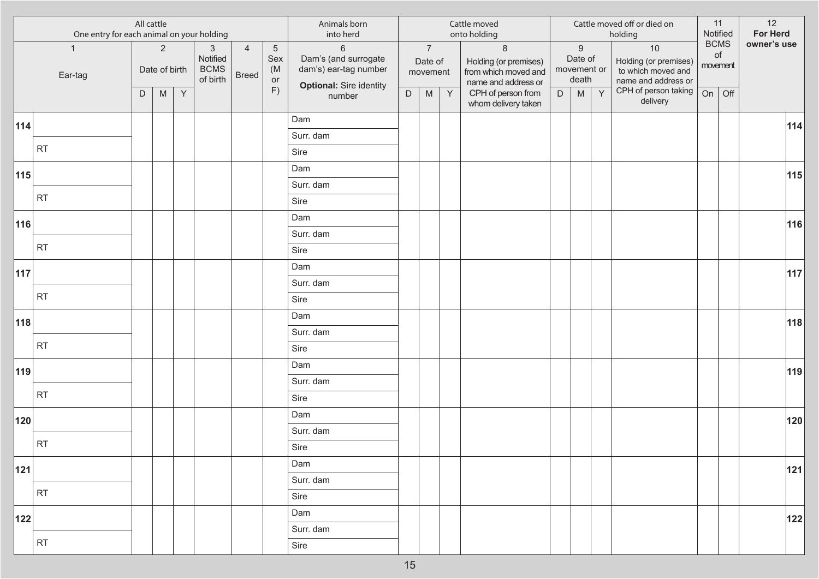| <b>BCMS</b><br>$\overline{7}$<br>$\,8\,$<br>$\boldsymbol{9}$<br>$10$<br>$\overline{2}$<br>$\mathbf{3}$<br>$\overline{4}$<br>$6\,$<br>$\overline{5}$<br>$\mathbf{1}$<br>of<br>Dam's (and surrogate<br>Notified<br>Sex<br>Date of<br>Holding (or premises)<br>Date of<br>Holding (or premises)<br>movement<br>dam's) ear-tag number<br><b>BCMS</b><br>(M)<br>Date of birth<br>movement or<br>to which moved and<br>from which moved and<br>movement<br><b>Breed</b><br>Ear-tag<br>of birth<br>death<br>or<br>name and address or<br>name and address or<br><b>Optional: Sire identity</b><br>F)<br>CPH of person taking<br>Y<br>CPH of person from<br>${\sf M}$<br>Y<br>On<br>$\mathsf D$<br>${\sf M}$<br>Off<br>$\mathsf{Y}$<br>${\sf M}$<br>D<br>D<br>number<br>delivery<br>whom delivery taken<br>Dam<br> 114 <br>Surr. dam<br><b>RT</b><br>Sire<br>Dam<br> 115 <br>Surr. dam<br><b>RT</b><br>Sire<br>Dam<br>116<br>Surr. dam<br><b>RT</b><br>Sire<br>Dam<br> 117 <br>Surr. dam | 12<br>For Herd |
|----------------------------------------------------------------------------------------------------------------------------------------------------------------------------------------------------------------------------------------------------------------------------------------------------------------------------------------------------------------------------------------------------------------------------------------------------------------------------------------------------------------------------------------------------------------------------------------------------------------------------------------------------------------------------------------------------------------------------------------------------------------------------------------------------------------------------------------------------------------------------------------------------------------------------------------------------------------------------------|----------------|
|                                                                                                                                                                                                                                                                                                                                                                                                                                                                                                                                                                                                                                                                                                                                                                                                                                                                                                                                                                                  | owner's use    |
|                                                                                                                                                                                                                                                                                                                                                                                                                                                                                                                                                                                                                                                                                                                                                                                                                                                                                                                                                                                  |                |
|                                                                                                                                                                                                                                                                                                                                                                                                                                                                                                                                                                                                                                                                                                                                                                                                                                                                                                                                                                                  | 114            |
|                                                                                                                                                                                                                                                                                                                                                                                                                                                                                                                                                                                                                                                                                                                                                                                                                                                                                                                                                                                  |                |
|                                                                                                                                                                                                                                                                                                                                                                                                                                                                                                                                                                                                                                                                                                                                                                                                                                                                                                                                                                                  |                |
|                                                                                                                                                                                                                                                                                                                                                                                                                                                                                                                                                                                                                                                                                                                                                                                                                                                                                                                                                                                  | 115            |
|                                                                                                                                                                                                                                                                                                                                                                                                                                                                                                                                                                                                                                                                                                                                                                                                                                                                                                                                                                                  |                |
|                                                                                                                                                                                                                                                                                                                                                                                                                                                                                                                                                                                                                                                                                                                                                                                                                                                                                                                                                                                  |                |
|                                                                                                                                                                                                                                                                                                                                                                                                                                                                                                                                                                                                                                                                                                                                                                                                                                                                                                                                                                                  | 116            |
|                                                                                                                                                                                                                                                                                                                                                                                                                                                                                                                                                                                                                                                                                                                                                                                                                                                                                                                                                                                  |                |
|                                                                                                                                                                                                                                                                                                                                                                                                                                                                                                                                                                                                                                                                                                                                                                                                                                                                                                                                                                                  |                |
|                                                                                                                                                                                                                                                                                                                                                                                                                                                                                                                                                                                                                                                                                                                                                                                                                                                                                                                                                                                  | 117            |
| <b>RT</b>                                                                                                                                                                                                                                                                                                                                                                                                                                                                                                                                                                                                                                                                                                                                                                                                                                                                                                                                                                        |                |
| Sire                                                                                                                                                                                                                                                                                                                                                                                                                                                                                                                                                                                                                                                                                                                                                                                                                                                                                                                                                                             |                |
| Dam<br>118                                                                                                                                                                                                                                                                                                                                                                                                                                                                                                                                                                                                                                                                                                                                                                                                                                                                                                                                                                       | 118            |
| Surr. dam<br><b>RT</b>                                                                                                                                                                                                                                                                                                                                                                                                                                                                                                                                                                                                                                                                                                                                                                                                                                                                                                                                                           |                |
| Sire                                                                                                                                                                                                                                                                                                                                                                                                                                                                                                                                                                                                                                                                                                                                                                                                                                                                                                                                                                             |                |
| Dam<br>119                                                                                                                                                                                                                                                                                                                                                                                                                                                                                                                                                                                                                                                                                                                                                                                                                                                                                                                                                                       | 119            |
| Surr. dam<br><b>RT</b>                                                                                                                                                                                                                                                                                                                                                                                                                                                                                                                                                                                                                                                                                                                                                                                                                                                                                                                                                           |                |
| Sire                                                                                                                                                                                                                                                                                                                                                                                                                                                                                                                                                                                                                                                                                                                                                                                                                                                                                                                                                                             |                |
| Dam<br>120                                                                                                                                                                                                                                                                                                                                                                                                                                                                                                                                                                                                                                                                                                                                                                                                                                                                                                                                                                       | 120            |
| Surr. dam<br><b>RT</b><br>Sire                                                                                                                                                                                                                                                                                                                                                                                                                                                                                                                                                                                                                                                                                                                                                                                                                                                                                                                                                   |                |
|                                                                                                                                                                                                                                                                                                                                                                                                                                                                                                                                                                                                                                                                                                                                                                                                                                                                                                                                                                                  |                |
| Dam<br> 121 <br>Surr. dam                                                                                                                                                                                                                                                                                                                                                                                                                                                                                                                                                                                                                                                                                                                                                                                                                                                                                                                                                        | 121            |
| <b>RT</b><br>Sire                                                                                                                                                                                                                                                                                                                                                                                                                                                                                                                                                                                                                                                                                                                                                                                                                                                                                                                                                                |                |
| Dam                                                                                                                                                                                                                                                                                                                                                                                                                                                                                                                                                                                                                                                                                                                                                                                                                                                                                                                                                                              |                |
| $122$<br>Surr. dam                                                                                                                                                                                                                                                                                                                                                                                                                                                                                                                                                                                                                                                                                                                                                                                                                                                                                                                                                               | $ 122 $        |
| <b>RT</b><br>Sire                                                                                                                                                                                                                                                                                                                                                                                                                                                                                                                                                                                                                                                                                                                                                                                                                                                                                                                                                                |                |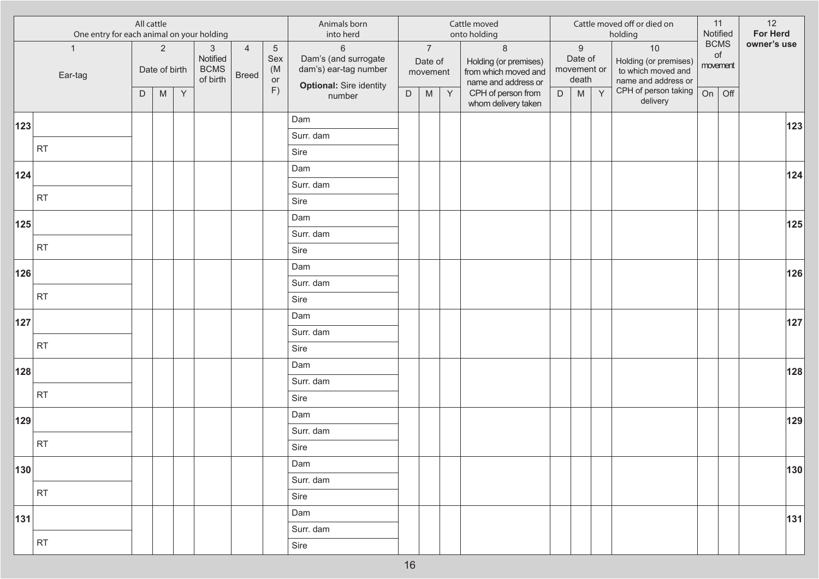|     | All cattle<br>One entry for each animal on your holding |   |                                 |   |                                                     |                                |                                | Animals born<br>into herd                                                                  |             |                                       |              | Cattle moved<br>onto holding                                                     |   |                                                     |   | Cattle moved off or died on<br>holding                                     |    | 11<br>Notified                       | 12<br>For Herd |
|-----|---------------------------------------------------------|---|---------------------------------|---|-----------------------------------------------------|--------------------------------|--------------------------------|--------------------------------------------------------------------------------------------|-------------|---------------------------------------|--------------|----------------------------------------------------------------------------------|---|-----------------------------------------------------|---|----------------------------------------------------------------------------|----|--------------------------------------|----------------|
|     | $\mathbf{1}$<br>Ear-tag                                 |   | $\overline{2}$<br>Date of birth |   | $\mathbf{3}$<br>Notified<br><b>BCMS</b><br>of birth | $\overline{4}$<br><b>Breed</b> | $\sqrt{5}$<br>Sex<br>(M)<br>or | $\,6\,$<br>Dam's (and surrogate<br>dam's) ear-tag number<br><b>Optional: Sire identity</b> |             | $\overline{7}$<br>Date of<br>movement |              | $\delta$<br>Holding (or premises)<br>from which moved and<br>name and address or |   | $\boldsymbol{9}$<br>Date of<br>movement or<br>death |   | $10$<br>Holding (or premises)<br>to which moved and<br>name and address or |    | <b>BCMS</b><br>$\circ$ f<br>movement | owner's use    |
|     |                                                         | D | ${\sf M}$                       | Y |                                                     |                                | F)                             | number                                                                                     | $\mathsf D$ | M                                     | $\mathsf{Y}$ | CPH of person from<br>whom delivery taken                                        | D | M                                                   | Y | CPH of person taking<br>delivery                                           | On | Off                                  |                |
| 123 |                                                         |   |                                 |   |                                                     |                                |                                | Dam                                                                                        |             |                                       |              |                                                                                  |   |                                                     |   |                                                                            |    |                                      | 123            |
|     |                                                         |   |                                 |   |                                                     |                                |                                | Surr. dam                                                                                  |             |                                       |              |                                                                                  |   |                                                     |   |                                                                            |    |                                      |                |
|     | <b>RT</b>                                               |   |                                 |   |                                                     |                                |                                | Sire                                                                                       |             |                                       |              |                                                                                  |   |                                                     |   |                                                                            |    |                                      |                |
| 124 |                                                         |   |                                 |   |                                                     |                                |                                | Dam                                                                                        |             |                                       |              |                                                                                  |   |                                                     |   |                                                                            |    |                                      | $124$          |
|     |                                                         |   |                                 |   |                                                     |                                |                                | Surr. dam                                                                                  |             |                                       |              |                                                                                  |   |                                                     |   |                                                                            |    |                                      |                |
|     | <b>RT</b>                                               |   |                                 |   |                                                     |                                |                                | Sire                                                                                       |             |                                       |              |                                                                                  |   |                                                     |   |                                                                            |    |                                      |                |
| 125 |                                                         |   |                                 |   |                                                     |                                |                                | Dam                                                                                        |             |                                       |              |                                                                                  |   |                                                     |   |                                                                            |    |                                      | 125            |
|     |                                                         |   |                                 |   |                                                     |                                |                                | Surr. dam                                                                                  |             |                                       |              |                                                                                  |   |                                                     |   |                                                                            |    |                                      |                |
|     | <b>RT</b>                                               |   |                                 |   |                                                     |                                |                                | Sire                                                                                       |             |                                       |              |                                                                                  |   |                                                     |   |                                                                            |    |                                      |                |
| 126 |                                                         |   |                                 |   |                                                     |                                |                                | Dam                                                                                        |             |                                       |              |                                                                                  |   |                                                     |   |                                                                            |    |                                      | 126            |
|     | <b>RT</b>                                               |   |                                 |   |                                                     |                                |                                | Surr. dam                                                                                  |             |                                       |              |                                                                                  |   |                                                     |   |                                                                            |    |                                      |                |
|     |                                                         |   |                                 |   |                                                     |                                |                                | Sire                                                                                       |             |                                       |              |                                                                                  |   |                                                     |   |                                                                            |    |                                      |                |
| 127 |                                                         |   |                                 |   |                                                     |                                |                                | Dam                                                                                        |             |                                       |              |                                                                                  |   |                                                     |   |                                                                            |    |                                      | $127$          |
|     | <b>RT</b>                                               |   |                                 |   |                                                     |                                |                                | Surr. dam                                                                                  |             |                                       |              |                                                                                  |   |                                                     |   |                                                                            |    |                                      |                |
|     |                                                         |   |                                 |   |                                                     |                                |                                | Sire                                                                                       |             |                                       |              |                                                                                  |   |                                                     |   |                                                                            |    |                                      |                |
| 128 |                                                         |   |                                 |   |                                                     |                                |                                | Dam                                                                                        |             |                                       |              |                                                                                  |   |                                                     |   |                                                                            |    |                                      | 128            |
|     | <b>RT</b>                                               |   |                                 |   |                                                     |                                |                                | Surr. dam                                                                                  |             |                                       |              |                                                                                  |   |                                                     |   |                                                                            |    |                                      |                |
|     |                                                         |   |                                 |   |                                                     |                                |                                | Sire                                                                                       |             |                                       |              |                                                                                  |   |                                                     |   |                                                                            |    |                                      |                |
| 129 |                                                         |   |                                 |   |                                                     |                                |                                | Dam                                                                                        |             |                                       |              |                                                                                  |   |                                                     |   |                                                                            |    |                                      | 129            |
|     | <b>RT</b>                                               |   |                                 |   |                                                     |                                |                                | Surr. dam                                                                                  |             |                                       |              |                                                                                  |   |                                                     |   |                                                                            |    |                                      |                |
|     |                                                         |   |                                 |   |                                                     |                                |                                | Sire                                                                                       |             |                                       |              |                                                                                  |   |                                                     |   |                                                                            |    |                                      |                |
| 130 |                                                         |   |                                 |   |                                                     |                                |                                | Dam                                                                                        |             |                                       |              |                                                                                  |   |                                                     |   |                                                                            |    |                                      | 130            |
|     | <b>RT</b>                                               |   |                                 |   |                                                     |                                |                                | Surr. dam                                                                                  |             |                                       |              |                                                                                  |   |                                                     |   |                                                                            |    |                                      |                |
|     |                                                         |   |                                 |   |                                                     |                                |                                | Sire                                                                                       |             |                                       |              |                                                                                  |   |                                                     |   |                                                                            |    |                                      |                |
| 131 |                                                         |   |                                 |   |                                                     |                                |                                | Dam                                                                                        |             |                                       |              |                                                                                  |   |                                                     |   |                                                                            |    |                                      | 131            |
|     | <b>RT</b>                                               |   |                                 |   |                                                     |                                |                                | Surr. dam                                                                                  |             |                                       |              |                                                                                  |   |                                                     |   |                                                                            |    |                                      |                |
|     |                                                         |   |                                 |   |                                                     |                                |                                | Sire                                                                                       |             |                                       |              |                                                                                  |   |                                                     |   |                                                                            |    |                                      |                |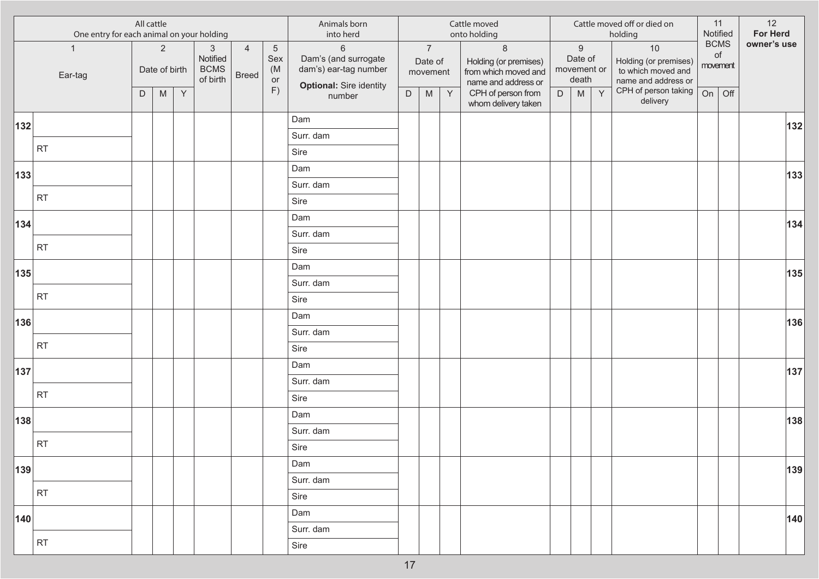|     | All cattle<br>One entry for each animal on your holding |   |                                 |              |                                                     |                                |                                | Animals born<br>into herd                                                                         |             |                                       |              | Cattle moved<br>onto holding                                                    |   |                                                     |   | Cattle moved off or died on<br>holding                                     |          | 11<br>Notified    | 12<br>For Herd |
|-----|---------------------------------------------------------|---|---------------------------------|--------------|-----------------------------------------------------|--------------------------------|--------------------------------|---------------------------------------------------------------------------------------------------|-------------|---------------------------------------|--------------|---------------------------------------------------------------------------------|---|-----------------------------------------------------|---|----------------------------------------------------------------------------|----------|-------------------|----------------|
|     | $\mathbf{1}$<br>Ear-tag                                 |   | $\overline{2}$<br>Date of birth |              | $\mathbf{3}$<br>Notified<br><b>BCMS</b><br>of birth | $\overline{4}$<br><b>Breed</b> | $\sqrt{5}$<br>Sex<br>(M)<br>or | $6\phantom{a}$<br>Dam's (and surrogate<br>dam's) ear-tag number<br><b>Optional: Sire identity</b> |             | $\overline{7}$<br>Date of<br>movement |              | $\,8\,$<br>Holding (or premises)<br>from which moved and<br>name and address or |   | $\boldsymbol{9}$<br>Date of<br>movement or<br>death |   | $10$<br>Holding (or premises)<br>to which moved and<br>name and address or | movement | <b>BCMS</b><br>of | owner's use    |
|     |                                                         | D | M                               | $\mathsf{Y}$ |                                                     |                                | F)                             | number                                                                                            | $\mathsf D$ | ${\sf M}$                             | $\mathsf{Y}$ | CPH of person from<br>whom delivery taken                                       | D | ${\sf M}$                                           | Y | CPH of person taking<br>delivery                                           | On       | Off               |                |
| 132 |                                                         |   |                                 |              |                                                     |                                |                                | Dam                                                                                               |             |                                       |              |                                                                                 |   |                                                     |   |                                                                            |          |                   | 132            |
|     |                                                         |   |                                 |              |                                                     |                                |                                | Surr. dam                                                                                         |             |                                       |              |                                                                                 |   |                                                     |   |                                                                            |          |                   |                |
|     | <b>RT</b>                                               |   |                                 |              |                                                     |                                |                                | Sire                                                                                              |             |                                       |              |                                                                                 |   |                                                     |   |                                                                            |          |                   |                |
| 133 |                                                         |   |                                 |              |                                                     |                                |                                | Dam                                                                                               |             |                                       |              |                                                                                 |   |                                                     |   |                                                                            |          |                   | 133            |
|     |                                                         |   |                                 |              |                                                     |                                |                                | Surr. dam                                                                                         |             |                                       |              |                                                                                 |   |                                                     |   |                                                                            |          |                   |                |
|     | RT                                                      |   |                                 |              |                                                     |                                |                                | Sire                                                                                              |             |                                       |              |                                                                                 |   |                                                     |   |                                                                            |          |                   |                |
| 134 |                                                         |   |                                 |              |                                                     |                                |                                | Dam                                                                                               |             |                                       |              |                                                                                 |   |                                                     |   |                                                                            |          |                   | 134            |
|     |                                                         |   |                                 |              |                                                     |                                |                                | Surr. dam                                                                                         |             |                                       |              |                                                                                 |   |                                                     |   |                                                                            |          |                   |                |
|     | RT                                                      |   |                                 |              |                                                     |                                |                                | Sire                                                                                              |             |                                       |              |                                                                                 |   |                                                     |   |                                                                            |          |                   |                |
| 135 |                                                         |   |                                 |              |                                                     |                                |                                | Dam                                                                                               |             |                                       |              |                                                                                 |   |                                                     |   |                                                                            |          |                   | 135            |
|     |                                                         |   |                                 |              |                                                     |                                |                                | Surr. dam                                                                                         |             |                                       |              |                                                                                 |   |                                                     |   |                                                                            |          |                   |                |
|     | RT                                                      |   |                                 |              |                                                     |                                |                                | Sire                                                                                              |             |                                       |              |                                                                                 |   |                                                     |   |                                                                            |          |                   |                |
| 136 |                                                         |   |                                 |              |                                                     |                                |                                | Dam                                                                                               |             |                                       |              |                                                                                 |   |                                                     |   |                                                                            |          |                   | 136            |
|     |                                                         |   |                                 |              |                                                     |                                |                                | Surr. dam                                                                                         |             |                                       |              |                                                                                 |   |                                                     |   |                                                                            |          |                   |                |
|     | RT                                                      |   |                                 |              |                                                     |                                |                                | Sire                                                                                              |             |                                       |              |                                                                                 |   |                                                     |   |                                                                            |          |                   |                |
| 137 |                                                         |   |                                 |              |                                                     |                                |                                | Dam                                                                                               |             |                                       |              |                                                                                 |   |                                                     |   |                                                                            |          |                   | 137            |
|     |                                                         |   |                                 |              |                                                     |                                |                                | Surr. dam                                                                                         |             |                                       |              |                                                                                 |   |                                                     |   |                                                                            |          |                   |                |
|     | <b>RT</b>                                               |   |                                 |              |                                                     |                                |                                | Sire                                                                                              |             |                                       |              |                                                                                 |   |                                                     |   |                                                                            |          |                   |                |
| 138 |                                                         |   |                                 |              |                                                     |                                |                                | Dam                                                                                               |             |                                       |              |                                                                                 |   |                                                     |   |                                                                            |          |                   | 138            |
|     |                                                         |   |                                 |              |                                                     |                                |                                | Surr. dam                                                                                         |             |                                       |              |                                                                                 |   |                                                     |   |                                                                            |          |                   |                |
|     | RT                                                      |   |                                 |              |                                                     |                                |                                | Sire                                                                                              |             |                                       |              |                                                                                 |   |                                                     |   |                                                                            |          |                   |                |
| 139 |                                                         |   |                                 |              |                                                     |                                |                                | Dam                                                                                               |             |                                       |              |                                                                                 |   |                                                     |   |                                                                            |          |                   | 139            |
|     |                                                         |   |                                 |              |                                                     |                                |                                | Surr. dam                                                                                         |             |                                       |              |                                                                                 |   |                                                     |   |                                                                            |          |                   |                |
|     | RT                                                      |   |                                 |              |                                                     |                                |                                | Sire                                                                                              |             |                                       |              |                                                                                 |   |                                                     |   |                                                                            |          |                   |                |
| 140 |                                                         |   |                                 |              |                                                     |                                |                                | Dam                                                                                               |             |                                       |              |                                                                                 |   |                                                     |   |                                                                            |          |                   | 140            |
|     |                                                         |   |                                 |              |                                                     |                                |                                | Surr. dam                                                                                         |             |                                       |              |                                                                                 |   |                                                     |   |                                                                            |          |                   |                |
|     | RT                                                      |   |                                 |              |                                                     |                                |                                | Sire                                                                                              |             |                                       |              |                                                                                 |   |                                                     |   |                                                                            |          |                   |                |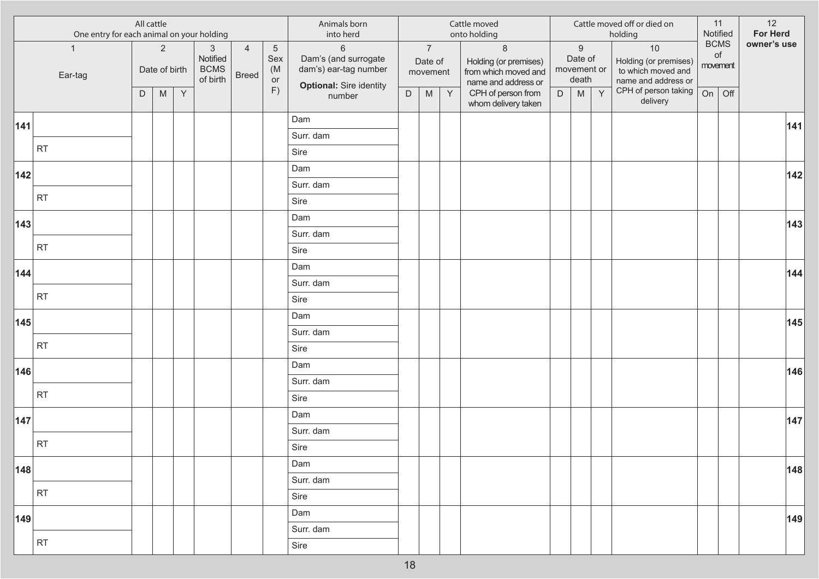| All cattle<br>One entry for each animal on your holding |                         |   |                                 |   |                                                     |                                | Animals born<br>into herd          |                                                                                          |             |                                       | Cattle moved<br>onto holding |                                                                                 |   |                                                     | Cattle moved off or died on<br>holding | Notified                                                                   | 11                      | 12<br>For Herd |             |
|---------------------------------------------------------|-------------------------|---|---------------------------------|---|-----------------------------------------------------|--------------------------------|------------------------------------|------------------------------------------------------------------------------------------|-------------|---------------------------------------|------------------------------|---------------------------------------------------------------------------------|---|-----------------------------------------------------|----------------------------------------|----------------------------------------------------------------------------|-------------------------|----------------|-------------|
|                                                         | $\mathbf{1}$<br>Ear-tag |   | $\overline{2}$<br>Date of birth |   | $\mathbf{3}$<br>Notified<br><b>BCMS</b><br>of birth | $\overline{4}$<br><b>Breed</b> | $\overline{5}$<br>Sex<br>(M)<br>or | $6\,$<br>Dam's (and surrogate<br>dam's) ear-tag number<br><b>Optional: Sire identity</b> |             | $\overline{7}$<br>Date of<br>movement |                              | $\,8\,$<br>Holding (or premises)<br>from which moved and<br>name and address or |   | $\boldsymbol{9}$<br>Date of<br>movement or<br>death |                                        | $10$<br>Holding (or premises)<br>to which moved and<br>name and address or | <b>BCMS</b><br>movement | of             | owner's use |
|                                                         |                         | D | ${\sf M}$                       | Y |                                                     |                                | F)                                 | number                                                                                   | $\mathsf D$ | ${\sf M}$                             | Y                            | CPH of person from<br>whom delivery taken                                       | D | ${\sf M}$                                           | Y                                      | CPH of person taking<br>delivery                                           | On                      | Off            |             |
| 141                                                     |                         |   |                                 |   |                                                     |                                |                                    | Dam                                                                                      |             |                                       |                              |                                                                                 |   |                                                     |                                        |                                                                            |                         |                | 141         |
|                                                         |                         |   |                                 |   |                                                     |                                |                                    | Surr. dam                                                                                |             |                                       |                              |                                                                                 |   |                                                     |                                        |                                                                            |                         |                |             |
|                                                         | <b>RT</b>               |   |                                 |   |                                                     |                                |                                    | Sire                                                                                     |             |                                       |                              |                                                                                 |   |                                                     |                                        |                                                                            |                         |                |             |
| 142                                                     |                         |   |                                 |   |                                                     |                                |                                    | Dam                                                                                      |             |                                       |                              |                                                                                 |   |                                                     |                                        |                                                                            |                         |                | 142         |
|                                                         |                         |   |                                 |   |                                                     |                                |                                    | Surr. dam                                                                                |             |                                       |                              |                                                                                 |   |                                                     |                                        |                                                                            |                         |                |             |
|                                                         | <b>RT</b>               |   |                                 |   |                                                     |                                |                                    | Sire                                                                                     |             |                                       |                              |                                                                                 |   |                                                     |                                        |                                                                            |                         |                |             |
| 143                                                     |                         |   |                                 |   |                                                     |                                |                                    | Dam                                                                                      |             |                                       |                              |                                                                                 |   |                                                     |                                        |                                                                            |                         |                | 143         |
|                                                         |                         |   |                                 |   |                                                     |                                |                                    | Surr. dam                                                                                |             |                                       |                              |                                                                                 |   |                                                     |                                        |                                                                            |                         |                |             |
|                                                         | <b>RT</b>               |   |                                 |   |                                                     |                                |                                    | Sire                                                                                     |             |                                       |                              |                                                                                 |   |                                                     |                                        |                                                                            |                         |                |             |
| 144                                                     |                         |   |                                 |   |                                                     |                                |                                    | Dam                                                                                      |             |                                       |                              |                                                                                 |   |                                                     |                                        |                                                                            |                         |                | 144         |
|                                                         |                         |   |                                 |   |                                                     |                                |                                    | Surr. dam                                                                                |             |                                       |                              |                                                                                 |   |                                                     |                                        |                                                                            |                         |                |             |
|                                                         | <b>RT</b>               |   |                                 |   |                                                     |                                |                                    | Sire                                                                                     |             |                                       |                              |                                                                                 |   |                                                     |                                        |                                                                            |                         |                |             |
| 145                                                     |                         |   |                                 |   |                                                     |                                |                                    | Dam                                                                                      |             |                                       |                              |                                                                                 |   |                                                     |                                        |                                                                            |                         |                | 145         |
|                                                         |                         |   |                                 |   |                                                     |                                |                                    | Surr. dam                                                                                |             |                                       |                              |                                                                                 |   |                                                     |                                        |                                                                            |                         |                |             |
|                                                         | <b>RT</b>               |   |                                 |   |                                                     |                                |                                    | Sire                                                                                     |             |                                       |                              |                                                                                 |   |                                                     |                                        |                                                                            |                         |                |             |
| 146                                                     |                         |   |                                 |   |                                                     |                                |                                    | Dam                                                                                      |             |                                       |                              |                                                                                 |   |                                                     |                                        |                                                                            |                         |                | 146         |
|                                                         |                         |   |                                 |   |                                                     |                                |                                    | Surr. dam                                                                                |             |                                       |                              |                                                                                 |   |                                                     |                                        |                                                                            |                         |                |             |
|                                                         | <b>RT</b>               |   |                                 |   |                                                     |                                |                                    | Sire                                                                                     |             |                                       |                              |                                                                                 |   |                                                     |                                        |                                                                            |                         |                |             |
| 147                                                     |                         |   |                                 |   |                                                     |                                |                                    | Dam                                                                                      |             |                                       |                              |                                                                                 |   |                                                     |                                        |                                                                            |                         |                | 147         |
|                                                         |                         |   |                                 |   |                                                     |                                |                                    | Surr. dam                                                                                |             |                                       |                              |                                                                                 |   |                                                     |                                        |                                                                            |                         |                |             |
|                                                         | <b>RT</b>               |   |                                 |   |                                                     |                                |                                    | Sire                                                                                     |             |                                       |                              |                                                                                 |   |                                                     |                                        |                                                                            |                         |                |             |
| 148                                                     |                         |   |                                 |   |                                                     |                                |                                    | Dam                                                                                      |             |                                       |                              |                                                                                 |   |                                                     |                                        |                                                                            |                         |                | 148         |
|                                                         |                         |   |                                 |   |                                                     |                                |                                    | Surr. dam                                                                                |             |                                       |                              |                                                                                 |   |                                                     |                                        |                                                                            |                         |                |             |
|                                                         | <b>RT</b>               |   |                                 |   |                                                     |                                |                                    | Sire                                                                                     |             |                                       |                              |                                                                                 |   |                                                     |                                        |                                                                            |                         |                |             |
| 149                                                     |                         |   |                                 |   |                                                     |                                |                                    | Dam                                                                                      |             |                                       |                              |                                                                                 |   |                                                     |                                        |                                                                            |                         |                | 149         |
|                                                         |                         |   |                                 |   |                                                     |                                |                                    | Surr. dam                                                                                |             |                                       |                              |                                                                                 |   |                                                     |                                        |                                                                            |                         |                |             |
|                                                         | <b>RT</b>               |   |                                 |   |                                                     |                                |                                    | Sire                                                                                     |             |                                       |                              |                                                                                 |   |                                                     |                                        |                                                                            |                         |                |             |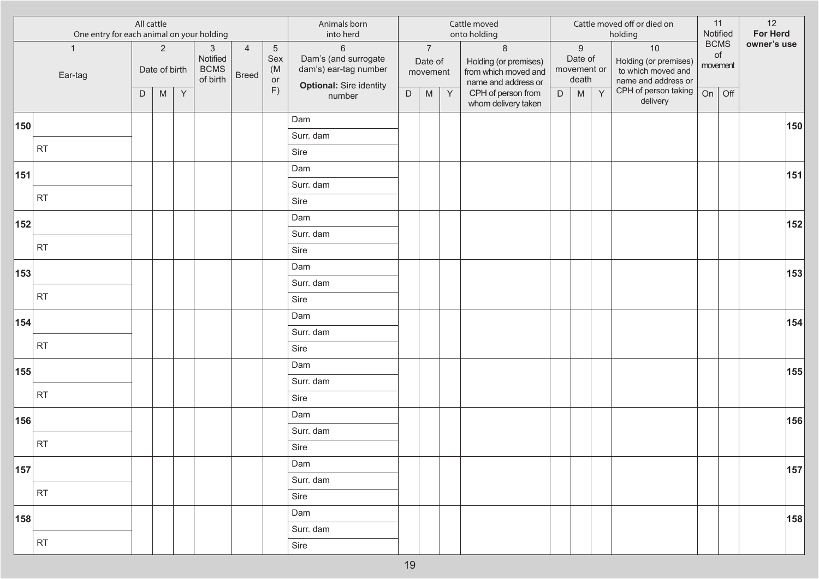| All cattle<br>One entry for each animal on your holding |                         |   |                                 |              |                                                     | Animals born<br>into herd      |                                    |                                                                                          |             | Cattle moved<br>onto holding          |   |                                                                                 |   | Cattle moved off or died on<br>holding              |   | 11<br>Notified                                                             | 12<br>For Herd |                               |             |
|---------------------------------------------------------|-------------------------|---|---------------------------------|--------------|-----------------------------------------------------|--------------------------------|------------------------------------|------------------------------------------------------------------------------------------|-------------|---------------------------------------|---|---------------------------------------------------------------------------------|---|-----------------------------------------------------|---|----------------------------------------------------------------------------|----------------|-------------------------------|-------------|
|                                                         | $\mathbf{1}$<br>Ear-tag |   | $\overline{2}$<br>Date of birth |              | $\mathbf{3}$<br>Notified<br><b>BCMS</b><br>of birth | $\overline{4}$<br><b>Breed</b> | $\overline{5}$<br>Sex<br>(M)<br>or | $6\,$<br>Dam's (and surrogate<br>dam's) ear-tag number<br><b>Optional: Sire identity</b> |             | $\overline{7}$<br>Date of<br>movement |   | $\,8\,$<br>Holding (or premises)<br>from which moved and<br>name and address or |   | $\boldsymbol{9}$<br>Date of<br>movement or<br>death |   | $10$<br>Holding (or premises)<br>to which moved and<br>name and address or |                | <b>BCMS</b><br>of<br>movement | owner's use |
|                                                         |                         | D | ${\sf M}$                       | $\mathsf{Y}$ |                                                     |                                | F)                                 | number                                                                                   | $\mathsf D$ | ${\sf M}$                             | Y | CPH of person from<br>whom delivery taken                                       | D | ${\sf M}$                                           | Y | CPH of person taking<br>delivery                                           | On             | Off                           |             |
| 150                                                     |                         |   |                                 |              |                                                     |                                |                                    | Dam                                                                                      |             |                                       |   |                                                                                 |   |                                                     |   |                                                                            |                |                               | 150         |
|                                                         |                         |   |                                 |              |                                                     |                                |                                    | Surr. dam                                                                                |             |                                       |   |                                                                                 |   |                                                     |   |                                                                            |                |                               |             |
|                                                         | <b>RT</b>               |   |                                 |              |                                                     |                                |                                    | Sire                                                                                     |             |                                       |   |                                                                                 |   |                                                     |   |                                                                            |                |                               |             |
| 151                                                     |                         |   |                                 |              |                                                     |                                |                                    | Dam                                                                                      |             |                                       |   |                                                                                 |   |                                                     |   |                                                                            |                |                               | 151         |
|                                                         |                         |   |                                 |              |                                                     |                                |                                    | Surr. dam                                                                                |             |                                       |   |                                                                                 |   |                                                     |   |                                                                            |                |                               |             |
|                                                         | <b>RT</b>               |   |                                 |              |                                                     |                                |                                    | Sire                                                                                     |             |                                       |   |                                                                                 |   |                                                     |   |                                                                            |                |                               |             |
| 152                                                     |                         |   |                                 |              |                                                     |                                |                                    | Dam                                                                                      |             |                                       |   |                                                                                 |   |                                                     |   |                                                                            |                |                               | 152         |
|                                                         |                         |   |                                 |              |                                                     |                                |                                    | Surr. dam                                                                                |             |                                       |   |                                                                                 |   |                                                     |   |                                                                            |                |                               |             |
|                                                         | <b>RT</b>               |   |                                 |              |                                                     |                                |                                    | Sire                                                                                     |             |                                       |   |                                                                                 |   |                                                     |   |                                                                            |                |                               |             |
| 153                                                     |                         |   |                                 |              |                                                     |                                |                                    | Dam                                                                                      |             |                                       |   |                                                                                 |   |                                                     |   |                                                                            |                |                               | 153         |
|                                                         | <b>RT</b>               |   |                                 |              |                                                     |                                |                                    | Surr. dam                                                                                |             |                                       |   |                                                                                 |   |                                                     |   |                                                                            |                |                               |             |
|                                                         |                         |   |                                 |              |                                                     |                                |                                    | Sire                                                                                     |             |                                       |   |                                                                                 |   |                                                     |   |                                                                            |                |                               |             |
| 154                                                     |                         |   |                                 |              |                                                     |                                |                                    | Dam                                                                                      |             |                                       |   |                                                                                 |   |                                                     |   |                                                                            |                |                               | 154         |
|                                                         | <b>RT</b>               |   |                                 |              |                                                     |                                |                                    | Surr. dam                                                                                |             |                                       |   |                                                                                 |   |                                                     |   |                                                                            |                |                               |             |
|                                                         |                         |   |                                 |              |                                                     |                                |                                    | Sire                                                                                     |             |                                       |   |                                                                                 |   |                                                     |   |                                                                            |                |                               |             |
| 155                                                     |                         |   |                                 |              |                                                     |                                |                                    | Dam                                                                                      |             |                                       |   |                                                                                 |   |                                                     |   |                                                                            |                |                               | 155         |
|                                                         | <b>RT</b>               |   |                                 |              |                                                     |                                |                                    | Surr. dam                                                                                |             |                                       |   |                                                                                 |   |                                                     |   |                                                                            |                |                               |             |
|                                                         |                         |   |                                 |              |                                                     |                                |                                    | Sire                                                                                     |             |                                       |   |                                                                                 |   |                                                     |   |                                                                            |                |                               |             |
| 156                                                     |                         |   |                                 |              |                                                     |                                |                                    | Dam                                                                                      |             |                                       |   |                                                                                 |   |                                                     |   |                                                                            |                |                               | 156         |
|                                                         | <b>RT</b>               |   |                                 |              |                                                     |                                |                                    | Surr. dam                                                                                |             |                                       |   |                                                                                 |   |                                                     |   |                                                                            |                |                               |             |
|                                                         |                         |   |                                 |              |                                                     |                                |                                    | Sire                                                                                     |             |                                       |   |                                                                                 |   |                                                     |   |                                                                            |                |                               |             |
| 157                                                     |                         |   |                                 |              |                                                     |                                |                                    | Dam                                                                                      |             |                                       |   |                                                                                 |   |                                                     |   |                                                                            |                |                               | 157         |
|                                                         | <b>RT</b>               |   |                                 |              |                                                     |                                |                                    | Surr. dam                                                                                |             |                                       |   |                                                                                 |   |                                                     |   |                                                                            |                |                               |             |
|                                                         |                         |   |                                 |              |                                                     |                                |                                    | Sire                                                                                     |             |                                       |   |                                                                                 |   |                                                     |   |                                                                            |                |                               |             |
| 158                                                     |                         |   |                                 |              |                                                     |                                |                                    | Dam                                                                                      |             |                                       |   |                                                                                 |   |                                                     |   |                                                                            |                |                               | 158         |
|                                                         | <b>RT</b>               |   |                                 |              |                                                     |                                |                                    | Surr. dam                                                                                |             |                                       |   |                                                                                 |   |                                                     |   |                                                                            |                |                               |             |
|                                                         |                         |   |                                 |              |                                                     |                                |                                    | Sire                                                                                     |             |                                       |   |                                                                                 |   |                                                     |   |                                                                            |                |                               |             |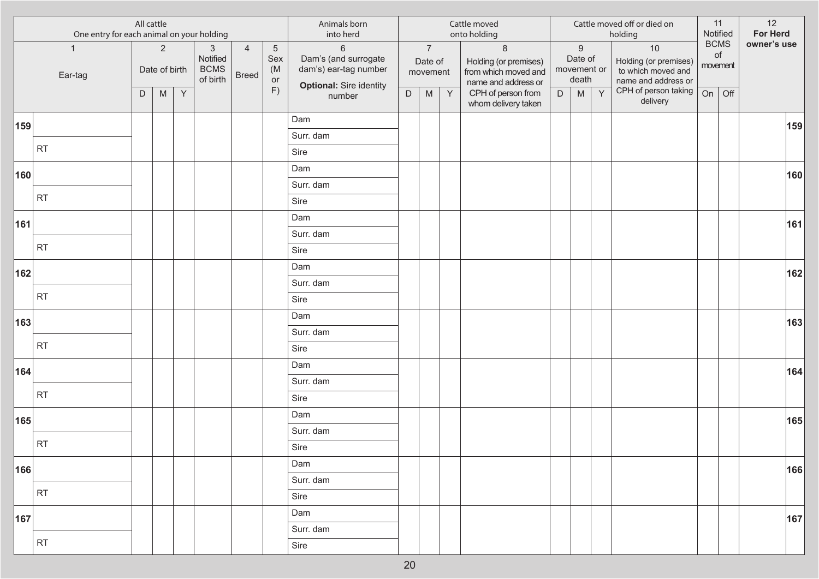| All cattle<br>One entry for each animal on your holding |                         |   |                                 |   |                                                     | Animals born<br>into herd      |                                    |                                                                                          |             | Cattle moved<br>onto holding          |   |                                                                                 |   | Cattle moved off or died on<br>holding              | Notified | 11                                                                         | 12<br>For Herd          |     |             |
|---------------------------------------------------------|-------------------------|---|---------------------------------|---|-----------------------------------------------------|--------------------------------|------------------------------------|------------------------------------------------------------------------------------------|-------------|---------------------------------------|---|---------------------------------------------------------------------------------|---|-----------------------------------------------------|----------|----------------------------------------------------------------------------|-------------------------|-----|-------------|
|                                                         | $\mathbf{1}$<br>Ear-tag |   | $\overline{2}$<br>Date of birth |   | $\mathbf{3}$<br>Notified<br><b>BCMS</b><br>of birth | $\overline{4}$<br><b>Breed</b> | $\overline{5}$<br>Sex<br>(M)<br>or | $6\,$<br>Dam's (and surrogate<br>dam's) ear-tag number<br><b>Optional: Sire identity</b> |             | $\overline{7}$<br>Date of<br>movement |   | $\,8\,$<br>Holding (or premises)<br>from which moved and<br>name and address or |   | $\boldsymbol{9}$<br>Date of<br>movement or<br>death |          | $10$<br>Holding (or premises)<br>to which moved and<br>name and address or | <b>BCMS</b><br>movement | of  | owner's use |
|                                                         |                         | D | ${\sf M}$                       | Y |                                                     |                                | F)                                 | number                                                                                   | $\mathsf D$ | ${\sf M}$                             | Y | CPH of person from<br>whom delivery taken                                       | D | ${\sf M}$                                           | Y        | CPH of person taking<br>delivery                                           | On                      | Off |             |
| 159                                                     |                         |   |                                 |   |                                                     |                                |                                    | Dam                                                                                      |             |                                       |   |                                                                                 |   |                                                     |          |                                                                            |                         |     | 159         |
|                                                         |                         |   |                                 |   |                                                     |                                |                                    | Surr. dam                                                                                |             |                                       |   |                                                                                 |   |                                                     |          |                                                                            |                         |     |             |
|                                                         | <b>RT</b>               |   |                                 |   |                                                     |                                |                                    | Sire                                                                                     |             |                                       |   |                                                                                 |   |                                                     |          |                                                                            |                         |     |             |
| 160                                                     |                         |   |                                 |   |                                                     |                                |                                    | Dam                                                                                      |             |                                       |   |                                                                                 |   |                                                     |          |                                                                            |                         |     | 160         |
|                                                         |                         |   |                                 |   |                                                     |                                |                                    | Surr. dam                                                                                |             |                                       |   |                                                                                 |   |                                                     |          |                                                                            |                         |     |             |
|                                                         | <b>RT</b>               |   |                                 |   |                                                     |                                |                                    | Sire                                                                                     |             |                                       |   |                                                                                 |   |                                                     |          |                                                                            |                         |     |             |
| 161                                                     |                         |   |                                 |   |                                                     |                                |                                    | Dam                                                                                      |             |                                       |   |                                                                                 |   |                                                     |          |                                                                            |                         |     | 161         |
|                                                         | <b>RT</b>               |   |                                 |   |                                                     |                                |                                    | Surr. dam                                                                                |             |                                       |   |                                                                                 |   |                                                     |          |                                                                            |                         |     |             |
|                                                         |                         |   |                                 |   |                                                     |                                |                                    | Sire                                                                                     |             |                                       |   |                                                                                 |   |                                                     |          |                                                                            |                         |     |             |
| 162                                                     |                         |   |                                 |   |                                                     |                                |                                    | Dam                                                                                      |             |                                       |   |                                                                                 |   |                                                     |          |                                                                            |                         |     | 162         |
|                                                         | <b>RT</b>               |   |                                 |   |                                                     |                                |                                    | Surr. dam                                                                                |             |                                       |   |                                                                                 |   |                                                     |          |                                                                            |                         |     |             |
|                                                         |                         |   |                                 |   |                                                     |                                |                                    | Sire                                                                                     |             |                                       |   |                                                                                 |   |                                                     |          |                                                                            |                         |     |             |
| 163                                                     |                         |   |                                 |   |                                                     |                                |                                    | Dam                                                                                      |             |                                       |   |                                                                                 |   |                                                     |          |                                                                            |                         |     | 163         |
|                                                         | <b>RT</b>               |   |                                 |   |                                                     |                                |                                    | Surr. dam                                                                                |             |                                       |   |                                                                                 |   |                                                     |          |                                                                            |                         |     |             |
|                                                         |                         |   |                                 |   |                                                     |                                |                                    | Sire                                                                                     |             |                                       |   |                                                                                 |   |                                                     |          |                                                                            |                         |     |             |
| 164                                                     |                         |   |                                 |   |                                                     |                                |                                    | Dam                                                                                      |             |                                       |   |                                                                                 |   |                                                     |          |                                                                            |                         |     | 164         |
|                                                         | <b>RT</b>               |   |                                 |   |                                                     |                                |                                    | Surr. dam                                                                                |             |                                       |   |                                                                                 |   |                                                     |          |                                                                            |                         |     |             |
|                                                         |                         |   |                                 |   |                                                     |                                |                                    | Sire                                                                                     |             |                                       |   |                                                                                 |   |                                                     |          |                                                                            |                         |     |             |
| 165                                                     |                         |   |                                 |   |                                                     |                                |                                    | Dam                                                                                      |             |                                       |   |                                                                                 |   |                                                     |          |                                                                            |                         |     | 165         |
|                                                         | <b>RT</b>               |   |                                 |   |                                                     |                                |                                    | Surr. dam<br>Sire                                                                        |             |                                       |   |                                                                                 |   |                                                     |          |                                                                            |                         |     |             |
|                                                         |                         |   |                                 |   |                                                     |                                |                                    | Dam                                                                                      |             |                                       |   |                                                                                 |   |                                                     |          |                                                                            |                         |     |             |
| 166                                                     |                         |   |                                 |   |                                                     |                                |                                    | Surr. dam                                                                                |             |                                       |   |                                                                                 |   |                                                     |          |                                                                            |                         |     | 166         |
|                                                         | <b>RT</b>               |   |                                 |   |                                                     |                                |                                    | Sire                                                                                     |             |                                       |   |                                                                                 |   |                                                     |          |                                                                            |                         |     |             |
|                                                         |                         |   |                                 |   |                                                     |                                |                                    | Dam                                                                                      |             |                                       |   |                                                                                 |   |                                                     |          |                                                                            |                         |     |             |
| 167                                                     |                         |   |                                 |   |                                                     |                                |                                    | Surr. dam                                                                                |             |                                       |   |                                                                                 |   |                                                     |          |                                                                            |                         |     | 167         |
|                                                         | <b>RT</b>               |   |                                 |   |                                                     |                                |                                    | Sire                                                                                     |             |                                       |   |                                                                                 |   |                                                     |          |                                                                            |                         |     |             |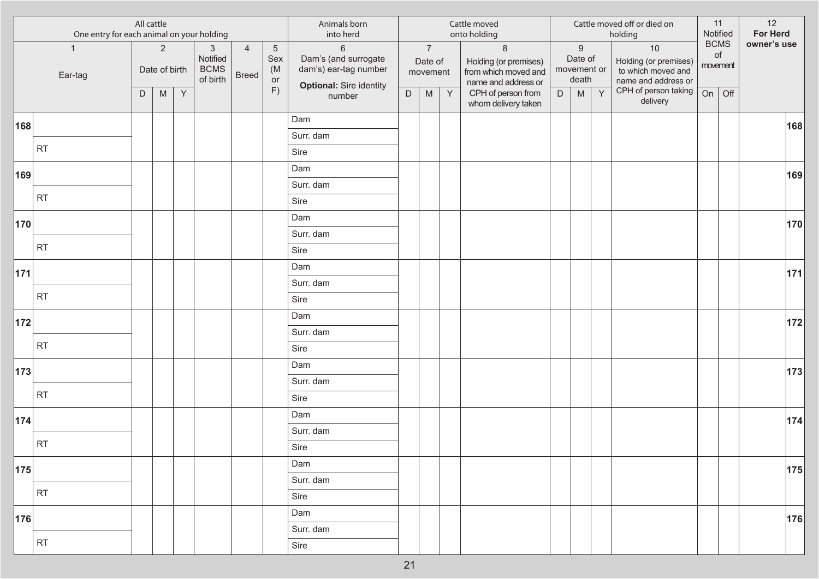| All cattle<br>One entry for each animal on your holding |                         |   |                                 |              |                                                     |                                | Animals born<br>into herd                |                                                                                          |             |                                       | Cattle moved<br>onto holding |                                                                                 |   |                                                     | Cattle moved off or died on<br>holding |                                                                            | 11<br>Notified | 12<br>For Herd                |             |
|---------------------------------------------------------|-------------------------|---|---------------------------------|--------------|-----------------------------------------------------|--------------------------------|------------------------------------------|------------------------------------------------------------------------------------------|-------------|---------------------------------------|------------------------------|---------------------------------------------------------------------------------|---|-----------------------------------------------------|----------------------------------------|----------------------------------------------------------------------------|----------------|-------------------------------|-------------|
|                                                         | $\mathbf{1}$<br>Ear-tag |   | $\overline{2}$<br>Date of birth |              | $\mathbf{3}$<br>Notified<br><b>BCMS</b><br>of birth | $\overline{4}$<br><b>Breed</b> | $\overline{5}$<br>Sex<br>(M)<br>or<br>F) | $6\,$<br>Dam's (and surrogate<br>dam's) ear-tag number<br><b>Optional: Sire identity</b> |             | $\overline{7}$<br>Date of<br>movement |                              | $\,8\,$<br>Holding (or premises)<br>from which moved and<br>name and address or |   | $\boldsymbol{9}$<br>Date of<br>movement or<br>death |                                        | $10$<br>Holding (or premises)<br>to which moved and<br>name and address or |                | <b>BCMS</b><br>of<br>movement | owner's use |
|                                                         |                         | D | ${\sf M}$                       | $\mathsf{Y}$ |                                                     |                                |                                          | number                                                                                   | $\mathsf D$ | ${\sf M}$                             | Y                            | CPH of person from<br>whom delivery taken                                       | D | ${\sf M}$                                           | Y                                      | CPH of person taking<br>delivery                                           | On             | Off                           |             |
| 168                                                     |                         |   |                                 |              |                                                     |                                |                                          | Dam                                                                                      |             |                                       |                              |                                                                                 |   |                                                     |                                        |                                                                            |                |                               | 168         |
|                                                         |                         |   |                                 |              |                                                     |                                |                                          | Surr. dam                                                                                |             |                                       |                              |                                                                                 |   |                                                     |                                        |                                                                            |                |                               |             |
|                                                         | <b>RT</b>               |   |                                 |              |                                                     |                                |                                          | Sire                                                                                     |             |                                       |                              |                                                                                 |   |                                                     |                                        |                                                                            |                |                               |             |
| 169                                                     |                         |   |                                 |              |                                                     |                                |                                          | Dam                                                                                      |             |                                       |                              |                                                                                 |   |                                                     |                                        |                                                                            |                |                               | 169         |
|                                                         |                         |   |                                 |              |                                                     |                                |                                          | Surr. dam                                                                                |             |                                       |                              |                                                                                 |   |                                                     |                                        |                                                                            |                |                               |             |
|                                                         | <b>RT</b>               |   |                                 |              |                                                     |                                |                                          | Sire                                                                                     |             |                                       |                              |                                                                                 |   |                                                     |                                        |                                                                            |                |                               |             |
| 170                                                     |                         |   |                                 |              |                                                     |                                |                                          | Dam                                                                                      |             |                                       |                              |                                                                                 |   |                                                     |                                        |                                                                            |                |                               | 170         |
|                                                         | <b>RT</b>               |   |                                 |              |                                                     |                                |                                          | Surr. dam                                                                                |             |                                       |                              |                                                                                 |   |                                                     |                                        |                                                                            |                |                               |             |
|                                                         |                         |   |                                 |              |                                                     |                                |                                          | Sire                                                                                     |             |                                       |                              |                                                                                 |   |                                                     |                                        |                                                                            |                |                               |             |
| 171                                                     |                         |   |                                 |              |                                                     |                                |                                          | Dam                                                                                      |             |                                       |                              |                                                                                 |   |                                                     |                                        |                                                                            |                |                               | $ 171 $     |
|                                                         | <b>RT</b>               |   |                                 |              |                                                     |                                |                                          | Surr. dam                                                                                |             |                                       |                              |                                                                                 |   |                                                     |                                        |                                                                            |                |                               |             |
|                                                         |                         |   |                                 |              |                                                     |                                |                                          | Sire                                                                                     |             |                                       |                              |                                                                                 |   |                                                     |                                        |                                                                            |                |                               |             |
| 172                                                     |                         |   |                                 |              |                                                     |                                |                                          | Dam                                                                                      |             |                                       |                              |                                                                                 |   |                                                     |                                        |                                                                            |                |                               | $ 172 $     |
|                                                         | <b>RT</b>               |   |                                 |              |                                                     |                                |                                          | Surr. dam                                                                                |             |                                       |                              |                                                                                 |   |                                                     |                                        |                                                                            |                |                               |             |
|                                                         |                         |   |                                 |              |                                                     |                                |                                          | Sire                                                                                     |             |                                       |                              |                                                                                 |   |                                                     |                                        |                                                                            |                |                               |             |
| 173                                                     |                         |   |                                 |              |                                                     |                                |                                          | Dam                                                                                      |             |                                       |                              |                                                                                 |   |                                                     |                                        |                                                                            |                |                               | 173         |
|                                                         | <b>RT</b>               |   |                                 |              |                                                     |                                |                                          | Surr. dam                                                                                |             |                                       |                              |                                                                                 |   |                                                     |                                        |                                                                            |                |                               |             |
|                                                         |                         |   |                                 |              |                                                     |                                |                                          | Sire                                                                                     |             |                                       |                              |                                                                                 |   |                                                     |                                        |                                                                            |                |                               |             |
| 174                                                     |                         |   |                                 |              |                                                     |                                |                                          | Dam                                                                                      |             |                                       |                              |                                                                                 |   |                                                     |                                        |                                                                            |                |                               | 174         |
|                                                         | <b>RT</b>               |   |                                 |              |                                                     |                                |                                          | Surr. dam<br>Sire                                                                        |             |                                       |                              |                                                                                 |   |                                                     |                                        |                                                                            |                |                               |             |
|                                                         |                         |   |                                 |              |                                                     |                                |                                          | Dam                                                                                      |             |                                       |                              |                                                                                 |   |                                                     |                                        |                                                                            |                |                               |             |
| 175                                                     |                         |   |                                 |              |                                                     |                                |                                          | Surr. dam                                                                                |             |                                       |                              |                                                                                 |   |                                                     |                                        |                                                                            |                |                               | 175         |
|                                                         | <b>RT</b>               |   |                                 |              |                                                     |                                |                                          | Sire                                                                                     |             |                                       |                              |                                                                                 |   |                                                     |                                        |                                                                            |                |                               |             |
|                                                         |                         |   |                                 |              |                                                     |                                |                                          | Dam                                                                                      |             |                                       |                              |                                                                                 |   |                                                     |                                        |                                                                            |                |                               |             |
| 176                                                     |                         |   |                                 |              |                                                     |                                |                                          | Surr. dam                                                                                |             |                                       |                              |                                                                                 |   |                                                     |                                        |                                                                            |                |                               | 176         |
|                                                         | <b>RT</b>               |   |                                 |              |                                                     |                                |                                          | Sire                                                                                     |             |                                       |                              |                                                                                 |   |                                                     |                                        |                                                                            |                |                               |             |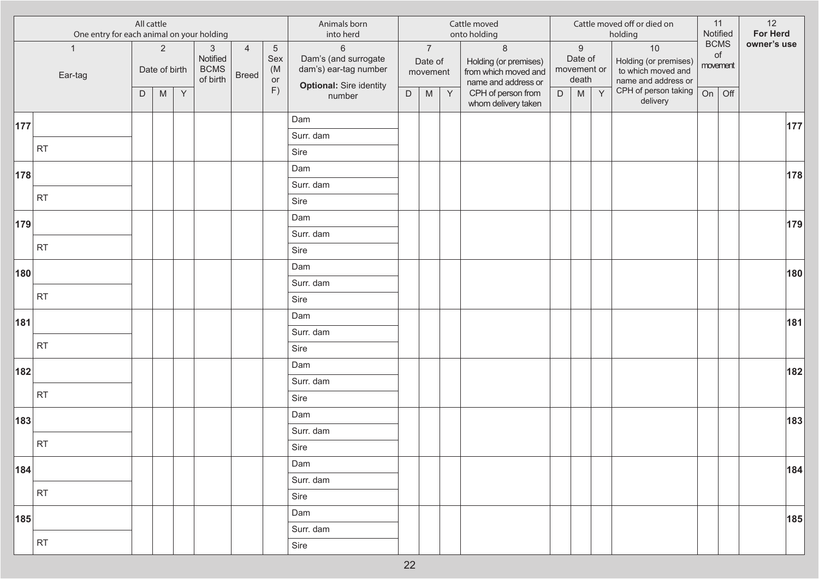| All cattle<br>One entry for each animal on your holding |                         |   |                                 |              |                                                     |                                | Animals born<br>into herd          |                                                                                          |             |                                       | Cattle moved<br>onto holding |                                                                                 |   |                                                     | Cattle moved off or died on<br>holding | Notified                                                                   | 11                      | 12<br>For Herd |             |
|---------------------------------------------------------|-------------------------|---|---------------------------------|--------------|-----------------------------------------------------|--------------------------------|------------------------------------|------------------------------------------------------------------------------------------|-------------|---------------------------------------|------------------------------|---------------------------------------------------------------------------------|---|-----------------------------------------------------|----------------------------------------|----------------------------------------------------------------------------|-------------------------|----------------|-------------|
|                                                         | $\mathbf{1}$<br>Ear-tag |   | $\overline{2}$<br>Date of birth |              | $\mathbf{3}$<br>Notified<br><b>BCMS</b><br>of birth | $\overline{4}$<br><b>Breed</b> | $\overline{5}$<br>Sex<br>(M)<br>or | $6\,$<br>Dam's (and surrogate<br>dam's) ear-tag number<br><b>Optional: Sire identity</b> |             | $\overline{7}$<br>Date of<br>movement |                              | $\,8\,$<br>Holding (or premises)<br>from which moved and<br>name and address or |   | $\boldsymbol{9}$<br>Date of<br>movement or<br>death |                                        | $10$<br>Holding (or premises)<br>to which moved and<br>name and address or | <b>BCMS</b><br>movement | of             | owner's use |
|                                                         |                         | D | ${\sf M}$                       | $\mathsf{Y}$ |                                                     |                                | F)                                 | number                                                                                   | $\mathsf D$ | ${\sf M}$                             | Y                            | CPH of person from<br>whom delivery taken                                       | D | ${\sf M}$                                           | Y                                      | CPH of person taking<br>delivery                                           | On                      | Off            |             |
| 177                                                     |                         |   |                                 |              |                                                     |                                |                                    | Dam                                                                                      |             |                                       |                              |                                                                                 |   |                                                     |                                        |                                                                            |                         |                | 177         |
|                                                         |                         |   |                                 |              |                                                     |                                |                                    | Surr. dam                                                                                |             |                                       |                              |                                                                                 |   |                                                     |                                        |                                                                            |                         |                |             |
|                                                         | <b>RT</b>               |   |                                 |              |                                                     |                                |                                    | Sire                                                                                     |             |                                       |                              |                                                                                 |   |                                                     |                                        |                                                                            |                         |                |             |
| 178                                                     |                         |   |                                 |              |                                                     |                                |                                    | Dam                                                                                      |             |                                       |                              |                                                                                 |   |                                                     |                                        |                                                                            |                         |                | 178         |
|                                                         |                         |   |                                 |              |                                                     |                                |                                    | Surr. dam                                                                                |             |                                       |                              |                                                                                 |   |                                                     |                                        |                                                                            |                         |                |             |
|                                                         | <b>RT</b>               |   |                                 |              |                                                     |                                |                                    | Sire                                                                                     |             |                                       |                              |                                                                                 |   |                                                     |                                        |                                                                            |                         |                |             |
| 179                                                     |                         |   |                                 |              |                                                     |                                |                                    | Dam                                                                                      |             |                                       |                              |                                                                                 |   |                                                     |                                        |                                                                            |                         |                | 179         |
|                                                         |                         |   |                                 |              |                                                     |                                |                                    | Surr. dam                                                                                |             |                                       |                              |                                                                                 |   |                                                     |                                        |                                                                            |                         |                |             |
|                                                         | <b>RT</b>               |   |                                 |              |                                                     |                                |                                    | Sire                                                                                     |             |                                       |                              |                                                                                 |   |                                                     |                                        |                                                                            |                         |                |             |
| 180                                                     |                         |   |                                 |              |                                                     |                                |                                    | Dam                                                                                      |             |                                       |                              |                                                                                 |   |                                                     |                                        |                                                                            |                         |                | 180         |
|                                                         |                         |   |                                 |              |                                                     |                                |                                    | Surr. dam                                                                                |             |                                       |                              |                                                                                 |   |                                                     |                                        |                                                                            |                         |                |             |
|                                                         | <b>RT</b>               |   |                                 |              |                                                     |                                |                                    | Sire                                                                                     |             |                                       |                              |                                                                                 |   |                                                     |                                        |                                                                            |                         |                |             |
| 181                                                     |                         |   |                                 |              |                                                     |                                |                                    | Dam                                                                                      |             |                                       |                              |                                                                                 |   |                                                     |                                        |                                                                            |                         |                | 181         |
|                                                         |                         |   |                                 |              |                                                     |                                |                                    | Surr. dam                                                                                |             |                                       |                              |                                                                                 |   |                                                     |                                        |                                                                            |                         |                |             |
|                                                         | <b>RT</b>               |   |                                 |              |                                                     |                                |                                    | Sire                                                                                     |             |                                       |                              |                                                                                 |   |                                                     |                                        |                                                                            |                         |                |             |
| 182                                                     |                         |   |                                 |              |                                                     |                                |                                    | Dam                                                                                      |             |                                       |                              |                                                                                 |   |                                                     |                                        |                                                                            |                         |                | 182         |
|                                                         |                         |   |                                 |              |                                                     |                                |                                    | Surr. dam                                                                                |             |                                       |                              |                                                                                 |   |                                                     |                                        |                                                                            |                         |                |             |
|                                                         | <b>RT</b>               |   |                                 |              |                                                     |                                |                                    | Sire                                                                                     |             |                                       |                              |                                                                                 |   |                                                     |                                        |                                                                            |                         |                |             |
| 183                                                     |                         |   |                                 |              |                                                     |                                |                                    | Dam                                                                                      |             |                                       |                              |                                                                                 |   |                                                     |                                        |                                                                            |                         |                | 183         |
|                                                         |                         |   |                                 |              |                                                     |                                |                                    | Surr. dam                                                                                |             |                                       |                              |                                                                                 |   |                                                     |                                        |                                                                            |                         |                |             |
|                                                         | <b>RT</b>               |   |                                 |              |                                                     |                                |                                    | Sire                                                                                     |             |                                       |                              |                                                                                 |   |                                                     |                                        |                                                                            |                         |                |             |
| 184                                                     |                         |   |                                 |              |                                                     |                                |                                    | Dam                                                                                      |             |                                       |                              |                                                                                 |   |                                                     |                                        |                                                                            |                         |                | 184         |
|                                                         | <b>RT</b>               |   |                                 |              |                                                     |                                |                                    | Surr. dam                                                                                |             |                                       |                              |                                                                                 |   |                                                     |                                        |                                                                            |                         |                |             |
|                                                         |                         |   |                                 |              |                                                     |                                |                                    | Sire                                                                                     |             |                                       |                              |                                                                                 |   |                                                     |                                        |                                                                            |                         |                |             |
| 185                                                     |                         |   |                                 |              |                                                     |                                |                                    | Dam                                                                                      |             |                                       |                              |                                                                                 |   |                                                     |                                        |                                                                            |                         |                | 185         |
|                                                         |                         |   |                                 |              |                                                     |                                |                                    | Surr. dam                                                                                |             |                                       |                              |                                                                                 |   |                                                     |                                        |                                                                            |                         |                |             |
|                                                         | <b>RT</b>               |   |                                 |              |                                                     |                                |                                    | Sire                                                                                     |             |                                       |                              |                                                                                 |   |                                                     |                                        |                                                                            |                         |                |             |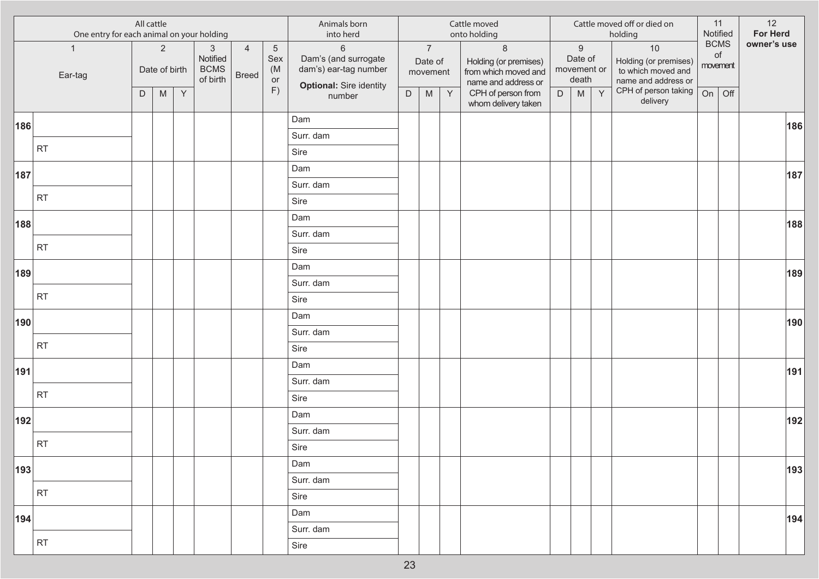|     | All cattle<br>One entry for each animal on your holding |   |                                 |              |                                                     |                                |                                | Animals born<br>into herd                                                                         |             |                                       |              | Cattle moved<br>onto holding                                                    |   |                                                     |   | Cattle moved off or died on<br>holding                                     |          | 11<br>Notified    | 12<br>For Herd |
|-----|---------------------------------------------------------|---|---------------------------------|--------------|-----------------------------------------------------|--------------------------------|--------------------------------|---------------------------------------------------------------------------------------------------|-------------|---------------------------------------|--------------|---------------------------------------------------------------------------------|---|-----------------------------------------------------|---|----------------------------------------------------------------------------|----------|-------------------|----------------|
|     | $\mathbf{1}$<br>Ear-tag                                 |   | $\overline{2}$<br>Date of birth |              | $\mathbf{3}$<br>Notified<br><b>BCMS</b><br>of birth | $\overline{4}$<br><b>Breed</b> | $\sqrt{5}$<br>Sex<br>(M)<br>or | $6\phantom{a}$<br>Dam's (and surrogate<br>dam's) ear-tag number<br><b>Optional: Sire identity</b> |             | $\overline{7}$<br>Date of<br>movement |              | $\,8\,$<br>Holding (or premises)<br>from which moved and<br>name and address or |   | $\boldsymbol{9}$<br>Date of<br>movement or<br>death |   | $10$<br>Holding (or premises)<br>to which moved and<br>name and address or | movement | <b>BCMS</b><br>of | owner's use    |
|     |                                                         | D | M                               | $\mathsf{Y}$ |                                                     |                                | F)                             | number                                                                                            | $\mathsf D$ | ${\sf M}$                             | $\mathsf{Y}$ | CPH of person from<br>whom delivery taken                                       | D | ${\sf M}$                                           | Y | CPH of person taking<br>delivery                                           | On       | Off               |                |
| 186 |                                                         |   |                                 |              |                                                     |                                |                                | Dam                                                                                               |             |                                       |              |                                                                                 |   |                                                     |   |                                                                            |          |                   | 186            |
|     |                                                         |   |                                 |              |                                                     |                                |                                | Surr. dam                                                                                         |             |                                       |              |                                                                                 |   |                                                     |   |                                                                            |          |                   |                |
|     | <b>RT</b>                                               |   |                                 |              |                                                     |                                |                                | Sire                                                                                              |             |                                       |              |                                                                                 |   |                                                     |   |                                                                            |          |                   |                |
| 187 |                                                         |   |                                 |              |                                                     |                                |                                | Dam                                                                                               |             |                                       |              |                                                                                 |   |                                                     |   |                                                                            |          |                   | 187            |
|     |                                                         |   |                                 |              |                                                     |                                |                                | Surr. dam                                                                                         |             |                                       |              |                                                                                 |   |                                                     |   |                                                                            |          |                   |                |
|     | RT                                                      |   |                                 |              |                                                     |                                |                                | Sire                                                                                              |             |                                       |              |                                                                                 |   |                                                     |   |                                                                            |          |                   |                |
| 188 |                                                         |   |                                 |              |                                                     |                                |                                | Dam                                                                                               |             |                                       |              |                                                                                 |   |                                                     |   |                                                                            |          |                   | 188            |
|     |                                                         |   |                                 |              |                                                     |                                |                                | Surr. dam                                                                                         |             |                                       |              |                                                                                 |   |                                                     |   |                                                                            |          |                   |                |
|     | RT                                                      |   |                                 |              |                                                     |                                |                                | Sire                                                                                              |             |                                       |              |                                                                                 |   |                                                     |   |                                                                            |          |                   |                |
| 189 |                                                         |   |                                 |              |                                                     |                                |                                | Dam                                                                                               |             |                                       |              |                                                                                 |   |                                                     |   |                                                                            |          |                   | 189            |
|     |                                                         |   |                                 |              |                                                     |                                |                                | Surr. dam                                                                                         |             |                                       |              |                                                                                 |   |                                                     |   |                                                                            |          |                   |                |
|     | <b>RT</b>                                               |   |                                 |              |                                                     |                                |                                | Sire                                                                                              |             |                                       |              |                                                                                 |   |                                                     |   |                                                                            |          |                   |                |
| 190 |                                                         |   |                                 |              |                                                     |                                |                                | Dam                                                                                               |             |                                       |              |                                                                                 |   |                                                     |   |                                                                            |          |                   | 190            |
|     |                                                         |   |                                 |              |                                                     |                                |                                | Surr. dam                                                                                         |             |                                       |              |                                                                                 |   |                                                     |   |                                                                            |          |                   |                |
|     | RT                                                      |   |                                 |              |                                                     |                                |                                | Sire                                                                                              |             |                                       |              |                                                                                 |   |                                                     |   |                                                                            |          |                   |                |
| 191 |                                                         |   |                                 |              |                                                     |                                |                                | Dam                                                                                               |             |                                       |              |                                                                                 |   |                                                     |   |                                                                            |          |                   | 191            |
|     |                                                         |   |                                 |              |                                                     |                                |                                | Surr. dam                                                                                         |             |                                       |              |                                                                                 |   |                                                     |   |                                                                            |          |                   |                |
|     | <b>RT</b>                                               |   |                                 |              |                                                     |                                |                                | Sire                                                                                              |             |                                       |              |                                                                                 |   |                                                     |   |                                                                            |          |                   |                |
| 192 |                                                         |   |                                 |              |                                                     |                                |                                | Dam                                                                                               |             |                                       |              |                                                                                 |   |                                                     |   |                                                                            |          |                   | 192            |
|     |                                                         |   |                                 |              |                                                     |                                |                                | Surr. dam                                                                                         |             |                                       |              |                                                                                 |   |                                                     |   |                                                                            |          |                   |                |
|     | RT                                                      |   |                                 |              |                                                     |                                |                                | Sire                                                                                              |             |                                       |              |                                                                                 |   |                                                     |   |                                                                            |          |                   |                |
| 193 |                                                         |   |                                 |              |                                                     |                                |                                | Dam                                                                                               |             |                                       |              |                                                                                 |   |                                                     |   |                                                                            |          |                   | 193            |
|     |                                                         |   |                                 |              |                                                     |                                |                                | Surr. dam                                                                                         |             |                                       |              |                                                                                 |   |                                                     |   |                                                                            |          |                   |                |
|     | RT                                                      |   |                                 |              |                                                     |                                |                                | Sire                                                                                              |             |                                       |              |                                                                                 |   |                                                     |   |                                                                            |          |                   |                |
| 194 |                                                         |   |                                 |              |                                                     |                                |                                | Dam                                                                                               |             |                                       |              |                                                                                 |   |                                                     |   |                                                                            |          |                   | 194            |
|     |                                                         |   |                                 |              |                                                     |                                |                                | Surr. dam                                                                                         |             |                                       |              |                                                                                 |   |                                                     |   |                                                                            |          |                   |                |
|     | RT                                                      |   |                                 |              |                                                     |                                |                                | Sire                                                                                              |             |                                       |              |                                                                                 |   |                                                     |   |                                                                            |          |                   |                |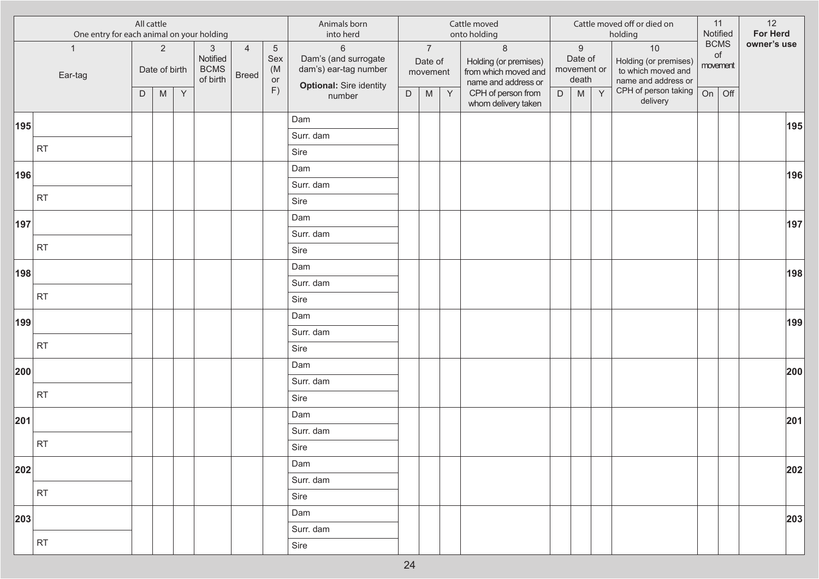| All cattle<br>One entry for each animal on your holding |                         |   |                                 |   |                                                     | Animals born<br>into herd      |                                    |                                                                                          |             | Cattle moved<br>onto holding          |   |                                                                                 |   | Cattle moved off or died on<br>holding              | Notified | 11                                                                         | 12<br>For Herd          |     |             |
|---------------------------------------------------------|-------------------------|---|---------------------------------|---|-----------------------------------------------------|--------------------------------|------------------------------------|------------------------------------------------------------------------------------------|-------------|---------------------------------------|---|---------------------------------------------------------------------------------|---|-----------------------------------------------------|----------|----------------------------------------------------------------------------|-------------------------|-----|-------------|
|                                                         | $\mathbf{1}$<br>Ear-tag |   | $\overline{2}$<br>Date of birth |   | $\mathbf{3}$<br>Notified<br><b>BCMS</b><br>of birth | $\overline{4}$<br><b>Breed</b> | $\overline{5}$<br>Sex<br>(M)<br>or | $6\,$<br>Dam's (and surrogate<br>dam's) ear-tag number<br><b>Optional: Sire identity</b> |             | $\overline{7}$<br>Date of<br>movement |   | $\,8\,$<br>Holding (or premises)<br>from which moved and<br>name and address or |   | $\boldsymbol{9}$<br>Date of<br>movement or<br>death |          | $10$<br>Holding (or premises)<br>to which moved and<br>name and address or | <b>BCMS</b><br>movement | of  | owner's use |
|                                                         |                         | D | ${\sf M}$                       | Y |                                                     |                                | F)                                 | number                                                                                   | $\mathsf D$ | ${\sf M}$                             | Y | CPH of person from<br>whom delivery taken                                       | D | ${\sf M}$                                           | Y        | CPH of person taking<br>delivery                                           | On                      | Off |             |
| 195                                                     |                         |   |                                 |   |                                                     |                                |                                    | Dam                                                                                      |             |                                       |   |                                                                                 |   |                                                     |          |                                                                            |                         |     | 195         |
|                                                         |                         |   |                                 |   |                                                     |                                |                                    | Surr. dam                                                                                |             |                                       |   |                                                                                 |   |                                                     |          |                                                                            |                         |     |             |
|                                                         | <b>RT</b>               |   |                                 |   |                                                     |                                |                                    | Sire                                                                                     |             |                                       |   |                                                                                 |   |                                                     |          |                                                                            |                         |     |             |
| 196                                                     |                         |   |                                 |   |                                                     |                                |                                    | Dam                                                                                      |             |                                       |   |                                                                                 |   |                                                     |          |                                                                            |                         |     | 196         |
|                                                         |                         |   |                                 |   |                                                     |                                |                                    | Surr. dam                                                                                |             |                                       |   |                                                                                 |   |                                                     |          |                                                                            |                         |     |             |
|                                                         | <b>RT</b>               |   |                                 |   |                                                     |                                |                                    | Sire                                                                                     |             |                                       |   |                                                                                 |   |                                                     |          |                                                                            |                         |     |             |
| 197                                                     |                         |   |                                 |   |                                                     |                                |                                    | Dam                                                                                      |             |                                       |   |                                                                                 |   |                                                     |          |                                                                            |                         |     | 197         |
|                                                         |                         |   |                                 |   |                                                     |                                |                                    | Surr. dam                                                                                |             |                                       |   |                                                                                 |   |                                                     |          |                                                                            |                         |     |             |
|                                                         | <b>RT</b>               |   |                                 |   |                                                     |                                |                                    | Sire                                                                                     |             |                                       |   |                                                                                 |   |                                                     |          |                                                                            |                         |     |             |
| 198                                                     |                         |   |                                 |   |                                                     |                                |                                    | Dam                                                                                      |             |                                       |   |                                                                                 |   |                                                     |          |                                                                            |                         |     | 198         |
|                                                         | <b>RT</b>               |   |                                 |   |                                                     |                                |                                    | Surr. dam                                                                                |             |                                       |   |                                                                                 |   |                                                     |          |                                                                            |                         |     |             |
|                                                         |                         |   |                                 |   |                                                     |                                |                                    | Sire                                                                                     |             |                                       |   |                                                                                 |   |                                                     |          |                                                                            |                         |     |             |
| 199                                                     |                         |   |                                 |   |                                                     |                                |                                    | Dam                                                                                      |             |                                       |   |                                                                                 |   |                                                     |          |                                                                            |                         |     | 199         |
|                                                         | <b>RT</b>               |   |                                 |   |                                                     |                                |                                    | Surr. dam                                                                                |             |                                       |   |                                                                                 |   |                                                     |          |                                                                            |                         |     |             |
|                                                         |                         |   |                                 |   |                                                     |                                |                                    | Sire                                                                                     |             |                                       |   |                                                                                 |   |                                                     |          |                                                                            |                         |     |             |
| 200                                                     |                         |   |                                 |   |                                                     |                                |                                    | Dam                                                                                      |             |                                       |   |                                                                                 |   |                                                     |          |                                                                            |                         |     | 200         |
|                                                         | <b>RT</b>               |   |                                 |   |                                                     |                                |                                    | Surr. dam                                                                                |             |                                       |   |                                                                                 |   |                                                     |          |                                                                            |                         |     |             |
|                                                         |                         |   |                                 |   |                                                     |                                |                                    | Sire                                                                                     |             |                                       |   |                                                                                 |   |                                                     |          |                                                                            |                         |     |             |
| 201                                                     |                         |   |                                 |   |                                                     |                                |                                    | Dam                                                                                      |             |                                       |   |                                                                                 |   |                                                     |          |                                                                            |                         |     | 201         |
|                                                         | <b>RT</b>               |   |                                 |   |                                                     |                                |                                    | Surr. dam                                                                                |             |                                       |   |                                                                                 |   |                                                     |          |                                                                            |                         |     |             |
|                                                         |                         |   |                                 |   |                                                     |                                |                                    | Sire                                                                                     |             |                                       |   |                                                                                 |   |                                                     |          |                                                                            |                         |     |             |
| 202                                                     |                         |   |                                 |   |                                                     |                                |                                    | Dam                                                                                      |             |                                       |   |                                                                                 |   |                                                     |          |                                                                            |                         |     | 202         |
|                                                         | <b>RT</b>               |   |                                 |   |                                                     |                                |                                    | Surr. dam                                                                                |             |                                       |   |                                                                                 |   |                                                     |          |                                                                            |                         |     |             |
|                                                         |                         |   |                                 |   |                                                     |                                |                                    | Sire                                                                                     |             |                                       |   |                                                                                 |   |                                                     |          |                                                                            |                         |     |             |
| 203                                                     |                         |   |                                 |   |                                                     |                                |                                    | Dam                                                                                      |             |                                       |   |                                                                                 |   |                                                     |          |                                                                            |                         |     | 203         |
|                                                         | <b>RT</b>               |   |                                 |   |                                                     |                                |                                    | Surr. dam<br>Sire                                                                        |             |                                       |   |                                                                                 |   |                                                     |          |                                                                            |                         |     |             |
|                                                         |                         |   |                                 |   |                                                     |                                |                                    |                                                                                          |             |                                       |   |                                                                                 |   |                                                     |          |                                                                            |                         |     |             |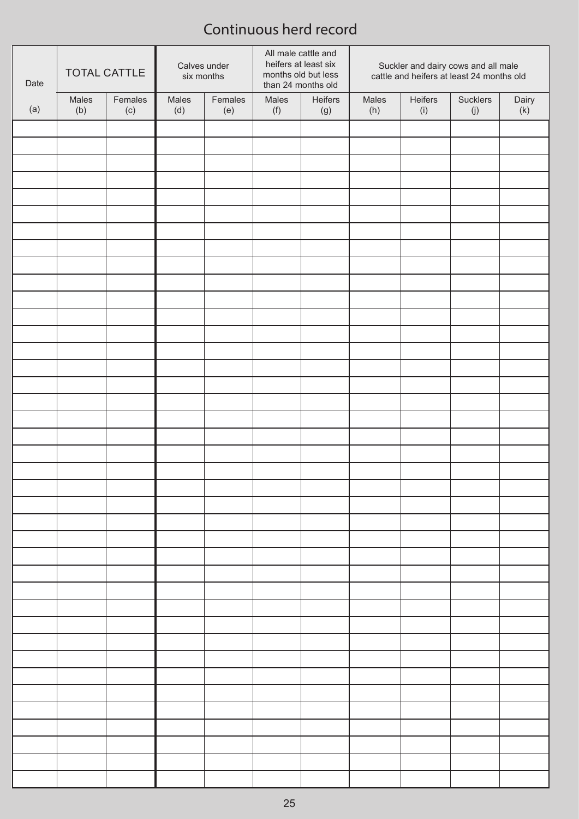| Date | <b>TOTAL CATTLE</b> |         | Calves under<br>six months |         | All male cattle and<br>months old but less<br>than 24 months old | heifers at least six | Suckler and dairy cows and all male<br>cattle and heifers at least 24 months old |         |          |       |
|------|---------------------|---------|----------------------------|---------|------------------------------------------------------------------|----------------------|----------------------------------------------------------------------------------|---------|----------|-------|
|      | Males               | Females | Males                      | Females | Males                                                            | Heifers              | Males                                                                            | Heifers | Sucklers | Dairy |
| (a)  | (b)                 | (c)     | (d)                        | (e)     | (f)                                                              | (g)                  | (h)                                                                              | (i)     | (j)      | (k)   |
|      |                     |         |                            |         |                                                                  |                      |                                                                                  |         |          |       |
|      |                     |         |                            |         |                                                                  |                      |                                                                                  |         |          |       |
|      |                     |         |                            |         |                                                                  |                      |                                                                                  |         |          |       |
|      |                     |         |                            |         |                                                                  |                      |                                                                                  |         |          |       |
|      |                     |         |                            |         |                                                                  |                      |                                                                                  |         |          |       |
|      |                     |         |                            |         |                                                                  |                      |                                                                                  |         |          |       |
|      |                     |         |                            |         |                                                                  |                      |                                                                                  |         |          |       |
|      |                     |         |                            |         |                                                                  |                      |                                                                                  |         |          |       |
|      |                     |         |                            |         |                                                                  |                      |                                                                                  |         |          |       |
|      |                     |         |                            |         |                                                                  |                      |                                                                                  |         |          |       |
|      |                     |         |                            |         |                                                                  |                      |                                                                                  |         |          |       |
|      |                     |         |                            |         |                                                                  |                      |                                                                                  |         |          |       |
|      |                     |         |                            |         |                                                                  |                      |                                                                                  |         |          |       |
|      |                     |         |                            |         |                                                                  |                      |                                                                                  |         |          |       |
|      |                     |         |                            |         |                                                                  |                      |                                                                                  |         |          |       |
|      |                     |         |                            |         |                                                                  |                      |                                                                                  |         |          |       |
|      |                     |         |                            |         |                                                                  |                      |                                                                                  |         |          |       |
|      |                     |         |                            |         |                                                                  |                      |                                                                                  |         |          |       |
|      |                     |         |                            |         |                                                                  |                      |                                                                                  |         |          |       |
|      |                     |         |                            |         |                                                                  |                      |                                                                                  |         |          |       |
|      |                     |         |                            |         |                                                                  |                      |                                                                                  |         |          |       |
|      |                     |         |                            |         |                                                                  |                      |                                                                                  |         |          |       |
|      |                     |         |                            |         |                                                                  |                      |                                                                                  |         |          |       |
|      |                     |         |                            |         |                                                                  |                      |                                                                                  |         |          |       |
|      |                     |         |                            |         |                                                                  |                      |                                                                                  |         |          |       |
|      |                     |         |                            |         |                                                                  |                      |                                                                                  |         |          |       |
|      |                     |         |                            |         |                                                                  |                      |                                                                                  |         |          |       |
|      |                     |         |                            |         |                                                                  |                      |                                                                                  |         |          |       |
|      |                     |         |                            |         |                                                                  |                      |                                                                                  |         |          |       |
|      |                     |         |                            |         |                                                                  |                      |                                                                                  |         |          |       |
|      |                     |         |                            |         |                                                                  |                      |                                                                                  |         |          |       |
|      |                     |         |                            |         |                                                                  |                      |                                                                                  |         |          |       |
|      |                     |         |                            |         |                                                                  |                      |                                                                                  |         |          |       |
|      |                     |         |                            |         |                                                                  |                      |                                                                                  |         |          |       |
|      |                     |         |                            |         |                                                                  |                      |                                                                                  |         |          |       |
|      |                     |         |                            |         |                                                                  |                      |                                                                                  |         |          |       |
|      |                     |         |                            |         |                                                                  |                      |                                                                                  |         |          |       |
|      |                     |         |                            |         |                                                                  |                      |                                                                                  |         |          |       |
|      |                     |         |                            |         |                                                                  |                      |                                                                                  |         |          |       |
|      |                     |         |                            |         |                                                                  |                      |                                                                                  |         |          |       |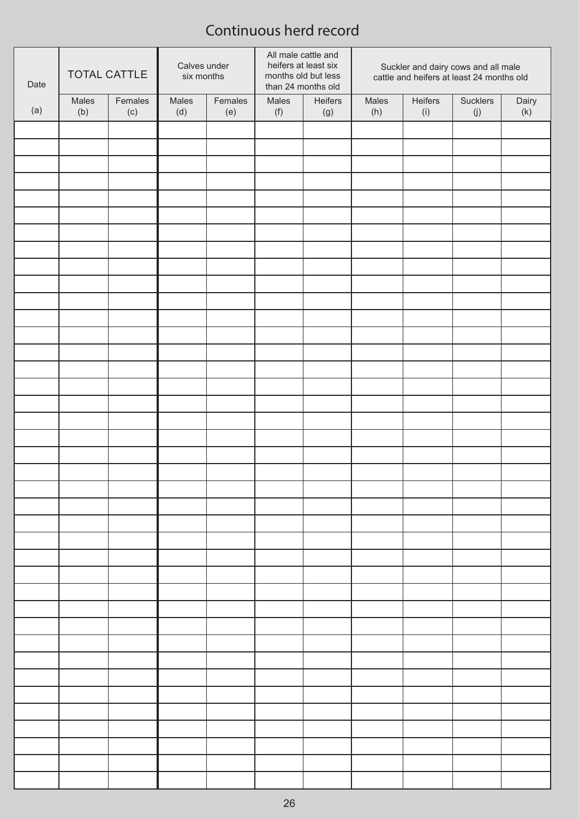| Date | <b>TOTAL CATTLE</b> |         |       | Calves under<br>six months |       | All male cattle and<br>heifers at least six<br>Suckler and dairy cows and all male<br>cattle and heifers at least 24 months old<br>months old but less<br>than 24 months old |       |         |          |       |  |  |
|------|---------------------|---------|-------|----------------------------|-------|------------------------------------------------------------------------------------------------------------------------------------------------------------------------------|-------|---------|----------|-------|--|--|
|      | Males               | Females | Males | Females                    | Males | Heifers                                                                                                                                                                      | Males | Heifers | Sucklers | Dairy |  |  |
| (a)  | (b)                 | (c)     | (d)   | (e)                        | (f)   | (g)                                                                                                                                                                          | (h)   | (i)     | (j)      | (k)   |  |  |
|      |                     |         |       |                            |       |                                                                                                                                                                              |       |         |          |       |  |  |
|      |                     |         |       |                            |       |                                                                                                                                                                              |       |         |          |       |  |  |
|      |                     |         |       |                            |       |                                                                                                                                                                              |       |         |          |       |  |  |
|      |                     |         |       |                            |       |                                                                                                                                                                              |       |         |          |       |  |  |
|      |                     |         |       |                            |       |                                                                                                                                                                              |       |         |          |       |  |  |
|      |                     |         |       |                            |       |                                                                                                                                                                              |       |         |          |       |  |  |
|      |                     |         |       |                            |       |                                                                                                                                                                              |       |         |          |       |  |  |
|      |                     |         |       |                            |       |                                                                                                                                                                              |       |         |          |       |  |  |
|      |                     |         |       |                            |       |                                                                                                                                                                              |       |         |          |       |  |  |
|      |                     |         |       |                            |       |                                                                                                                                                                              |       |         |          |       |  |  |
|      |                     |         |       |                            |       |                                                                                                                                                                              |       |         |          |       |  |  |
|      |                     |         |       |                            |       |                                                                                                                                                                              |       |         |          |       |  |  |
|      |                     |         |       |                            |       |                                                                                                                                                                              |       |         |          |       |  |  |
|      |                     |         |       |                            |       |                                                                                                                                                                              |       |         |          |       |  |  |
|      |                     |         |       |                            |       |                                                                                                                                                                              |       |         |          |       |  |  |
|      |                     |         |       |                            |       |                                                                                                                                                                              |       |         |          |       |  |  |
|      |                     |         |       |                            |       |                                                                                                                                                                              |       |         |          |       |  |  |
|      |                     |         |       |                            |       |                                                                                                                                                                              |       |         |          |       |  |  |
|      |                     |         |       |                            |       |                                                                                                                                                                              |       |         |          |       |  |  |
|      |                     |         |       |                            |       |                                                                                                                                                                              |       |         |          |       |  |  |
|      |                     |         |       |                            |       |                                                                                                                                                                              |       |         |          |       |  |  |
|      |                     |         |       |                            |       |                                                                                                                                                                              |       |         |          |       |  |  |
|      |                     |         |       |                            |       |                                                                                                                                                                              |       |         |          |       |  |  |
|      |                     |         |       |                            |       |                                                                                                                                                                              |       |         |          |       |  |  |
|      |                     |         |       |                            |       |                                                                                                                                                                              |       |         |          |       |  |  |
|      |                     |         |       |                            |       |                                                                                                                                                                              |       |         |          |       |  |  |
|      |                     |         |       |                            |       |                                                                                                                                                                              |       |         |          |       |  |  |
|      |                     |         |       |                            |       |                                                                                                                                                                              |       |         |          |       |  |  |
|      |                     |         |       |                            |       |                                                                                                                                                                              |       |         |          |       |  |  |
|      |                     |         |       |                            |       |                                                                                                                                                                              |       |         |          |       |  |  |
|      |                     |         |       |                            |       |                                                                                                                                                                              |       |         |          |       |  |  |
|      |                     |         |       |                            |       |                                                                                                                                                                              |       |         |          |       |  |  |
|      |                     |         |       |                            |       |                                                                                                                                                                              |       |         |          |       |  |  |
|      |                     |         |       |                            |       |                                                                                                                                                                              |       |         |          |       |  |  |
|      |                     |         |       |                            |       |                                                                                                                                                                              |       |         |          |       |  |  |
|      |                     |         |       |                            |       |                                                                                                                                                                              |       |         |          |       |  |  |
|      |                     |         |       |                            |       |                                                                                                                                                                              |       |         |          |       |  |  |
|      |                     |         |       |                            |       |                                                                                                                                                                              |       |         |          |       |  |  |
|      |                     |         |       |                            |       |                                                                                                                                                                              |       |         |          |       |  |  |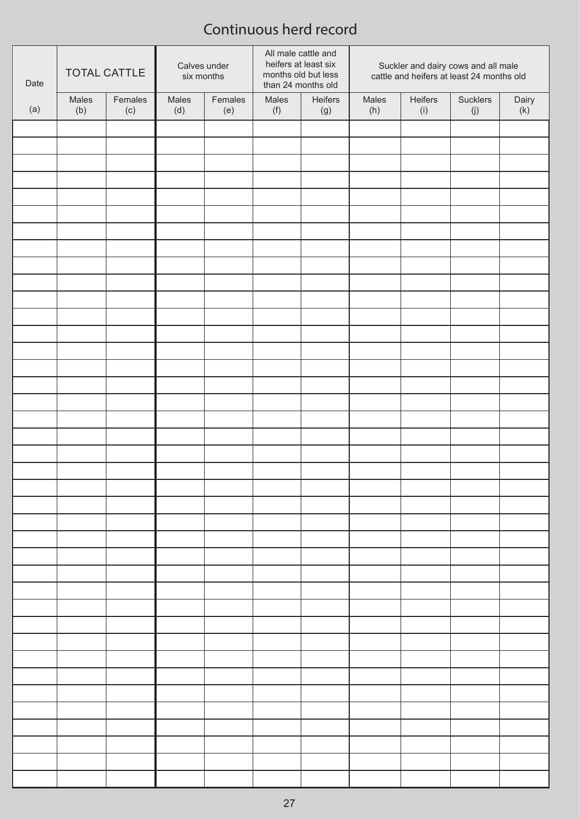| Date | <b>TOTAL CATTLE</b> |         | Calves under<br>six months |         | All male cattle and<br>heifers at least six<br>months old but less<br>than 24 months old |         | Suckler and dairy cows and all male<br>cattle and heifers at least 24 months old |         |                   |       |
|------|---------------------|---------|----------------------------|---------|------------------------------------------------------------------------------------------|---------|----------------------------------------------------------------------------------|---------|-------------------|-------|
|      | Males               | Females | Males                      | Females | Males                                                                                    | Heifers | Males                                                                            | Heifers | Sucklers          | Dairy |
| (a)  | (b)                 | (c)     | (d)                        | (e)     | (f)                                                                                      | (g)     | (h)                                                                              | (i)     | $\left( j\right)$ | (k)   |
|      |                     |         |                            |         |                                                                                          |         |                                                                                  |         |                   |       |
|      |                     |         |                            |         |                                                                                          |         |                                                                                  |         |                   |       |
|      |                     |         |                            |         |                                                                                          |         |                                                                                  |         |                   |       |
|      |                     |         |                            |         |                                                                                          |         |                                                                                  |         |                   |       |
|      |                     |         |                            |         |                                                                                          |         |                                                                                  |         |                   |       |
|      |                     |         |                            |         |                                                                                          |         |                                                                                  |         |                   |       |
|      |                     |         |                            |         |                                                                                          |         |                                                                                  |         |                   |       |
|      |                     |         |                            |         |                                                                                          |         |                                                                                  |         |                   |       |
|      |                     |         |                            |         |                                                                                          |         |                                                                                  |         |                   |       |
|      |                     |         |                            |         |                                                                                          |         |                                                                                  |         |                   |       |
|      |                     |         |                            |         |                                                                                          |         |                                                                                  |         |                   |       |
|      |                     |         |                            |         |                                                                                          |         |                                                                                  |         |                   |       |
|      |                     |         |                            |         |                                                                                          |         |                                                                                  |         |                   |       |
|      |                     |         |                            |         |                                                                                          |         |                                                                                  |         |                   |       |
|      |                     |         |                            |         |                                                                                          |         |                                                                                  |         |                   |       |
|      |                     |         |                            |         |                                                                                          |         |                                                                                  |         |                   |       |
|      |                     |         |                            |         |                                                                                          |         |                                                                                  |         |                   |       |
|      |                     |         |                            |         |                                                                                          |         |                                                                                  |         |                   |       |
|      |                     |         |                            |         |                                                                                          |         |                                                                                  |         |                   |       |
|      |                     |         |                            |         |                                                                                          |         |                                                                                  |         |                   |       |
|      |                     |         |                            |         |                                                                                          |         |                                                                                  |         |                   |       |
|      |                     |         |                            |         |                                                                                          |         |                                                                                  |         |                   |       |
|      |                     |         |                            |         |                                                                                          |         |                                                                                  |         |                   |       |
|      |                     |         |                            |         |                                                                                          |         |                                                                                  |         |                   |       |
|      |                     |         |                            |         |                                                                                          |         |                                                                                  |         |                   |       |
|      |                     |         |                            |         |                                                                                          |         |                                                                                  |         |                   |       |
|      |                     |         |                            |         |                                                                                          |         |                                                                                  |         |                   |       |
|      |                     |         |                            |         |                                                                                          |         |                                                                                  |         |                   |       |
|      |                     |         |                            |         |                                                                                          |         |                                                                                  |         |                   |       |
|      |                     |         |                            |         |                                                                                          |         |                                                                                  |         |                   |       |
|      |                     |         |                            |         |                                                                                          |         |                                                                                  |         |                   |       |
|      |                     |         |                            |         |                                                                                          |         |                                                                                  |         |                   |       |
|      |                     |         |                            |         |                                                                                          |         |                                                                                  |         |                   |       |
|      |                     |         |                            |         |                                                                                          |         |                                                                                  |         |                   |       |
|      |                     |         |                            |         |                                                                                          |         |                                                                                  |         |                   |       |
|      |                     |         |                            |         |                                                                                          |         |                                                                                  |         |                   |       |
|      |                     |         |                            |         |                                                                                          |         |                                                                                  |         |                   |       |
|      |                     |         |                            |         |                                                                                          |         |                                                                                  |         |                   |       |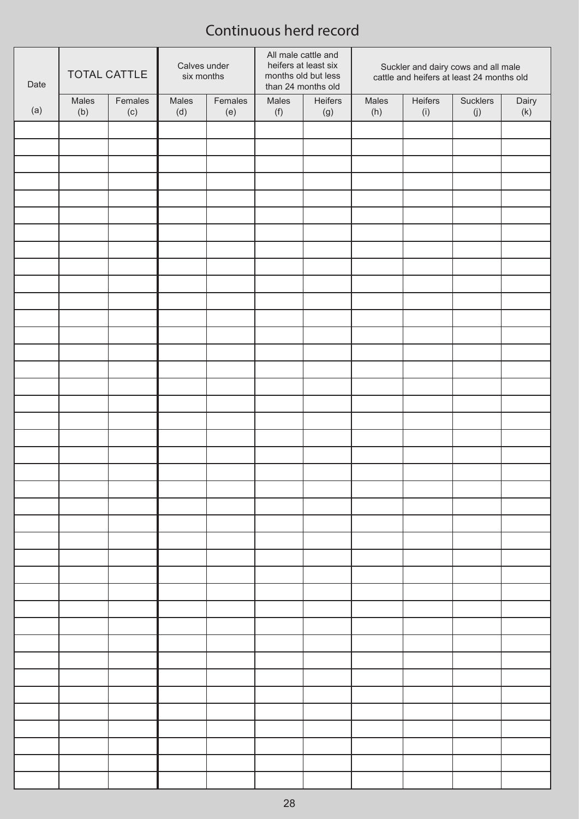| Date | <b>TOTAL CATTLE</b> |         | Calves under<br>six months |         | All male cattle and<br>heifers at least six<br>months old but less<br>than 24 months old |         | Suckler and dairy cows and all male<br>cattle and heifers at least 24 months old |         |          |       |
|------|---------------------|---------|----------------------------|---------|------------------------------------------------------------------------------------------|---------|----------------------------------------------------------------------------------|---------|----------|-------|
| (a)  | Males               | Females | Males                      | Females | Males                                                                                    | Heifers | Males                                                                            | Heifers | Sucklers | Dairy |
|      | (b)                 | (c)     | (d)                        | (e)     | (f)                                                                                      | (g)     | (h)                                                                              | (i)     | (j)      | (k)   |
|      |                     |         |                            |         |                                                                                          |         |                                                                                  |         |          |       |
|      |                     |         |                            |         |                                                                                          |         |                                                                                  |         |          |       |
|      |                     |         |                            |         |                                                                                          |         |                                                                                  |         |          |       |
|      |                     |         |                            |         |                                                                                          |         |                                                                                  |         |          |       |
|      |                     |         |                            |         |                                                                                          |         |                                                                                  |         |          |       |
|      |                     |         |                            |         |                                                                                          |         |                                                                                  |         |          |       |
|      |                     |         |                            |         |                                                                                          |         |                                                                                  |         |          |       |
|      |                     |         |                            |         |                                                                                          |         |                                                                                  |         |          |       |
|      |                     |         |                            |         |                                                                                          |         |                                                                                  |         |          |       |
|      |                     |         |                            |         |                                                                                          |         |                                                                                  |         |          |       |
|      |                     |         |                            |         |                                                                                          |         |                                                                                  |         |          |       |
|      |                     |         |                            |         |                                                                                          |         |                                                                                  |         |          |       |
|      |                     |         |                            |         |                                                                                          |         |                                                                                  |         |          |       |
|      |                     |         |                            |         |                                                                                          |         |                                                                                  |         |          |       |
|      |                     |         |                            |         |                                                                                          |         |                                                                                  |         |          |       |
|      |                     |         |                            |         |                                                                                          |         |                                                                                  |         |          |       |
|      |                     |         |                            |         |                                                                                          |         |                                                                                  |         |          |       |
|      |                     |         |                            |         |                                                                                          |         |                                                                                  |         |          |       |
|      |                     |         |                            |         |                                                                                          |         |                                                                                  |         |          |       |
|      |                     |         |                            |         |                                                                                          |         |                                                                                  |         |          |       |
|      |                     |         |                            |         |                                                                                          |         |                                                                                  |         |          |       |
|      |                     |         |                            |         |                                                                                          |         |                                                                                  |         |          |       |
|      |                     |         |                            |         |                                                                                          |         |                                                                                  |         |          |       |
|      |                     |         |                            |         |                                                                                          |         |                                                                                  |         |          |       |
|      |                     |         |                            |         |                                                                                          |         |                                                                                  |         |          |       |
|      |                     |         |                            |         |                                                                                          |         |                                                                                  |         |          |       |
|      |                     |         |                            |         |                                                                                          |         |                                                                                  |         |          |       |
|      |                     |         |                            |         |                                                                                          |         |                                                                                  |         |          |       |
|      |                     |         |                            |         |                                                                                          |         |                                                                                  |         |          |       |
|      |                     |         |                            |         |                                                                                          |         |                                                                                  |         |          |       |
|      |                     |         |                            |         |                                                                                          |         |                                                                                  |         |          |       |
|      |                     |         |                            |         |                                                                                          |         |                                                                                  |         |          |       |
|      |                     |         |                            |         |                                                                                          |         |                                                                                  |         |          |       |
|      |                     |         |                            |         |                                                                                          |         |                                                                                  |         |          |       |
|      |                     |         |                            |         |                                                                                          |         |                                                                                  |         |          |       |
|      |                     |         |                            |         |                                                                                          |         |                                                                                  |         |          |       |
|      |                     |         |                            |         |                                                                                          |         |                                                                                  |         |          |       |
|      |                     |         |                            |         |                                                                                          |         |                                                                                  |         |          |       |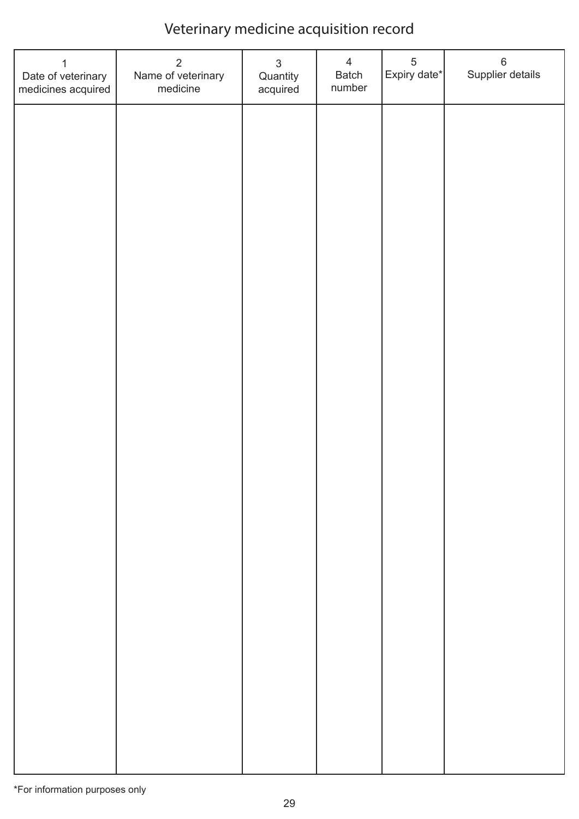| 1<br>Date of veterinary<br>medicines acquired | $\overline{2}$<br>Name of veterinary<br>medicine | $\mathfrak{S}$<br>Quantity<br>acquired | $\overline{4}$<br>Batch<br>number | $\sqrt{5}$<br>Expiry date* | $\,6$<br>Supplier details |
|-----------------------------------------------|--------------------------------------------------|----------------------------------------|-----------------------------------|----------------------------|---------------------------|
|                                               |                                                  |                                        |                                   |                            |                           |
|                                               |                                                  |                                        |                                   |                            |                           |
|                                               |                                                  |                                        |                                   |                            |                           |
|                                               |                                                  |                                        |                                   |                            |                           |
|                                               |                                                  |                                        |                                   |                            |                           |
|                                               |                                                  |                                        |                                   |                            |                           |
|                                               |                                                  |                                        |                                   |                            |                           |
|                                               |                                                  |                                        |                                   |                            |                           |
|                                               |                                                  |                                        |                                   |                            |                           |
|                                               |                                                  |                                        |                                   |                            |                           |
|                                               |                                                  |                                        |                                   |                            |                           |
|                                               |                                                  |                                        |                                   |                            |                           |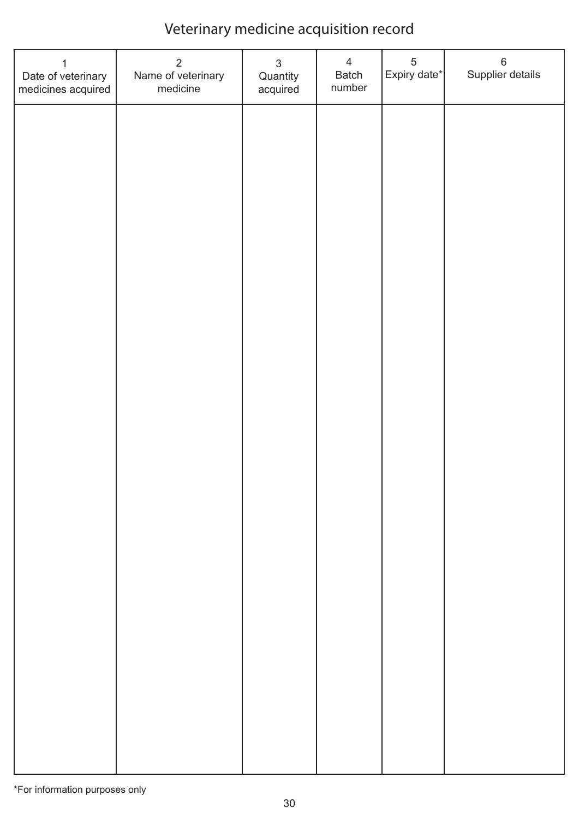| 1<br>Date of veterinary<br>medicines acquired | $\overline{2}$<br>Name of veterinary<br>medicine | $\mathfrak{S}$<br>Quantity<br>acquired | $\overline{4}$<br>Batch<br>number | $\,$ 5 $\,$<br>Expiry date* | $\,6$<br>Supplier details |
|-----------------------------------------------|--------------------------------------------------|----------------------------------------|-----------------------------------|-----------------------------|---------------------------|
|                                               |                                                  |                                        |                                   |                             |                           |
|                                               |                                                  |                                        |                                   |                             |                           |
|                                               |                                                  |                                        |                                   |                             |                           |
|                                               |                                                  |                                        |                                   |                             |                           |
|                                               |                                                  |                                        |                                   |                             |                           |
|                                               |                                                  |                                        |                                   |                             |                           |
|                                               |                                                  |                                        |                                   |                             |                           |
|                                               |                                                  |                                        |                                   |                             |                           |
|                                               |                                                  |                                        |                                   |                             |                           |
|                                               |                                                  |                                        |                                   |                             |                           |
|                                               |                                                  |                                        |                                   |                             |                           |
|                                               |                                                  |                                        |                                   |                             |                           |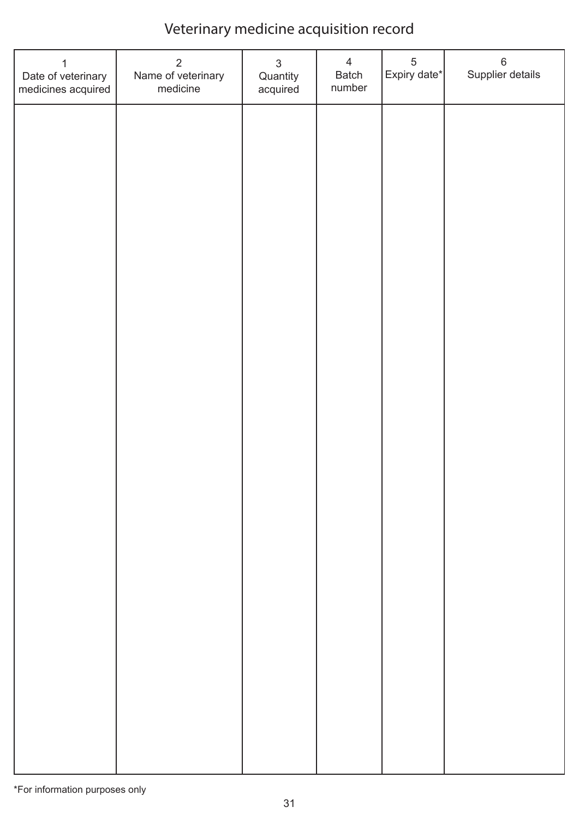| 1<br>Date of veterinary<br>medicines acquired | $\overline{2}$<br>Name of veterinary<br>medicine | $\mathfrak{S}$<br>Quantity<br>acquired | $\overline{4}$<br>Batch<br>number | $\,$ 5 $\,$<br>Expiry date* | $\,6$<br>Supplier details |
|-----------------------------------------------|--------------------------------------------------|----------------------------------------|-----------------------------------|-----------------------------|---------------------------|
|                                               |                                                  |                                        |                                   |                             |                           |
|                                               |                                                  |                                        |                                   |                             |                           |
|                                               |                                                  |                                        |                                   |                             |                           |
|                                               |                                                  |                                        |                                   |                             |                           |
|                                               |                                                  |                                        |                                   |                             |                           |
|                                               |                                                  |                                        |                                   |                             |                           |
|                                               |                                                  |                                        |                                   |                             |                           |
|                                               |                                                  |                                        |                                   |                             |                           |
|                                               |                                                  |                                        |                                   |                             |                           |
|                                               |                                                  |                                        |                                   |                             |                           |
|                                               |                                                  |                                        |                                   |                             |                           |
|                                               |                                                  |                                        |                                   |                             |                           |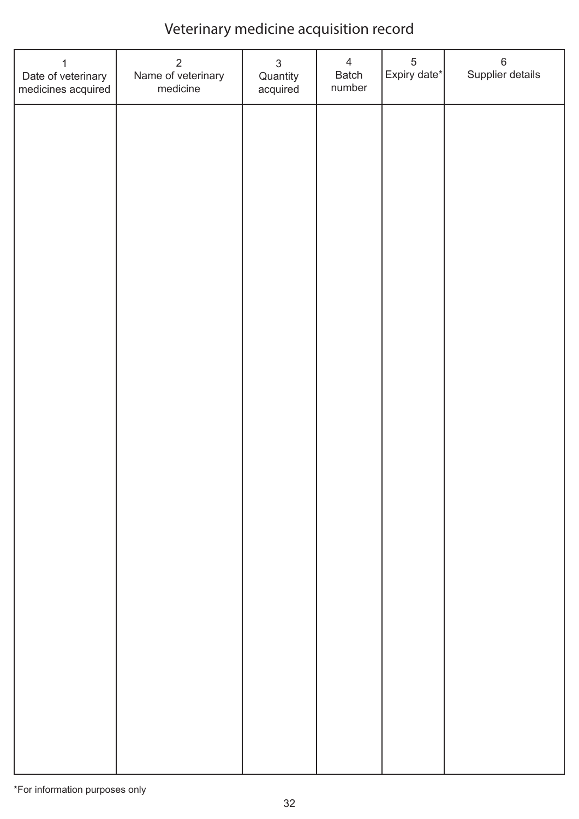| 1<br>Date of veterinary<br>medicines acquired | $\overline{2}$<br>Name of veterinary<br>medicine | $\mathfrak{S}$<br>Quantity<br>acquired | $\overline{4}$<br>Batch<br>number | $\sqrt{5}$<br>Expiry date* | $\,6$<br>Supplier details |
|-----------------------------------------------|--------------------------------------------------|----------------------------------------|-----------------------------------|----------------------------|---------------------------|
|                                               |                                                  |                                        |                                   |                            |                           |
|                                               |                                                  |                                        |                                   |                            |                           |
|                                               |                                                  |                                        |                                   |                            |                           |
|                                               |                                                  |                                        |                                   |                            |                           |
|                                               |                                                  |                                        |                                   |                            |                           |
|                                               |                                                  |                                        |                                   |                            |                           |
|                                               |                                                  |                                        |                                   |                            |                           |
|                                               |                                                  |                                        |                                   |                            |                           |
|                                               |                                                  |                                        |                                   |                            |                           |
|                                               |                                                  |                                        |                                   |                            |                           |
|                                               |                                                  |                                        |                                   |                            |                           |
|                                               |                                                  |                                        |                                   |                            |                           |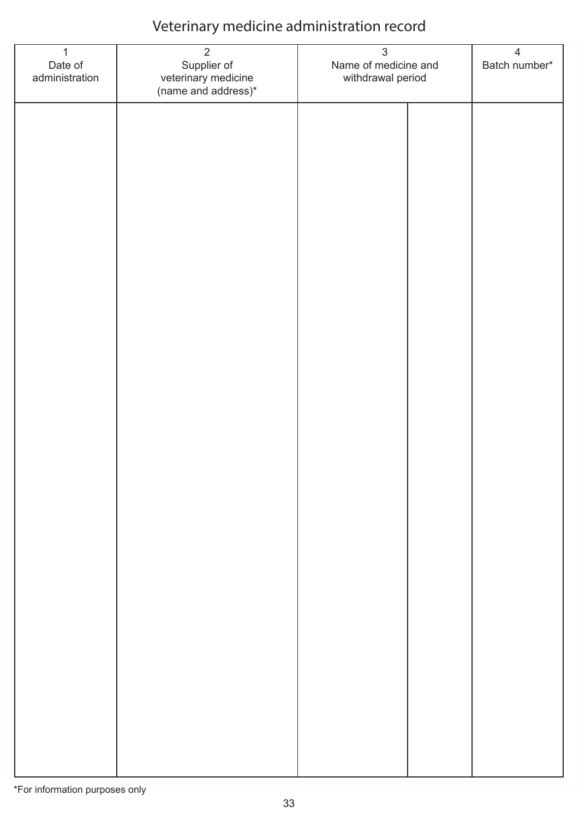| $\overline{1}$<br>Date of<br>administration | $\overline{2}$<br>Supplier of<br>veterinary medicine<br>(name and address)* | $\mathfrak{S}$<br>Name of medicine and<br>withdrawal period |  | $\overline{4}$<br>Batch number* |
|---------------------------------------------|-----------------------------------------------------------------------------|-------------------------------------------------------------|--|---------------------------------|
|                                             |                                                                             |                                                             |  |                                 |
|                                             |                                                                             |                                                             |  |                                 |
|                                             |                                                                             |                                                             |  |                                 |
|                                             |                                                                             |                                                             |  |                                 |
|                                             |                                                                             |                                                             |  |                                 |
|                                             |                                                                             |                                                             |  |                                 |
|                                             |                                                                             |                                                             |  |                                 |
|                                             |                                                                             |                                                             |  |                                 |
|                                             |                                                                             |                                                             |  |                                 |
|                                             |                                                                             |                                                             |  |                                 |
|                                             |                                                                             |                                                             |  |                                 |
|                                             |                                                                             |                                                             |  |                                 |
|                                             |                                                                             |                                                             |  |                                 |
|                                             |                                                                             |                                                             |  |                                 |
|                                             |                                                                             |                                                             |  |                                 |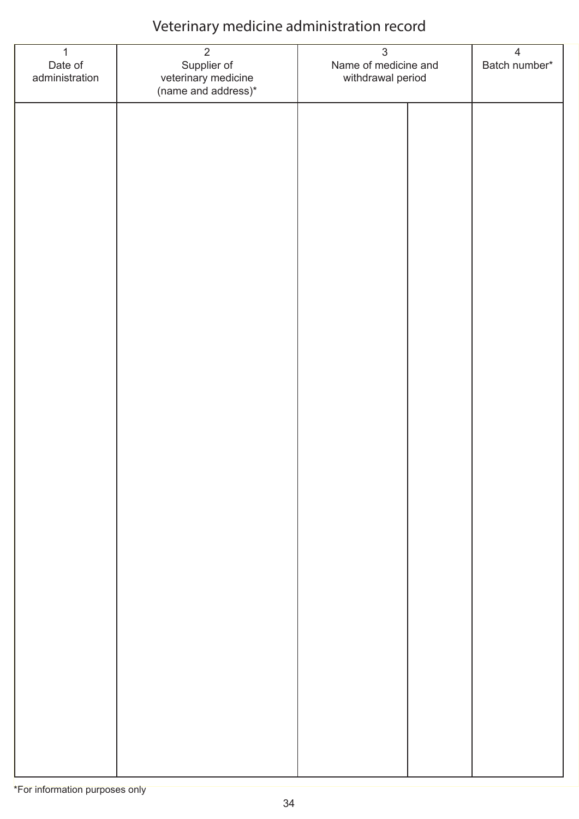| $\overline{1}$<br>Date of<br>administration | $\overline{2}$<br>Supplier of<br>veterinary medicine<br>(name and address)* | $\mathfrak{S}$<br>Name of medicine and<br>withdrawal period |  | $\overline{4}$<br>Batch number* |
|---------------------------------------------|-----------------------------------------------------------------------------|-------------------------------------------------------------|--|---------------------------------|
|                                             |                                                                             |                                                             |  |                                 |
|                                             |                                                                             |                                                             |  |                                 |
|                                             |                                                                             |                                                             |  |                                 |
|                                             |                                                                             |                                                             |  |                                 |
|                                             |                                                                             |                                                             |  |                                 |
|                                             |                                                                             |                                                             |  |                                 |
|                                             |                                                                             |                                                             |  |                                 |
|                                             |                                                                             |                                                             |  |                                 |
|                                             |                                                                             |                                                             |  |                                 |
|                                             |                                                                             |                                                             |  |                                 |
|                                             |                                                                             |                                                             |  |                                 |
|                                             |                                                                             |                                                             |  |                                 |
|                                             |                                                                             |                                                             |  |                                 |
|                                             |                                                                             |                                                             |  |                                 |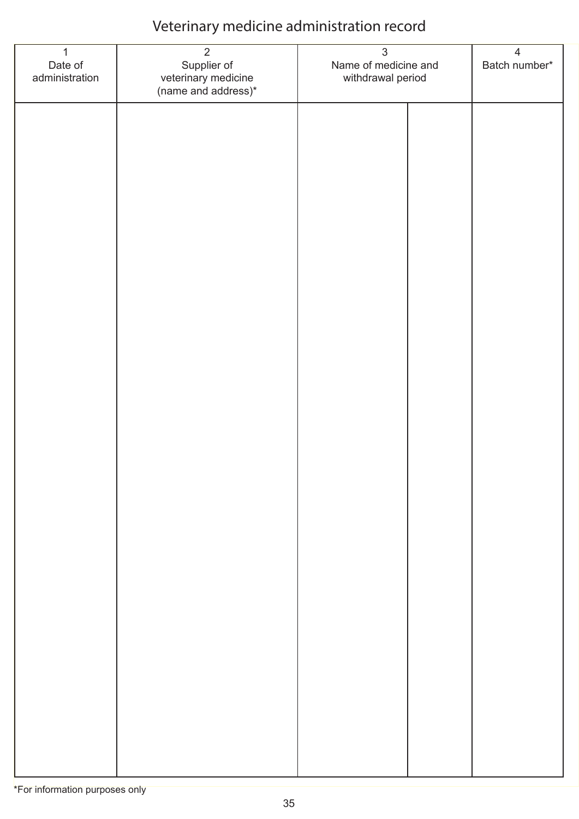| $\overline{1}$<br>Date of<br>administration | $\overline{2}$<br>Supplier of<br>veterinary medicine<br>(name and address)* | $\mathfrak{S}$<br>Name of medicine and<br>withdrawal period |  | $\overline{4}$<br>Batch number* |
|---------------------------------------------|-----------------------------------------------------------------------------|-------------------------------------------------------------|--|---------------------------------|
|                                             |                                                                             |                                                             |  |                                 |
|                                             |                                                                             |                                                             |  |                                 |
|                                             |                                                                             |                                                             |  |                                 |
|                                             |                                                                             |                                                             |  |                                 |
|                                             |                                                                             |                                                             |  |                                 |
|                                             |                                                                             |                                                             |  |                                 |
|                                             |                                                                             |                                                             |  |                                 |
|                                             |                                                                             |                                                             |  |                                 |
|                                             |                                                                             |                                                             |  |                                 |
|                                             |                                                                             |                                                             |  |                                 |
|                                             |                                                                             |                                                             |  |                                 |
|                                             |                                                                             |                                                             |  |                                 |
|                                             |                                                                             |                                                             |  |                                 |
|                                             |                                                                             |                                                             |  |                                 |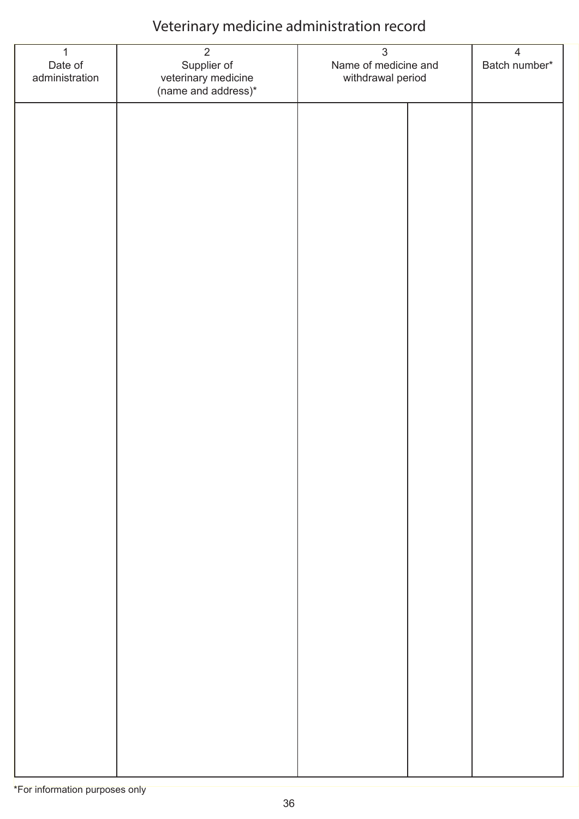| $\overline{1}$<br>Date of<br>administration | $\overline{2}$<br>Supplier of<br>veterinary medicine<br>(name and address)* | $\mathfrak{S}$<br>Name of medicine and<br>withdrawal period |  | $\overline{4}$<br>Batch number* |
|---------------------------------------------|-----------------------------------------------------------------------------|-------------------------------------------------------------|--|---------------------------------|
|                                             |                                                                             |                                                             |  |                                 |
|                                             |                                                                             |                                                             |  |                                 |
|                                             |                                                                             |                                                             |  |                                 |
|                                             |                                                                             |                                                             |  |                                 |
|                                             |                                                                             |                                                             |  |                                 |
|                                             |                                                                             |                                                             |  |                                 |
|                                             |                                                                             |                                                             |  |                                 |
|                                             |                                                                             |                                                             |  |                                 |
|                                             |                                                                             |                                                             |  |                                 |
|                                             |                                                                             |                                                             |  |                                 |
|                                             |                                                                             |                                                             |  |                                 |
|                                             |                                                                             |                                                             |  |                                 |
|                                             |                                                                             |                                                             |  |                                 |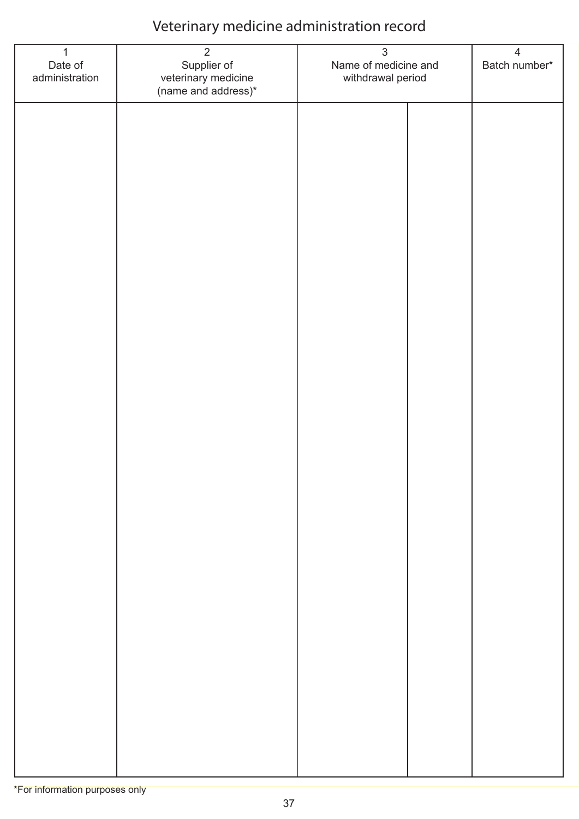| $\mathbf{1}$<br>Date of<br>administration | $\overline{2}$<br>Supplier of<br>veterinary medicine<br>(name and address)* | $\mathfrak{S}$<br>Name of medicine and<br>withdrawal period | $\overline{4}$<br>Batch number* |
|-------------------------------------------|-----------------------------------------------------------------------------|-------------------------------------------------------------|---------------------------------|
|                                           |                                                                             |                                                             |                                 |
|                                           |                                                                             |                                                             |                                 |
|                                           |                                                                             |                                                             |                                 |
|                                           |                                                                             |                                                             |                                 |
|                                           |                                                                             |                                                             |                                 |
|                                           |                                                                             |                                                             |                                 |
|                                           |                                                                             |                                                             |                                 |
|                                           |                                                                             |                                                             |                                 |
|                                           |                                                                             |                                                             |                                 |
|                                           |                                                                             |                                                             |                                 |
|                                           |                                                                             |                                                             |                                 |
|                                           |                                                                             |                                                             |                                 |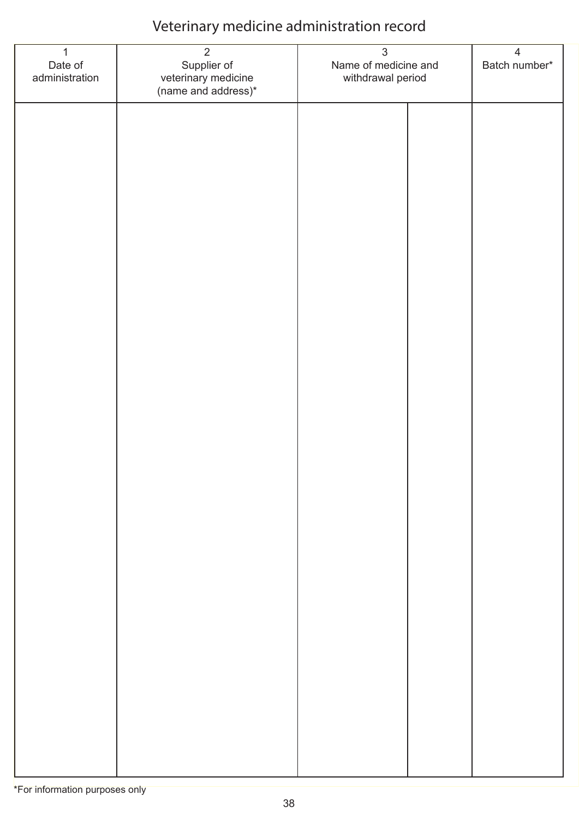| $\mathbf{1}$<br>Date of<br>administration | $\overline{2}$<br>Supplier of<br>veterinary medicine<br>(name and address)* | $\mathfrak{S}$<br>Name of medicine and<br>withdrawal period | $\overline{4}$<br>Batch number* |
|-------------------------------------------|-----------------------------------------------------------------------------|-------------------------------------------------------------|---------------------------------|
|                                           |                                                                             |                                                             |                                 |
|                                           |                                                                             |                                                             |                                 |
|                                           |                                                                             |                                                             |                                 |
|                                           |                                                                             |                                                             |                                 |
|                                           |                                                                             |                                                             |                                 |
|                                           |                                                                             |                                                             |                                 |
|                                           |                                                                             |                                                             |                                 |
|                                           |                                                                             |                                                             |                                 |
|                                           |                                                                             |                                                             |                                 |
|                                           |                                                                             |                                                             |                                 |
|                                           |                                                                             |                                                             |                                 |
|                                           |                                                                             |                                                             |                                 |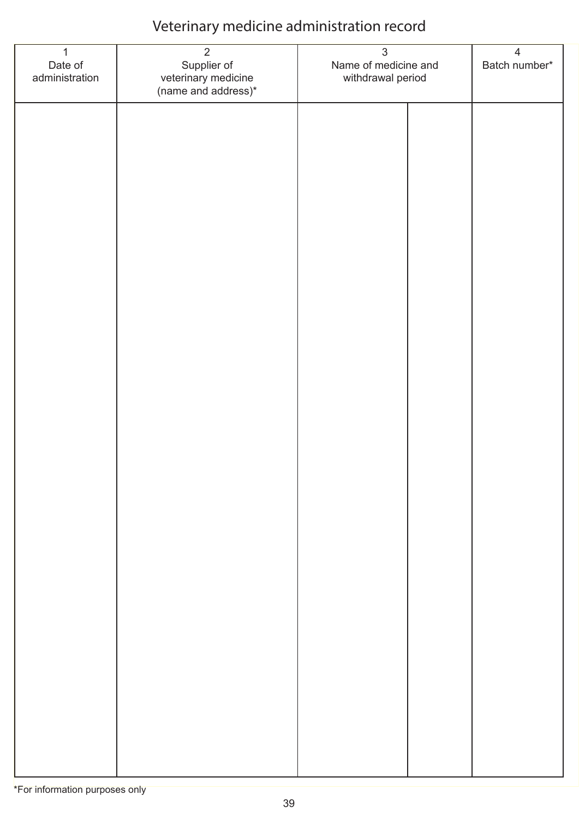| $\overline{1}$<br>Date of<br>administration | $\overline{2}$<br>Supplier of<br>veterinary medicine<br>(name and address)* | $\mathfrak{S}$<br>Name of medicine and<br>withdrawal period |  | $\overline{4}$<br>Batch number* |
|---------------------------------------------|-----------------------------------------------------------------------------|-------------------------------------------------------------|--|---------------------------------|
|                                             |                                                                             |                                                             |  |                                 |
|                                             |                                                                             |                                                             |  |                                 |
|                                             |                                                                             |                                                             |  |                                 |
|                                             |                                                                             |                                                             |  |                                 |
|                                             |                                                                             |                                                             |  |                                 |
|                                             |                                                                             |                                                             |  |                                 |
|                                             |                                                                             |                                                             |  |                                 |
|                                             |                                                                             |                                                             |  |                                 |
|                                             |                                                                             |                                                             |  |                                 |
|                                             |                                                                             |                                                             |  |                                 |
|                                             |                                                                             |                                                             |  |                                 |
|                                             |                                                                             |                                                             |  |                                 |
|                                             |                                                                             |                                                             |  |                                 |
|                                             |                                                                             |                                                             |  |                                 |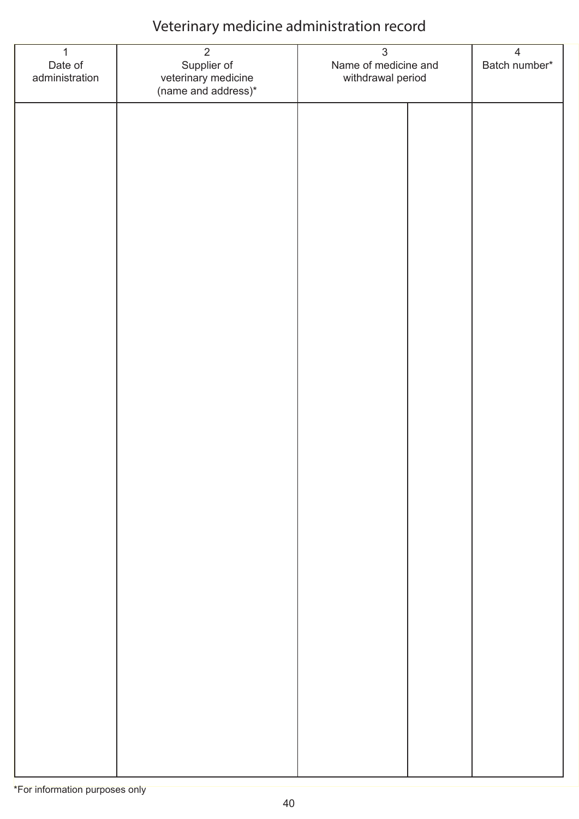| $\mathbf{1}$<br>Date of<br>administration | $\overline{2}$<br>Supplier of<br>veterinary medicine<br>(name and address)* | $\mathfrak{S}$<br>Name of medicine and<br>withdrawal period | $\overline{4}$<br>Batch number* |
|-------------------------------------------|-----------------------------------------------------------------------------|-------------------------------------------------------------|---------------------------------|
|                                           |                                                                             |                                                             |                                 |
|                                           |                                                                             |                                                             |                                 |
|                                           |                                                                             |                                                             |                                 |
|                                           |                                                                             |                                                             |                                 |
|                                           |                                                                             |                                                             |                                 |
|                                           |                                                                             |                                                             |                                 |
|                                           |                                                                             |                                                             |                                 |
|                                           |                                                                             |                                                             |                                 |
|                                           |                                                                             |                                                             |                                 |
|                                           |                                                                             |                                                             |                                 |
|                                           |                                                                             |                                                             |                                 |
|                                           |                                                                             |                                                             |                                 |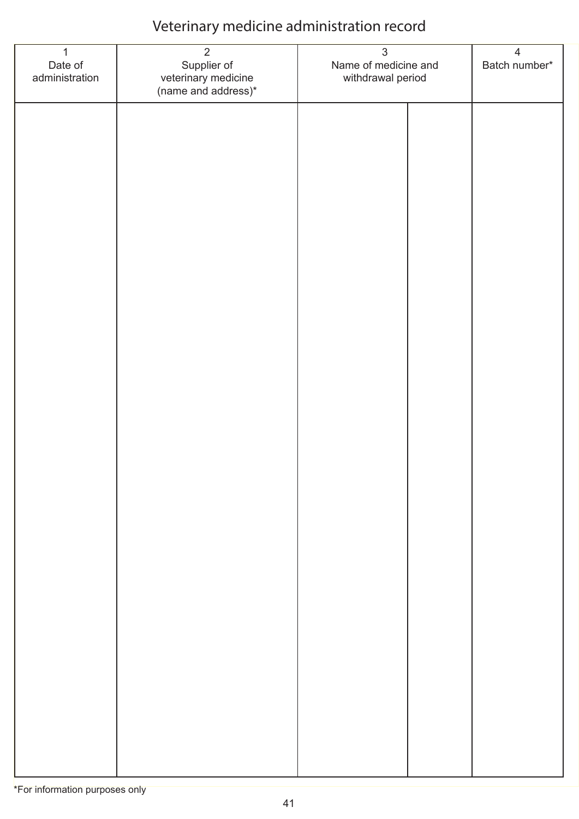| $\mathbf{1}$<br>Date of<br>administration | $\overline{2}$<br>Supplier of<br>veterinary medicine<br>(name and address)* | $\mathfrak{S}$<br>Name of medicine and<br>withdrawal period |  | $\overline{4}$<br>Batch number* |
|-------------------------------------------|-----------------------------------------------------------------------------|-------------------------------------------------------------|--|---------------------------------|
|                                           |                                                                             |                                                             |  |                                 |
|                                           |                                                                             |                                                             |  |                                 |
|                                           |                                                                             |                                                             |  |                                 |
|                                           |                                                                             |                                                             |  |                                 |
|                                           |                                                                             |                                                             |  |                                 |
|                                           |                                                                             |                                                             |  |                                 |
|                                           |                                                                             |                                                             |  |                                 |
|                                           |                                                                             |                                                             |  |                                 |
|                                           |                                                                             |                                                             |  |                                 |
|                                           |                                                                             |                                                             |  |                                 |
|                                           |                                                                             |                                                             |  |                                 |
|                                           |                                                                             |                                                             |  |                                 |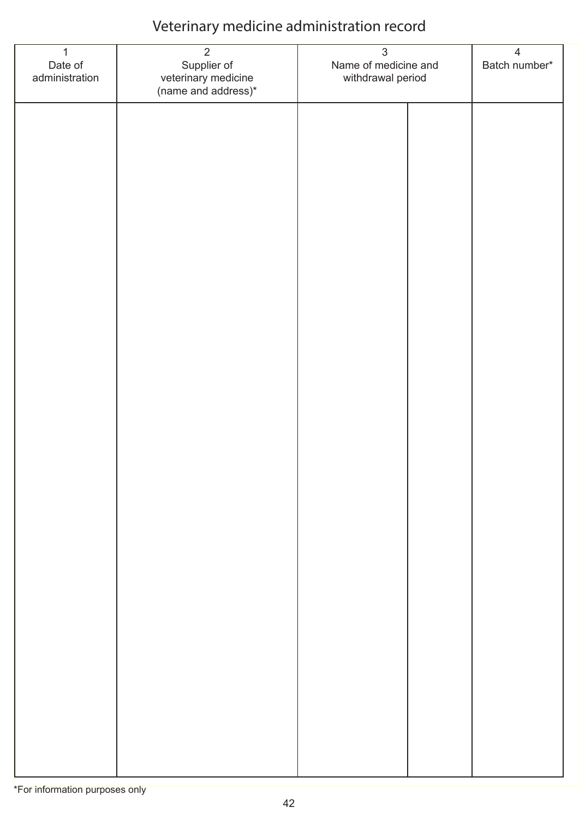| $\mathbf{1}$<br>Date of<br>administration | $\overline{2}$<br>Supplier of<br>veterinary medicine<br>(name and address)* | $\mathfrak{S}$<br>Name of medicine and<br>withdrawal period |  | $\overline{4}$<br>Batch number* |
|-------------------------------------------|-----------------------------------------------------------------------------|-------------------------------------------------------------|--|---------------------------------|
|                                           |                                                                             |                                                             |  |                                 |
|                                           |                                                                             |                                                             |  |                                 |
|                                           |                                                                             |                                                             |  |                                 |
|                                           |                                                                             |                                                             |  |                                 |
|                                           |                                                                             |                                                             |  |                                 |
|                                           |                                                                             |                                                             |  |                                 |
|                                           |                                                                             |                                                             |  |                                 |
|                                           |                                                                             |                                                             |  |                                 |
|                                           |                                                                             |                                                             |  |                                 |
|                                           |                                                                             |                                                             |  |                                 |
|                                           |                                                                             |                                                             |  |                                 |
|                                           |                                                                             |                                                             |  |                                 |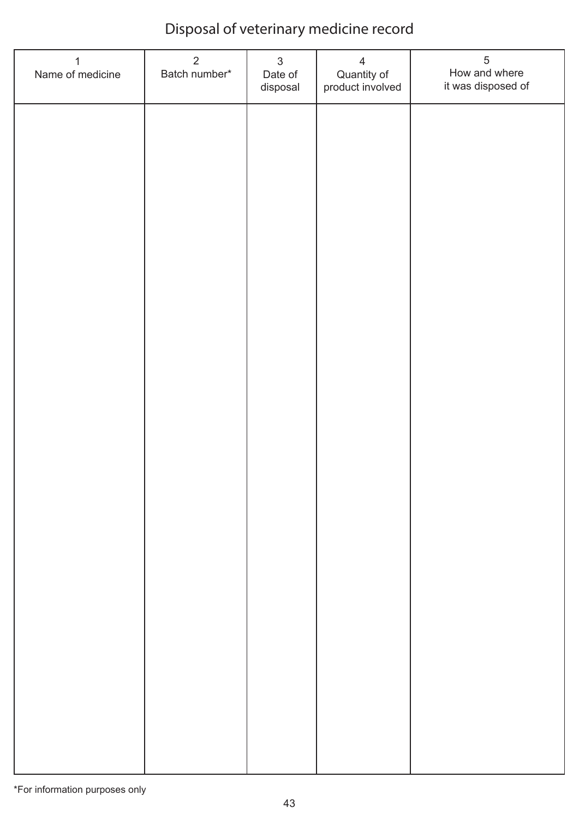# Disposal of veterinary medicine record

| $\mathbf{1}$<br>Name of medicine | $\overline{2}$<br>Batch number* | $\mathfrak{S}$<br>Date of<br>disposal | $\overline{4}$<br>Quantity of<br>product involved | $\sqrt{5}$<br>How and where<br>it was disposed of |
|----------------------------------|---------------------------------|---------------------------------------|---------------------------------------------------|---------------------------------------------------|
|                                  |                                 |                                       |                                                   |                                                   |
|                                  |                                 |                                       |                                                   |                                                   |
|                                  |                                 |                                       |                                                   |                                                   |
|                                  |                                 |                                       |                                                   |                                                   |
|                                  |                                 |                                       |                                                   |                                                   |
|                                  |                                 |                                       |                                                   |                                                   |
|                                  |                                 |                                       |                                                   |                                                   |
|                                  |                                 |                                       |                                                   |                                                   |
|                                  |                                 |                                       |                                                   |                                                   |
|                                  |                                 |                                       |                                                   |                                                   |
|                                  |                                 |                                       |                                                   |                                                   |
|                                  |                                 |                                       |                                                   |                                                   |
|                                  |                                 |                                       |                                                   |                                                   |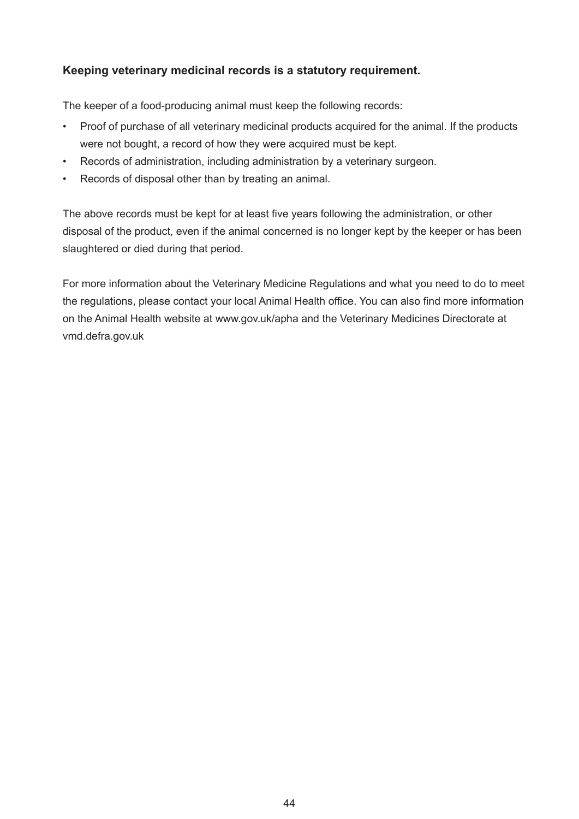#### **Keeping veterinary medicinal records is a statutory requirement.**

The keeper of a food-producing animal must keep the following records:

- Proof of purchase of all veterinary medicinal products acquired for the animal. If the products were not bought, a record of how they were acquired must be kept.
- Records of administration, including administration by a veterinary surgeon.
- Records of disposal other than by treating an animal.

The above records must be kept for at least five years following the administration, or other disposal of the product, even if the animal concerned is no longer kept by the keeper or has been slaughtered or died during that period.

For more information about the Veterinary Medicine Regulations and what you need to do to meet the regulations, please contact your local Animal Health office. You can also find more information on the Animal Health website at www.gov.uk/apha and the Veterinary Medicines Directorate at vmd.defra.gov.uk